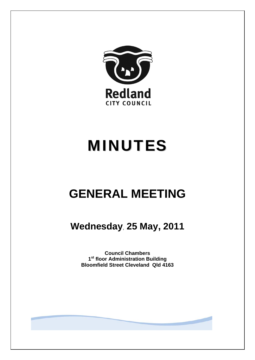

# MINUTES

## **GENERAL MEETING**

**Wednesday**, **25 May, 2011** 

**Council Chambers 1st floor Administration Building Bloomfield Street Cleveland Qld 4163**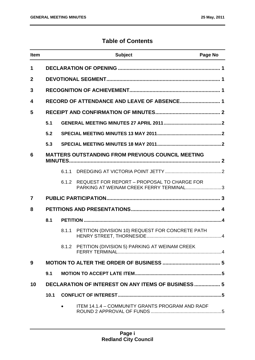### **Table of Contents**

| <b>Item</b>    |      |       | <b>Subject</b>                                                                         | Page No |
|----------------|------|-------|----------------------------------------------------------------------------------------|---------|
| 1              |      |       |                                                                                        |         |
| $\mathbf{2}$   |      |       |                                                                                        |         |
| 3              |      |       |                                                                                        |         |
| 4              |      |       |                                                                                        |         |
| 5              |      |       |                                                                                        |         |
|                | 5.1  |       |                                                                                        |         |
|                | 5.2  |       |                                                                                        |         |
|                | 5.3  |       |                                                                                        |         |
| 6              |      |       | <b>MATTERS OUTSTANDING FROM PREVIOUS COUNCIL MEETING</b>                               |         |
|                |      | 6.1.1 |                                                                                        |         |
|                |      | 6.1.2 | REQUEST FOR REPORT - PROPOSAL TO CHARGE FOR<br>PARKING AT WEINAM CREEK FERRY TERMINAL3 |         |
| $\overline{7}$ |      |       |                                                                                        |         |
| 8              |      |       |                                                                                        |         |
|                | 8.1  |       |                                                                                        |         |
|                |      | 8.1.1 | PETITION (DIVISION 10) REQUEST FOR CONCRETE PATH                                       |         |
|                |      |       | 8.1.2 PETITION (DIVISION 5) PARKING AT WEINAM CREEK                                    |         |
| 9              |      |       |                                                                                        |         |
|                | 9.1  |       |                                                                                        |         |
| 10             |      |       | <b>DECLARATION OF INTEREST ON ANY ITEMS OF BUSINESS  5</b>                             |         |
|                | 10.1 |       |                                                                                        |         |
|                |      |       | ITEM 14.1.4 - COMMUNITY GRANTS PROGRAM AND RADF                                        |         |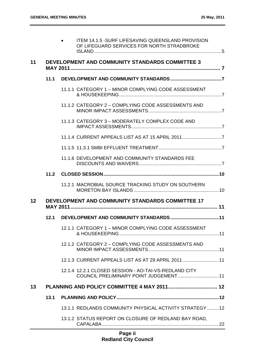|    |      | 13.1.2 STATUS REPORT ON CLOSURE OF REDLAND BAY ROAD,                                                    |
|----|------|---------------------------------------------------------------------------------------------------------|
|    |      | 13.1.1 REDLANDS COMMUNITY PHYSICAL ACTIVITY STRATEGY  12                                                |
|    | 13.1 |                                                                                                         |
| 13 |      |                                                                                                         |
|    |      | 12.1.4 12.2.1 CLOSED SESSION - AO-TAI-VS-REDLAND CITY<br>COUNCIL PRELIMINARY POINT JUDGEMENT  11        |
|    |      | 12.1.3 CURRENT APPEALS LIST AS AT 29 APRIL 2011 11                                                      |
|    |      | 12.1.2 CATEGORY 2 - COMPLYING CODE ASSESSMENTS AND                                                      |
|    |      | 12.1.1 CATEGORY 1 - MINOR COMPLYING CODE ASSESSMENT                                                     |
|    |      |                                                                                                         |
| 12 |      | DEVELOPMENT AND COMMUNITY STANDARDS COMMITTEE 17                                                        |
|    |      | 11.2.1 MACROBIAL SOURCE TRACKING STUDY ON SOUTHERN                                                      |
|    |      |                                                                                                         |
|    |      | 11.1.6 DEVELOPMENT AND COMMUNITY STANDARDS FEE                                                          |
|    |      |                                                                                                         |
|    |      | 11.1.4 CURRENT APPEALS LIST AS AT 15 APRIL 20117                                                        |
|    |      | 11.1.3 CATEGORY 3 - MODERATELY COMPLEX CODE AND                                                         |
|    |      | 11.1.2 CATEGORY 2 - COMPLYING CODE ASSESSMENTS AND                                                      |
|    |      | 11.1.1 CATEGORY 1 - MINOR COMPLYING CODE ASSESSMENT                                                     |
|    |      |                                                                                                         |
| 11 |      | DEVELOPMENT AND COMMUNITY STANDARDS COMMITTEE 3                                                         |
|    |      | <b>ITEM 14.1.5 - SURF LIFESAVING QUEENSLAND PROVISION</b><br>OF LIFEGUARD SERVICES FOR NORTH STRADBROKE |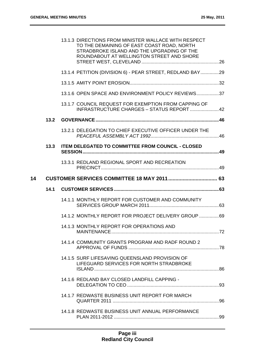|    |      | 13.1.3 DIRECTIONS FROM MINISTER WALLACE WITH RESPECT<br>TO THE DEMAINING OF EAST COAST ROAD, NORTH<br>STRADBROKE ISLAND AND THE UPGRADING OF THE<br>ROUNDABOUT AT WELLINGTON STREET AND SHORE |  |
|----|------|-----------------------------------------------------------------------------------------------------------------------------------------------------------------------------------------------|--|
|    |      | 13.1.4 PETITION (DIVISION 6) - PEAR STREET, REDLAND BAY29                                                                                                                                     |  |
|    |      |                                                                                                                                                                                               |  |
|    |      | 13.1.6 OPEN SPACE AND ENVIRONMENT POLICY REVIEWS37                                                                                                                                            |  |
|    |      | 13.1.7 COUNCIL REQUEST FOR EXEMPTION FROM CAPPING OF<br>INFRASTRUCTURE CHARGES - STATUS REPORT  42                                                                                            |  |
|    | 13.2 |                                                                                                                                                                                               |  |
|    |      | 13.2.1 DELEGATION TO CHIEF EXECUTIVE OFFICER UNDER THE                                                                                                                                        |  |
|    | 13.3 | <b>ITEM DELEGATED TO COMMITTEE FROM COUNCIL - CLOSED</b>                                                                                                                                      |  |
|    |      | 13.3.1 REDLAND REGIONAL SPORT AND RECREATION                                                                                                                                                  |  |
| 14 |      | <b>CUSTOMER SERVICES COMMITTEE 18 MAY 2011  63</b>                                                                                                                                            |  |
|    |      |                                                                                                                                                                                               |  |
|    | 14.1 |                                                                                                                                                                                               |  |
|    |      | 14.1.1 MONTHLY REPORT FOR CUSTOMER AND COMMUNITY                                                                                                                                              |  |
|    |      | 14.1.2 MONTHLY REPORT FOR PROJECT DELIVERY GROUP 69                                                                                                                                           |  |
|    |      | 14.1.3 MONTHLY REPORT FOR OPERATIONS AND                                                                                                                                                      |  |
|    |      | 14.1.4 COMMUNITY GRANTS PROGRAM AND RADF ROUND 2                                                                                                                                              |  |
|    |      | 14.1.5 SURF LIFESAVING QUEENSLAND PROVISION OF<br>LIFEGUARD SERVICES FOR NORTH STRADBROKE                                                                                                     |  |
|    |      | 14.1.6 REDLAND BAY CLOSED LANDFILL CAPPING -                                                                                                                                                  |  |
|    |      | 14.1.7 REDWASTE BUSINESS UNIT REPORT FOR MARCH                                                                                                                                                |  |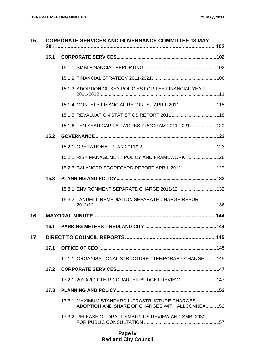| 15 |      | <b>CORPORATE SERVICES AND GOVERNANCE COMMITTEE 18 MAY</b>                                         |  |
|----|------|---------------------------------------------------------------------------------------------------|--|
|    | 15.1 |                                                                                                   |  |
|    |      |                                                                                                   |  |
|    |      |                                                                                                   |  |
|    |      | 15.1.3 ADOPTION OF KEY POLICIES FOR THE FINANCIAL YEAR                                            |  |
|    |      | 15.1.4 MONTHLY FINANCIAL REPORTS - APRIL 2011 115                                                 |  |
|    |      |                                                                                                   |  |
|    |      | 15.1.6 TEN YEAR CAPITAL WORKS PROGRAM 2011-2021 120                                               |  |
|    | 15.2 |                                                                                                   |  |
|    |      |                                                                                                   |  |
|    |      | 15.2.2 RISK MANAGEMENT POLICY AND FRAMEWORK  126                                                  |  |
|    |      | 15.2.3 BALANCED SCORECARD REPORT APRIL 2011  129                                                  |  |
|    | 15.3 |                                                                                                   |  |
|    |      | 15.3.1 ENVIRONMENT SEPARATE CHARGE 2011/12 132                                                    |  |
|    |      | 15.3.2 LANDFILL REMEDIATION SEPARATE CHARGE REPORT                                                |  |
| 16 |      |                                                                                                   |  |
|    | 16.1 |                                                                                                   |  |
| 17 |      |                                                                                                   |  |
|    | 17.1 |                                                                                                   |  |
|    |      | 17.1.1 ORGANISATIONAL STRUCTURE - TEMPORARY CHANGE 145                                            |  |
|    | 17.2 |                                                                                                   |  |
|    |      | 17.2.1  2010/2011 THIRD QUARTER BUDGET REVIEW         147                                         |  |
|    | 17.3 |                                                                                                   |  |
|    |      | 17.3.1 MAXIMUM STANDARD INFRASTRUCTURE CHARGES<br>ADOPTION AND SHARE OF CHARGES WITH ALLCONNEX152 |  |
|    |      | 17.3.2 RELEASE OF DRAFT SMBI PLUS REVIEW AND SMBI 2030                                            |  |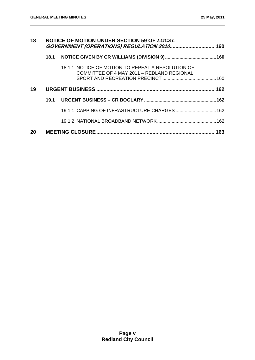| 18 | NOTICE OF MOTION UNDER SECTION 59 OF LOCAL |                                                                                                 |  |
|----|--------------------------------------------|-------------------------------------------------------------------------------------------------|--|
|    | 18.1                                       |                                                                                                 |  |
|    |                                            | 18.1.1 NOTICE OF MOTION TO REPEAL A RESOLUTION OF<br>COMMITTEE OF 4 MAY 2011 - REDLAND REGIONAL |  |
| 19 |                                            |                                                                                                 |  |
|    | 19.1                                       |                                                                                                 |  |
|    |                                            | 19.1.1 CAPPING OF INFRASTRUCTURE CHARGES 162                                                    |  |
|    |                                            |                                                                                                 |  |
| 20 |                                            |                                                                                                 |  |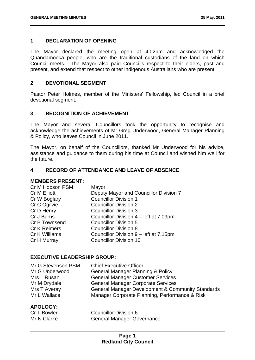#### **1 DECLARATION OF OPENING**

The Mayor declared the meeting open at 4.02pm and acknowledged the Quandamooka people, who are the traditional custodians of the land on which Council meets. The Mayor also paid Council's respect to their elders, past and present, and extend that respect to other indigenous Australians who are present.

#### **2 DEVOTIONAL SEGMENT**

Pastor Peter Holmes, member of the Ministers' Fellowship, led Council in a brief devotional segment.

#### **3 RECOGNITION OF ACHIEVEMENT**

The Mayor and several Councillors took the opportunity to recognise and acknowledge the achievements of Mr Greg Underwood, General Manager Planning & Policy, who leaves Council in June 2011.

The Mayor, on behalf of the Councillors, thanked Mr Underwood for his advice, assistance and guidance to them during his time at Council and wished him well for the future.

#### **4 RECORD OF ATTENDANCE AND LEAVE OF ABSENCE**

#### **MEMBERS PRESENT:**

| Deputy Mayor and Councillor Division 7 |
|----------------------------------------|
| <b>Councillor Division 1</b>           |
| <b>Councillor Division 2</b>           |
| <b>Councillor Division 3</b>           |
| Councillor Division 4 – left at 7.09pm |
| <b>Councillor Division 5</b>           |
| <b>Councillor Division 8</b>           |
| Councillor Division 9 - left at 7.15pm |
| <b>Councillor Division 10</b>          |
|                                        |

#### **EXECUTIVE LEADERSHIP GROUP:**

| Mr G Stevenson PSM | <b>Chief Executive Officer</b>                    |
|--------------------|---------------------------------------------------|
| Mr G Underwood     | <b>General Manager Planning &amp; Policy</b>      |
| Mrs L Rusan        | <b>General Manager Customer Services</b>          |
| Mr M Drydale       | <b>General Manager Corporate Services</b>         |
| Mrs T Averay       | General Manager Development & Community Standards |
| Mr L Wallace       | Manager Corporate Planning, Performance & Risk    |

#### **APOLOGY:**

| Cr T Bowler | <b>Councillor Division 6</b>      |
|-------------|-----------------------------------|
| Mr N Clarke | <b>General Manager Governance</b> |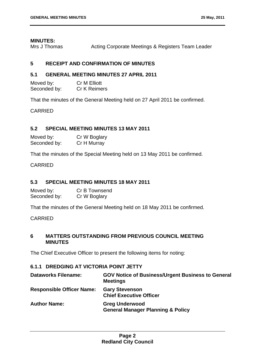#### **MINUTES:**

Mrs J Thomas **Acting Corporate Meetings & Registers Team Leader** 

#### **5 RECEIPT AND CONFIRMATION OF MINUTES**

#### **5.1 GENERAL MEETING MINUTES 27 APRIL 2011**

Moved by: Cr M Elliott Seconded by: Cr K Reimers

That the minutes of the General Meeting held on 27 April 2011 be confirmed.

CARRIED

#### **5.2 SPECIAL MEETING MINUTES 13 MAY 2011**

| Moved by:    | Cr W Boglary |
|--------------|--------------|
| Seconded by: | Cr H Murray  |

That the minutes of the Special Meeting held on 13 May 2011 be confirmed.

CARRIED

#### **5.3 SPECIAL MEETING MINUTES 18 MAY 2011**

| Moved by:    | Cr B Townsend |
|--------------|---------------|
| Seconded by: | Cr W Boglary  |

That the minutes of the General Meeting held on 18 May 2011 be confirmed.

CARRIED

#### **6 MATTERS OUTSTANDING FROM PREVIOUS COUNCIL MEETING MINUTES**

The Chief Executive Officer to present the following items for noting:

#### **6.1.1 DREDGING AT VICTORIA POINT JETTY**

| <b>Dataworks Filename:</b>       | <b>GOV Notice of Business/Urgent Business to General</b><br><b>Meetings</b> |
|----------------------------------|-----------------------------------------------------------------------------|
| <b>Responsible Officer Name:</b> | <b>Gary Stevenson</b><br><b>Chief Executive Officer</b>                     |
| <b>Author Name:</b>              | <b>Greg Underwood</b><br><b>General Manager Planning &amp; Policy</b>       |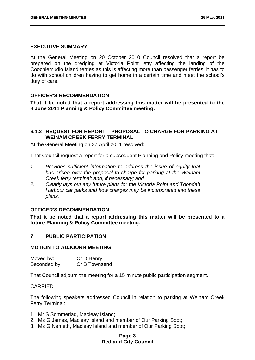#### **EXECUTIVE SUMMARY**

At the General Meeting on 20 October 2010 Council resolved that a report be prepared on the dredging at Victoria Point jetty affecting the landing of the Coochiemudlo Island ferries as this is affecting more than passenger ferries, it has to do with school children having to get home in a certain time and meet the school's duty of care.

#### **OFFICER'S RECOMMENDATION**

**That it be noted that a report addressing this matter will be presented to the 8 June 2011 Planning & Policy Committee meeting.** 

#### **6.1.2 REQUEST FOR REPORT – PROPOSAL TO CHARGE FOR PARKING AT WEINAM CREEK FERRY TERMINAL**

At the General Meeting on 27 April 2011 resolved:

That Council request a report for a subsequent Planning and Policy meeting that:

- *1. Provides sufficient information to address the issue of equity that has arisen over the proposal to charge for parking at the Weinam Creek ferry terminal; and, if necessary; and*
- *2. Clearly lays out any future plans for the Victoria Point and Toondah Harbour car parks and how charges may be incorporated into these plans.*

#### **OFFICER'S RECOMMENDATION**

**That it be noted that a report addressing this matter will be presented to a future Planning & Policy Committee meeting.** 

#### **7 PUBLIC PARTICIPATION**

#### **MOTION TO ADJOURN MEETING**

Moved by: Cr D Henry Seconded by: Cr B Townsend

That Council adjourn the meeting for a 15 minute public participation segment.

#### CARRIED

The following speakers addressed Council in relation to parking at Weinam Creek Ferry Terminal:

- 1. Mr S Sommerlad, Macleay Island;
- 2. Ms G James, Macleay Island and member of Our Parking Spot;
- 3. Ms G Nemeth, Macleay Island and member of Our Parking Spot;

#### **Page 3 Redland City Council**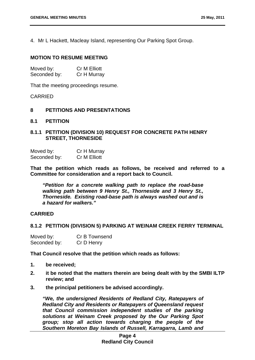4. Mr L Hackett, Macleay Island, representing Our Parking Spot Group.

#### **MOTION TO RESUME MEETING**

| Moved by:    | <b>Cr M Elliott</b> |
|--------------|---------------------|
| Seconded by: | Cr H Murray         |

That the meeting proceedings resume.

#### CARRIED

#### **8 PETITIONS AND PRESENTATIONS**

**8.1 PETITION** 

#### **8.1.1 PETITION (DIVISION 10) REQUEST FOR CONCRETE PATH HENRY STREET, THORNESIDE**

| Moved by:    | Cr H Murray  |
|--------------|--------------|
| Seconded by: | Cr M Elliott |

**That the petition which reads as follows, be received and referred to a Committee for consideration and a report back to Council.** 

*"Petition for a concrete walking path to replace the road-base walking path between 9 Henry St., Thorneside and 3 Henry St., Thorneside. Existing road-base path is always washed out and is a hazard for walkers."* 

#### **CARRIED**

#### **8.1.2 PETITION (DIVISION 5) PARKING AT WEINAM CREEK FERRY TERMINAL**

| Moved by:    | Cr B Townsend |
|--------------|---------------|
| Seconded by: | Cr D Henry    |

**That Council resolve that the petition which reads as follows:** 

- **1. be received;**
- **2. it be noted that the matters therein are being dealt with by the SMBI ILTP review; and**
- **3. the principal petitioners be advised accordingly.**

*"We, the undersigned Residents of Redland City, Ratepayers of Redland City and Residents or Ratepayers of Queensland request that Council commission independent studies of the parking solutions at Weinam Creek proposed by the Our Parking Spot group; stop all action towards charging the people of the Southern Moreton Bay Islands of Russell, Karragarra, Lamb and*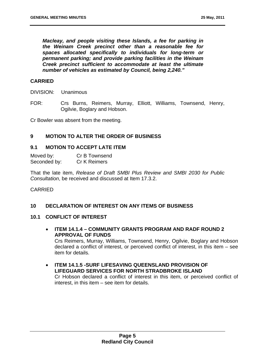*Macleay, and people visiting these Islands, a fee for parking in the Weinam Creek precinct other than a reasonable fee for spaces allocated specifically to individuals for long-term or permanent parking; and provide parking facilities in the Weinam Creek precinct sufficient to accommodate at least the ultimate number of vehicles as estimated by Council, being 2,240."* 

#### **CARRIED**

DIVISION: Unanimous

FOR: Crs Burns, Reimers, Murray, Elliott, Williams, Townsend, Henry, Ogilvie, Boglary and Hobson.

Cr Bowler was absent from the meeting.

#### **9 MOTION TO ALTER THE ORDER OF BUSINESS**

#### **9.1 MOTION TO ACCEPT LATE ITEM**

Moved by: Cr B Townsend Seconded by: Cr K Reimers

That the late item, *Release of Draft SMBI Plus Review and SMBI 2030 for Public Consultation*, be received and discussed at Item 17.3.2.

#### CARRIED

#### **10 DECLARATION OF INTEREST ON ANY ITEMS OF BUSINESS**

#### **10.1 CONFLICT OF INTEREST**

- **ITEM 14.1.4 COMMUNITY GRANTS PROGRAM AND RADF ROUND 2 APPROVAL OF FUNDS**  Crs Reimers, Murray, Williams, Townsend, Henry, Ogilvie, Boglary and Hobson declared a conflict of interest, or perceived conflict of interest, in this item – see item for details.
- **ITEM 14.1.5 -SURF LIFESAVING QUEENSLAND PROVISION OF LIFEGUARD SERVICES FOR NORTH STRADBROKE ISLAND**  Cr Hobson declared a conflict of interest in this item, or perceived conflict of interest, in this item – see item for details.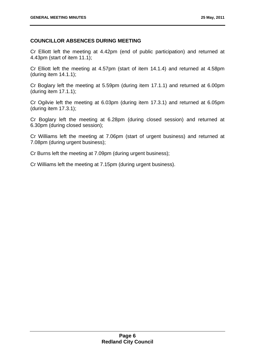#### **COUNCILLOR ABSENCES DURING MEETING**

Cr Elliott left the meeting at 4.42pm (end of public participation) and returned at 4.43pm (start of item 11.1);

Cr Elliott left the meeting at 4.57pm (start of item 14.1.4) and returned at 4.58pm (during item 14.1.1);

Cr Boglary left the meeting at 5.59pm (during item 17.1.1) and returned at 6.00pm (during item 17.1.1);

Cr Ogilvie left the meeting at 6.03pm (during item 17.3.1) and returned at 6.05pm (during item 17.3.1);

Cr Boglary left the meeting at 6.28pm (during closed session) and returned at 6.30pm (during closed session);

Cr Williams left the meeting at 7.06pm (start of urgent business) and returned at 7.08pm (during urgent business);

Cr Burns left the meeting at 7.09pm (during urgent business);

Cr Williams left the meeting at 7.15pm (during urgent business).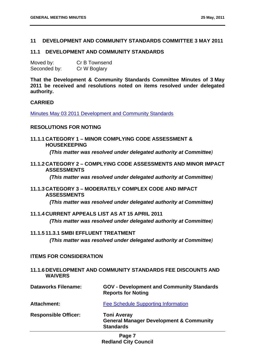#### **11 DEVELOPMENT AND COMMUNITY STANDARDS COMMITTEE 3 MAY 2011**

#### **11.1 DEVELOPMENT AND COMMUNITY STANDARDS**

| Moved by:    | Cr B Townsend |
|--------------|---------------|
| Seconded by: | Cr W Boglary  |

**That the Development & Community Standards Committee Minutes of 3 May 2011 be received and resolutions noted on items resolved under delegated authority.** 

#### **CARRIED**

Minutes May 03 2011 Development and Community Standards

#### **RESOLUTIONS FOR NOTING**

**11.1.1 CATEGORY 1 – MINOR COMPLYING CODE ASSESSMENT & HOUSEKEEPING** 

*(This matter was resolved under delegated authority at Committee)*

**11.1.2 CATEGORY 2 – COMPLYING CODE ASSESSMENTS AND MINOR IMPACT ASSESSMENTS** 

*(This matter was resolved under delegated authority at Committee)* 

**11.1.3 CATEGORY 3 – MODERATELY COMPLEX CODE AND IMPACT ASSESSMENTS** 

*(This matter was resolved under delegated authority at Committee)* 

**11.1.4 CURRENT APPEALS LIST AS AT 15 APRIL 2011** 

*(This matter was resolved under delegated authority at Committee)* 

#### **11.1.5 11.3.1 SMBI EFFLUENT TREATMENT**

*(This matter was resolved under delegated authority at Committee)* 

#### **ITEMS FOR CONSIDERATION**

**11.1.6 DEVELOPMENT AND COMMUNITY STANDARDS FEE DISCOUNTS AND WAIVERS** 

| <b>Dataworks Filename:</b>  | <b>GOV - Development and Community Standards</b><br><b>Reports for Noting</b>                |  |
|-----------------------------|----------------------------------------------------------------------------------------------|--|
| Attachment:                 | <b>Fee Schedule Supporting Information</b>                                                   |  |
| <b>Responsible Officer:</b> | <b>Toni Averay</b><br><b>General Manager Development &amp; Community</b><br><b>Standards</b> |  |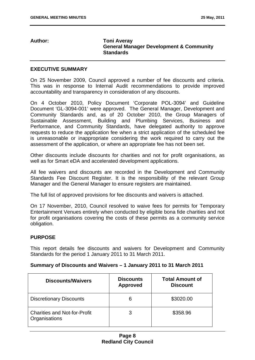#### **Author: Toni Averay General Manager Development & Community Standards**

#### **EXECUTIVE SUMMARY**

On 25 November 2009, Council approved a number of fee discounts and criteria. This was in response to Internal Audit recommendations to provide improved accountability and transparency in consideration of any discounts.

On 4 October 2010, Policy Document 'Corporate POL-3094' and Guideline Document 'GL-3094-001' were approved. The General Manager, Development and Community Standards and, as of 20 October 2010, the Group Managers of Sustainable Assessment, Building and Plumbing Services, Business and Performance, and Community Standards, have delegated authority to approve requests to reduce the application fee when a strict application of the scheduled fee is unreasonable or inappropriate considering the work required to carry out the assessment of the application, or where an appropriate fee has not been set.

Other discounts include discounts for charities and not for profit organisations, as well as for Smart eDA and accelerated development applications.

All fee waivers and discounts are recorded in the Development and Community Standards Fee Discount Register. It is the responsibility of the relevant Group Manager and the General Manager to ensure registers are maintained.

The full list of approved provisions for fee discounts and waivers is attached.

On 17 November, 2010, Council resolved to waive fees for permits for Temporary Entertainment Venues entirely when conducted by eligible bona fide charities and not for profit organisations covering the costs of these permits as a community service obligation.

#### **PURPOSE**

This report details fee discounts and waivers for Development and Community Standards for the period 1 January 2011 to 31 March 2011.

#### **Summary of Discounts and Waivers – 1 January 2011 to 31 March 2011**

| <b>Discounts/Waivers</b>                             | <b>Discounts</b><br><b>Approved</b> | <b>Total Amount of</b><br><b>Discount</b> |
|------------------------------------------------------|-------------------------------------|-------------------------------------------|
| <b>Discretionary Discounts</b>                       | 6                                   | \$3020.00                                 |
| <b>Charities and Not-for-Profit</b><br>Organisations | 3                                   | \$358.96                                  |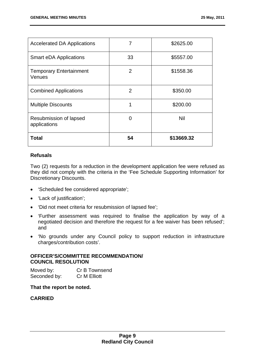| <b>Accelerated DA Applications</b>       | 7              | \$2625.00  |
|------------------------------------------|----------------|------------|
| <b>Smart eDA Applications</b>            | 33             | \$5557.00  |
| <b>Temporary Entertainment</b><br>Venues | 2              | \$1558.36  |
| <b>Combined Applications</b>             | $\overline{2}$ | \$350.00   |
| <b>Multiple Discounts</b>                | 1              | \$200.00   |
| Resubmission of lapsed<br>applications   | O              | Nil        |
| <b>Total</b>                             | 54             | \$13669.32 |

#### **Refusals**

Two (2) requests for a reduction in the development application fee were refused as they did not comply with the criteria in the 'Fee Schedule Supporting Information' for Discretionary Discounts.

- 'Scheduled fee considered appropriate';
- 'Lack of justification';
- 'Did not meet criteria for resubmission of lapsed fee';
- 'Further assessment was required to finalise the application by way of a negotiated decision and therefore the request for a fee waiver has been refused'; and
- 'No grounds under any Council policy to support reduction in infrastructure charges/contribution costs'.

#### **OFFICER'S/COMMITTEE RECOMMENDATION/ COUNCIL RESOLUTION**

Moved by: Cr B Townsend Seconded by: Cr M Elliott

#### **That the report be noted.**

#### **CARRIED**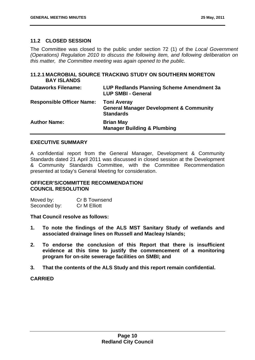#### **11.2 CLOSED SESSION**

The Committee was closed to the public under section 72 (1) of the *Local Government (Operations) Regulation 2010 to discuss the following item, and following deliberation on this matter, the Committee meeting was again opened to the public.* 

#### **11.2.1 MACROBIAL SOURCE TRACKING STUDY ON SOUTHERN MORETON BAY ISLANDS**

| <b>Dataworks Filename:</b>       | <b>LUP Redlands Planning Scheme Amendment 3a</b><br><b>LUP SMBI - General</b>                |
|----------------------------------|----------------------------------------------------------------------------------------------|
| <b>Responsible Officer Name:</b> | <b>Toni Averay</b><br><b>General Manager Development &amp; Community</b><br><b>Standards</b> |
| <b>Author Name:</b>              | <b>Brian May</b><br><b>Manager Building &amp; Plumbing</b>                                   |

#### **EXECUTIVE SUMMARY**

A confidential report from the General Manager, Development & Community Standards dated 21 April 2011 was discussed in closed session at the Development & Community Standards Committee, with the Committee Recommendation presented at today's General Meeting for consideration.

#### **OFFICER'S/COMMITTEE RECOMMENDATION/ COUNCIL RESOLUTION**

Moved by: Cr B Townsend Seconded by: Cr M Elliott

#### **That Council resolve as follows:**

- **1. To note the findings of the ALS MST Sanitary Study of wetlands and associated drainage lines on Russell and Macleay Islands;**
- **2. To endorse the conclusion of this Report that there is insufficient evidence at this time to justify the commencement of a monitoring program for on-site sewerage facilities on SMBI; and**
- **3. That the contents of the ALS Study and this report remain confidential.**

#### **CARRIED**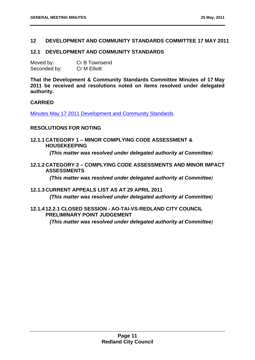#### **12 DEVELOPMENT AND COMMUNITY STANDARDS COMMITTEE 17 MAY 2011**

#### **12.1 DEVELOPMENT AND COMMUNITY STANDARDS**

| Moved by:    | Cr B Townsend       |
|--------------|---------------------|
| Seconded by: | <b>Cr M Elliott</b> |

**That the Development & Community Standards Committee Minutes of 17 May 2011 be received and resolutions noted on items resolved under delegated authority.** 

#### **CARRIED**

Minutes May 17 2011 Development and Community Standards

#### **RESOLUTIONS FOR NOTING**

**12.1.1 CATEGORY 1 – MINOR COMPLYING CODE ASSESSMENT & HOUSEKEEPING** 

*(This matter was resolved under delegated authority at Committee)*

**12.1.2 CATEGORY 2 – COMPLYING CODE ASSESSMENTS AND MINOR IMPACT ASSESSMENTS** 

*(This matter was resolved under delegated authority at Committee)* 

**12.1.3 CURRENT APPEALS LIST AS AT 29 APRIL 2011** 

*(This matter was resolved under delegated authority at Committee)* 

#### **12.1.4 12.2.1 CLOSED SESSION - AO-TAI-VS-REDLAND CITY COUNCIL PRELIMINARY POINT JUDGEMENT**

*(This matter was resolved under delegated authority at Committee)*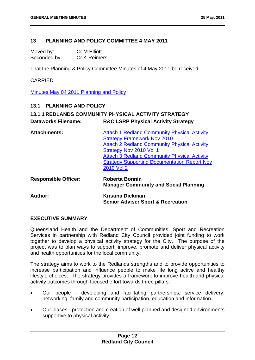#### **13 PLANNING AND POLICY COMMITTEE 4 MAY 2011**

Moved by: Cr M Elliott Seconded by: Cr K Reimers

That the Planning & Policy Committee Minutes of 4 May 2011 be received.

#### CARRIED

Minutes May 04 2011 Planning and Policy

#### **13.1 PLANNING AND POLICY**

| <b>Dataworks Filename:</b>  | <b>13.1.1 REDLANDS COMMUNITY PHYSICAL ACTIVITY STRATEGY</b><br><b>R&amp;C LSRP Physical Activity Strategy</b>                                                                                                                                                                                           |
|-----------------------------|---------------------------------------------------------------------------------------------------------------------------------------------------------------------------------------------------------------------------------------------------------------------------------------------------------|
| <b>Attachments:</b>         | <b>Attach 1 Redland Community Physical Activity</b><br><b>Strategy Framework Nov 2010</b><br><b>Attach 2 Redland Community Physical Activity</b><br>Strategy Nov 2010 Vol 1<br><b>Attach 3 Redland Community Physical Activity</b><br><b>Strategy Supporting Documentation Report Nov</b><br>2010 Vol 2 |
| <b>Responsible Officer:</b> | <b>Roberta Bonnin</b><br><b>Manager Community and Social Planning</b>                                                                                                                                                                                                                                   |
| Author:                     | <b>Kristina Dickman</b><br><b>Senior Adviser Sport &amp; Recreation</b>                                                                                                                                                                                                                                 |

#### **EXECUTIVE SUMMARY**

Queensland Health and the Department of Communities, Sport and Recreation Services in partnership with Redland City Council provided joint funding to work together to develop a physical activity strategy for the City. The purpose of the project was to plan ways to support, improve, promote and deliver physical activity and health opportunities for the local community.

The strategy aims to work to the Redlands strengths and to provide opportunities to increase participation and influence people to make life long active and healthy lifestyle choices. The strategy provides a framework to improve health and physical activity outcomes through focused effort towards three pillars:

- Our people developing and facilitating partnerships, service delivery, networking, family and community participation, education and information*.*
- Our places protection and creation of well planned and designed environments supportive to physical activity*.*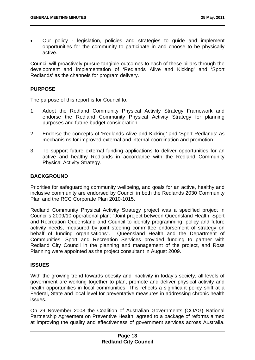Our policy - legislation, policies and strategies to guide and implement opportunities for the community to participate in and choose to be physically active.

Council will proactively pursue tangible outcomes to each of these pillars through the development and implementation of 'Redlands Alive and Kicking' and 'Sport Redlands' as the channels for program delivery.

#### **PURPOSE**

The purpose of this report is for Council to:

- 1. Adopt the Redland Community Physical Activity Strategy Framework and endorse the Redland Community Physical Activity Strategy for planning purposes and future budget consideration
- 2. Endorse the concepts of 'Redlands Alive and Kicking' and 'Sport Redlands' as mechanisms for improved external and internal coordination and promotion
- 3. To support future external funding applications to deliver opportunities for an active and healthy Redlands in accordance with the Redland Community Physical Activity Strategy.

#### **BACKGROUND**

Priorities for safeguarding community wellbeing, and goals for an active, healthy and inclusive community are endorsed by Council in both the Redlands 2030 Community Plan and the RCC Corporate Plan 2010-1015.

Redland Community Physical Activity Strategy project was a specified project in Council's 2009/10 operational plan: "Joint project between Queensland Health, Sport and Recreation Queensland and Council to identify programming, policy and future activity needs, measured by joint steering committee endorsement of strategy on behalf of funding organisations". Queensland Health and the Department of Communities, Sport and Recreation Services provided funding to partner with Redland City Council in the planning and management of the project, and Ross Planning were appointed as the project consultant in August 2009.

#### **ISSUES**

With the growing trend towards obesity and inactivity in today's society, all levels of government are working together to plan, promote and deliver physical activity and health opportunities in local communities. This reflects a significant policy shift at a Federal, State and local level for preventative measures in addressing chronic health issues.

On 29 November 2008 the Coalition of Australian Governments (COAG) National Partnership Agreement on Preventive Health, agreed to a package of reforms aimed at improving the quality and effectiveness of government services across Australia.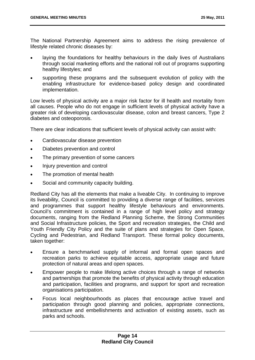The National Partnership Agreement aims to address the rising prevalence of lifestyle related chronic diseases by:

- laying the foundations for healthy behaviours in the daily lives of Australians through social marketing efforts and the national roll out of programs supporting healthy lifestyles; and
- supporting these programs and the subsequent evolution of policy with the enabling infrastructure for evidence-based policy design and coordinated implementation.

Low levels of physical activity are a major risk factor for ill health and mortality from all causes. People who do not engage in sufficient levels of physical activity have a greater risk of developing cardiovascular disease, colon and breast cancers, Type 2 diabetes and osteoporosis.

There are clear indications that sufficient levels of physical activity can assist with:

- Cardiovascular disease prevention
- Diabetes prevention and control
- The primary prevention of some cancers
- Injury prevention and control
- The promotion of mental health
- Social and community capacity building.

Redland City has all the elements that make a liveable City. In continuing to improve its liveability, Council is committed to providing a diverse range of facilities, services and programmes that support healthy lifestyle behaviours and environments. Council's commitment is contained in a range of high level policy and strategy documents, ranging from the Redland Planning Scheme, the Strong Communities and Social Infrastructure policies, the Sport and recreation strategies, the Child and Youth Friendly City Policy and the suite of plans and strategies for Open Space, Cycling and Pedestrian, and Redland Transport. These formal policy documents, taken together:

- Ensure a benchmarked supply of informal and formal open spaces and recreation parks to achieve equitable access, appropriate usage and future protection of natural areas and open spaces.
- Empower people to make lifelong active choices through a range of networks and partnerships that promote the benefits of physical activity through education and participation, facilities and programs, and support for sport and recreation organisations participation.
- Focus local neighbourhoods as places that encourage active travel and participation through good planning and policies, appropriate connections, infrastructure and embellishments and activation of existing assets, such as parks and schools.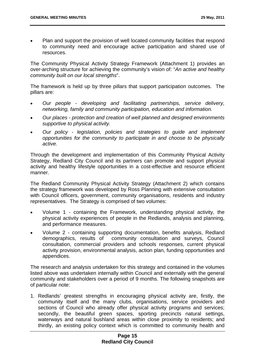Plan and support the provision of well located community facilities that respond to community need and encourage active participation and shared use of resources.

The Community Physical Activity Strategy Framework (Attachment 1) provides an over-arching structure for achieving the community's vision of: "*An active and healthy community built on our local strengths*".

The framework is held up by three pillars that support participation outcomes. The pillars are:

- *Our people developing and facilitating partnerships, service delivery, networking, family and community participation, education and information.*
- *Our places protection and creation of well planned and designed environments supportive to physical activity.*
- *Our policy legislation, policies and strategies to guide and implement opportunities for the community to participate in and choose to be physically active.*

Through the development and implementation of this Community Physical Activity Strategy, Redland City Council and its partners can promote and support physical activity and healthy lifestyle opportunities in a cost-effective and resource efficient manner.

The Redland Community Physical Activity Strategy (Attachment 2) which contains the strategy framework was developed by Ross Planning with extensive consultation with Council officers, government, community organisations, residents and industry representatives. The Strategy is comprised of two volumes:

- Volume 1 containing the Framework, understanding physical activity, the physical activity experiences of people in the Redlands, analysis and planning, and performance measures.
- Volume 2 containing supporting documentation, benefits analysis, Redland demographics, results of community consultation and surveys, Council consultation, commercial providers and schools responses, current physical activity provision, environmental analysis, action plan, funding opportunities and appendices.

The research and analysis undertaken for this strategy and contained in the volumes listed above was undertaken internally within Council and externally with the general community and stakeholders over a period of 9 months. The following snapshots are of particular note:

1. Redlands' greatest strengths in encouraging physical activity are, firstly, the community itself and the many clubs, organisations, service providers and sections of Council who already offer physical activity programs and services; secondly, the beautiful green spaces, sporting precincts natural settings, waterways and natural bushland areas within close proximity to residents; and thirdly, an existing policy context which is committed to community health and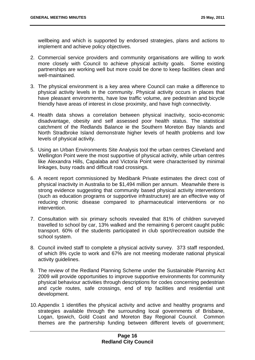wellbeing and which is supported by endorsed strategies, plans and actions to implement and achieve policy objectives.

- 2. Commercial service providers and community organisations are willing to work more closely with Council to achieve physical activity goals. Some existing partnerships are working well but more could be done to keep facilities clean and well-maintained.
- 3. The physical environment is a key area where Council can make a difference to physical activity levels in the community. Physical activity occurs in places that have pleasant environments, have low traffic volume, are pedestrian and bicycle friendly have areas of interest in close proximity, and have high connectivity.
- 4. Health data shows a correlation between physical inactivity, socio-economic disadvantage, obesity and self assessed poor health status. The statistical catchment of the Redlands Balance ie the Southern Moreton Bay Islands and North Stradbroke Island demonstrate higher levels of health problems and low levels of physical activity.
- 5. Using an Urban Environments Site Analysis tool the urban centres Cleveland and Wellington Point were the most supportive of physical activity, while urban centres like Alexandra Hills, Capalaba and Victoria Point were characterised by minimal linkages, busy roads and difficult road crossings.
- 6. A recent report commissioned by Medibank Private estimates the direct cost of physical inactivity in Australia to be \$1,494 million per annum. Meanwhile there is strong evidence suggesting that community based physical activity interventions (such as education programs or supportive infrastructure) are an effective way of reducing chronic disease compared to pharmaceutical interventions or no intervention.
- 7. Consultation with six primary schools revealed that 81% of children surveyed travelled to school by car, 13% walked and the remaining 6 percent caught public transport. 60% of the students participated in club sport/recreation outside the school system.
- 8. Council invited staff to complete a physical activity survey. 373 staff responded, of which 8% cycle to work and 67% are not meeting moderate national physical activity guidelines.
- 9. The review of the Redland Planning Scheme under the Sustainable Planning Act 2009 will provide opportunities to improve supportive environments for community physical behaviour activities through descriptions for codes concerning pedestrian and cycle routes, safe crossings, end of trip facilities and residential unit development.
- 10. Appendix 1 identifies the physical activity and active and healthy programs and strategies available through the surrounding local governments of Brisbane, Logan, Ipswich, Gold Coast and Moreton Bay Regional Council. Common themes are the partnership funding between different levels of government;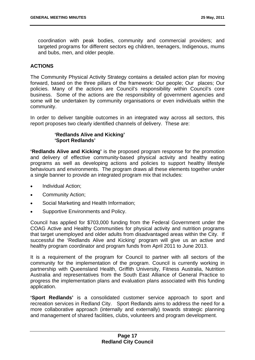coordination with peak bodies, community and commercial providers; and targeted programs for different sectors eg children, teenagers, Indigenous, mums and bubs, men, and older people.

#### **ACTIONS**

The Community Physical Activity Strategy contains a detailed action plan for moving forward, based on the three pillars of the framework: Our people; Our places; Our policies. Many of the actions are Council's responsibility within Council's core business. Some of the actions are the responsibility of government agencies and some will be undertaken by community organisations or even individuals within the community.

In order to deliver tangible outcomes in an integrated way across all sectors, this report proposes two clearly identified channels of delivery. These are:

#### **'Redlands Alive and Kicking' 'Sport Redlands'**

**'Redlands Alive and Kicking'** is the proposed program response for the promotion and delivery of effective community-based physical activity and healthy eating programs as well as developing actions and policies to support healthy lifestyle behaviours and environments. The program draws all these elements together under a single banner to provide an integrated program mix that includes:

- Individual Action:
- Community Action;
- Social Marketing and Health Information;
- Supportive Environments and Policy.

Council has applied for \$703,000 funding from the Federal Government under the COAG Active and Healthy Communities for physical activity and nutrition programs that target unemployed and older adults from disadvantaged areas within the City. If successful the 'Redlands Alive and Kicking' program will give us an active and healthy program coordinator and program funds from April 2011 to June 2013.

It is a requirement of the program for Council to partner with all sectors of the community for the implementation of the program. Council is currently working in partnership with Queensland Health, Griffith University, Fitness Australia, Nutrition Australia and representatives from the South East Alliance of General Practice to progress the implementation plans and evaluation plans associated with this funding application.

**'Sport Redlands'** is a consolidated customer service approach to sport and recreation services in Redland City. Sport Redlands aims to address the need for a more collaborative approach (internally and externally) towards strategic planning and management of shared facilities, clubs, volunteers and program development.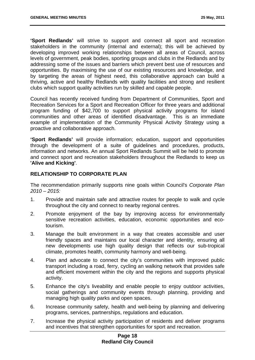**'Sport Redlands'** will strive to support and connect all sport and recreation stakeholders in the community (internal and external); this will be achieved by developing improved working relationships between all areas of Council, across levels of government, peak bodies, sporting groups and clubs in the Redlands and by addressing some of the issues and barriers which prevent best use of resources and opportunities. By maximising the use of our existing resources and knowledge, and by targeting the areas of highest need, this collaborative approach can build a thriving, active and healthy Redlands with quality facilities and strong and resilient clubs which support quality activities run by skilled and capable people.

Council has recently received funding from Department of Communities, Sport and Recreation Services for a Sport and Recreation Officer for three years and additional program funding of \$42,700 to support physical activity programs for island communities and other areas of identified disadvantage. This is an immediate example of implementation of the Community Physical Activity Strategy using a proactive and collaborative approach.

**'Sport Redlands'** will provide information; education, support and opportunities through the development of a suite of guidelines and procedures, products, information and networks. An annual Sport Redlands Summit will be held to promote and connect sport and recreation stakeholders throughout the Redlands to keep us **'Alive and Kicking'**.

#### **RELATIONSHIP TO CORPORATE PLAN**

The recommendation primarily supports nine goals within Council's *Corporate Plan 2010 – 2015:*

- 1. Provide and maintain safe and attractive routes for people to walk and cycle throughout the city and connect to nearby regional centres.
- 2. Promote enjoyment of the bay by improving access for environmentally sensitive recreation activities, education, economic opportunities and ecotourism.
- 3. Manage the built environment in a way that creates accessible and user friendly spaces and maintains our local character and identity, ensuring all new developments use high quality design that reflects our sub-tropical climate, promotes health, community harmony and well-being.
- 4. Plan and advocate to connect the city's communities with improved public transport including a road, ferry, cycling an walking network that provides safe and efficient movement within the city and the regions and supports physical activity.
- 5. Enhance the city's liveability and enable people to enjoy outdoor activities, social gatherings and community events through planning, providing and managing high quality parks and open spaces.
- 6. Increase community safety, health and well-being by planning and delivering programs, services, partnerships, regulations and education.
- 7. Increase the physical activity participation of residents and deliver programs and incentives that strengthen opportunities for sport and recreation.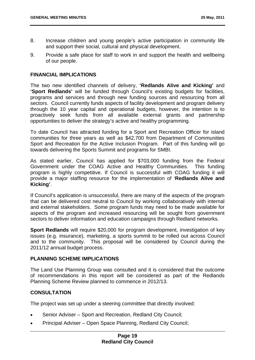- 8. Increase children and young people's active participation in community life and support their social, cultural and physical development.
- 9. Provide a safe place for staff to work in and support the health and wellbeing of our people.

#### **FINANCIAL IMPLICATIONS**

The two new identified channels of delivery, **'Redlands Alive and Kicking'** and **'Sport Redlands'** will be funded through Council's existing budgets for facilities, programs and services and through new funding sources and resourcing from all sectors. Council currently funds aspects of facility development and program delivery through the 10 year capital and operational budgets, however, the intention is to proactively seek funds from all available external grants and partnership opportunities to deliver the strategy's active and healthy programming.

To date Council has attracted funding for a Sport and Recreation Officer for island communities for three years as well as \$42,700 from Department of Communities Sport and Recreation for the Active Inclusion Program. Part of this funding will go towards delivering the Sports Summit and programs for SMBI.

As stated earlier, Council has applied for \$703,000 funding from the Federal Government under the COAG Active and Healthy Communities. This funding program is highly competitive. If Council is successful with COAG funding it will provide a major staffing resource for the implementation of '**Redlands Alive and Kicking'**.

If Council's application is unsuccessful, there are many of the aspects of the program that can be delivered cost neutral to Council by working collaboratively with internal and external stakeholders. Some program funds may need to be made available for aspects of the program and increased resourcing will be sought from government sectors to deliver information and education campaigns through Redland networks.

**Sport Redlands** will require \$20,000 for program development, investigation of key issues (e.g. insurance), marketing, a sports summit to be rolled out across Council and to the community. This proposal will be considered by Council during the 2011/12 annual budget process.

#### **PLANNING SCHEME IMPLICATIONS**

The Land Use Planning Group was consulted and it is considered that the outcome of recommendations in this report will be considered as part of the Redlands Planning Scheme Review planned to commence in 2012/13.

#### **CONSULTATION**

The project was set up under a steering committee that directly involved:

- Senior Adviser Sport and Recreation, Redland City Council;
- Principal Adviser Open Space Planning, Redland City Council;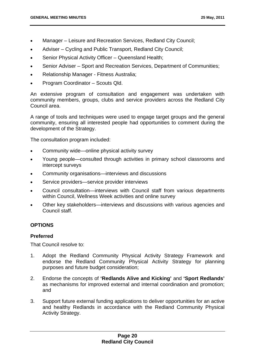- Manager Leisure and Recreation Services, Redland City Council;
- Adviser Cycling and Public Transport, Redland City Council;
- Senior Physical Activity Officer Queensland Health;
- Senior Adviser Sport and Recreation Services, Department of Communities;
- Relationship Manager Fitness Australia;
- Program Coordinator Scouts Qld.

An extensive program of consultation and engagement was undertaken with community members, groups, clubs and service providers across the Redland City Council area.

A range of tools and techniques were used to engage target groups and the general community, ensuring all interested people had opportunities to comment during the development of the Strategy.

The consultation program included:

- Community wide—online physical activity survey
- Young people—consulted through activities in primary school classrooms and intercept surveys
- Community organisations—interviews and discussions
- Service providers—service provider interviews
- Council consultation—interviews with Council staff from various departments within Council, Wellness Week activities and online survey
- Other key stakeholders—interviews and discussions with various agencies and Council staff.

#### **OPTIONS**

#### **Preferred**

That Council resolve to:

- 1. Adopt the Redland Community Physical Activity Strategy Framework and endorse the Redland Community Physical Activity Strategy for planning purposes and future budget consideration;
- 2. Endorse the concepts of **'Redlands Alive and Kicking'** and **'Sport Redlands'** as mechanisms for improved external and internal coordination and promotion; and
- 3. Support future external funding applications to deliver opportunities for an active and healthy Redlands in accordance with the Redland Community Physical Activity Strategy.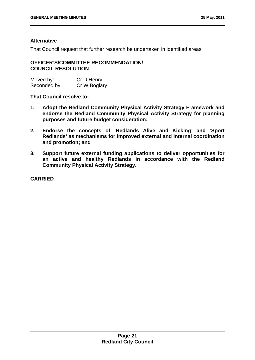#### **Alternative**

That Council request that further research be undertaken in identified areas.

#### **OFFICER'S/COMMITTEE RECOMMENDATION/ COUNCIL RESOLUTION**

| Moved by:    | Cr D Henry   |
|--------------|--------------|
| Seconded by: | Cr W Boglary |

#### **That Council resolve to:**

- **1. Adopt the Redland Community Physical Activity Strategy Framework and endorse the Redland Community Physical Activity Strategy for planning purposes and future budget consideration;**
- **2. Endorse the concepts of 'Redlands Alive and Kicking' and 'Sport Redlands' as mechanisms for improved external and internal coordination and promotion; and**
- **3. Support future external funding applications to deliver opportunities for an active and healthy Redlands in accordance with the Redland Community Physical Activity Strategy.**

**CARRIED**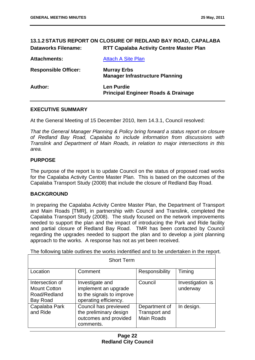#### **13.1.2 STATUS REPORT ON CLOSURE OF REDLAND BAY ROAD, CAPALABA Dataworks Filename: RTT Capalaba Activity Centre Master Plan**

| <b>Attachments:</b>         | <b>Attach A Site Plan</b>                                           |
|-----------------------------|---------------------------------------------------------------------|
| <b>Responsible Officer:</b> | <b>Murray Erbs</b><br><b>Manager Infrastructure Planning</b>        |
| Author:                     | <b>Len Purdie</b><br><b>Principal Engineer Roads &amp; Drainage</b> |

#### **EXECUTIVE SUMMARY**

At the General Meeting of 15 December 2010, Item 14.3.1, Council resolved:

*That the General Manager Planning & Policy bring forward a status report on closure of Redland Bay Road, Capalaba to include information from discussions with Translink and Department of Main Roads, in relation to major intersections in this area.* 

#### **PURPOSE**

The purpose of the report is to update Council on the status of proposed road works for the Capalaba Activity Centre Master Plan. This is based on the outcomes of the Capalaba Transport Study (2008) that include the closure of Redland Bay Road.

#### **BACKGROUND**

In preparing the Capalaba Activity Centre Master Plan, the Department of Transport and Main Roads [TMR], in partnership with Council and Translink, completed the Capalaba Transport Study (2008). The study focused on the network improvements needed to support the plan and the impact of introducing the Park and Ride facility and partial closure of Redland Bay Road. TMR has been contacted by Council regarding the upgrades needed to support the plan and to develop a joint planning approach to the works. A response has not as yet been received.

The following table outlines the works indentified and to be undertaken in the report.

| <b>Short Term</b>                                                  |                                                                                               |                                                            |                              |
|--------------------------------------------------------------------|-----------------------------------------------------------------------------------------------|------------------------------------------------------------|------------------------------|
| Location                                                           | Comment                                                                                       | Responsibility                                             | Timing                       |
| Intersection of<br><b>Mount Cotton</b><br>Road/Redland<br>Bay Road | Investigate and<br>implement an upgrade<br>to the signals to improve<br>operating efficiency. | Council                                                    | Investigation is<br>underway |
| Capalaba Park<br>and Ride                                          | Council has previewed<br>the preliminary design<br>outcomes and provided<br>comments.         | Department of<br><b>Transport and</b><br><b>Main Roads</b> | In design.                   |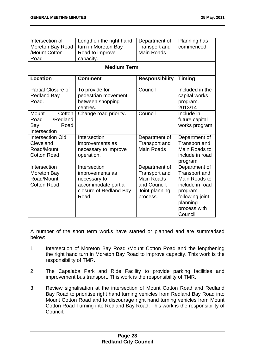| Intersection of<br>Moreton Bay Road<br>/Mount Cotton<br>Road             | Lengthen the right hand<br>turn in Moreton Bay<br>Road to improve<br>capacity.<br><b>Medium Term</b>      | Department of<br><b>Transport and</b><br><b>Main Roads</b>                                               | Planning has<br>commenced.                                                                                                               |  |
|--------------------------------------------------------------------------|-----------------------------------------------------------------------------------------------------------|----------------------------------------------------------------------------------------------------------|------------------------------------------------------------------------------------------------------------------------------------------|--|
| <b>Location</b><br><b>Comment</b><br><b>Timing</b>                       |                                                                                                           |                                                                                                          |                                                                                                                                          |  |
|                                                                          |                                                                                                           | <b>Responsibility</b>                                                                                    |                                                                                                                                          |  |
| <b>Partial Closure of</b><br><b>Redland Bay</b><br>Road.                 | To provide for<br>pedestrian movement<br>between shopping<br>centres.                                     | Council                                                                                                  | Included in the<br>capital works<br>program.<br>2013/14                                                                                  |  |
| Mount<br>Cotton<br>Road<br>/Redland<br>Road<br>Bay<br>Intersection       | Change road priority.                                                                                     | Council                                                                                                  | Include in<br>future capital<br>works program                                                                                            |  |
| <b>Intersection Old</b><br>Cleveland<br>Road/Mount<br><b>Cotton Road</b> | Intersection<br>improvements as<br>necessary to improve<br>operation.                                     | Department of<br><b>Transport and</b><br><b>Main Roads</b>                                               | Department of<br><b>Transport and</b><br>Main Roads to<br>include in road<br>program                                                     |  |
| Intersection<br>Moreton Bay<br>Road/Mount<br><b>Cotton Road</b>          | Intersection<br>improvements as<br>necessary to<br>accommodate partial<br>closure of Redland Bay<br>Road. | Department of<br><b>Transport and</b><br><b>Main Roads</b><br>and Council.<br>Joint planning<br>process. | Department of<br>Transport and<br>Main Roads to<br>include in road<br>program<br>following joint<br>planning<br>process with<br>Council. |  |

A number of the short term works have started or planned and are summarised below:

- 1. Intersection of Moreton Bay Road /Mount Cotton Road and the lengthening the right hand turn in Moreton Bay Road to improve capacity. This work is the responsibility of TMR.
- 2. The Capalaba Park and Ride Facility to provide parking facilities and improvement bus transport. This work is the responsibility of TMR.
- 3. Review signalisation at the intersection of Mount Cotton Road and Redland Bay Road to prioritise right hand turning vehicles from Redland Bay Road into Mount Cotton Road and to discourage right hand turning vehicles from Mount Cotton Road Turning into Redland Bay Road. This work is the responsibility of Council.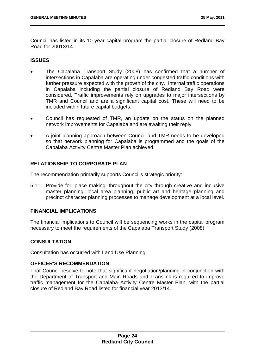Council has listed in its 10 year capital program the partial closure of Redland Bay Road for 20013/14.

#### **ISSUES**

- The Capalaba Transport Study (2008) has confirmed that a number of intersections in Capalaba are operating under congested traffic conditions with further pressure expected with the growth of the city. Internal traffic operations in Capalaba including the partial closure of Redland Bay Road were considered. Traffic improvements rely on upgrades to major intersections by TMR and Council and are a significant capital cost. These will need to be included within future capital budgets.
- Council has requested of TMR, an update on the status on the planned network improvements for Capalaba and are awaiting their reply
- A joint planning approach between Council and TMR needs to be developed so that network planning for Capalaba is programmed and the goals of the Capalaba Activity Centre Master Plan achieved.

#### **RELATIONSHIP TO CORPORATE PLAN**

The recommendation primarily supports Council's strategic priority:

5.11 Provide for 'place making' throughout the city through creative and inclusive master planning, local area planning, public art and heritage planning and precinct character planning processes to manage development at a local level.

#### **FINANCIAL IMPLICATIONS**

The financial implications to Council will be sequencing works in the capital program necessary to meet the requirements of the Capalaba Transport Study (2008).

#### **CONSULTATION**

Consultation has occurred with Land Use Planning.

#### **OFFICER'S RECOMMENDATION**

That Council resolve to note that significant negotiation/planning in conjunction with the Department of Transport and Main Roads and Translink is required to improve traffic management for the Capalaba Activity Centre Master Plan, with the partial closure of Redland Bay Road listed for financial year 2013/14.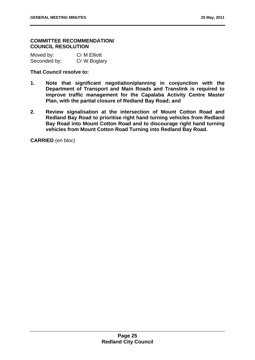#### **COMMITTEE RECOMMENDATION/ COUNCIL RESOLUTION**

Moved by: Cr M Elliott Seconded by: Cr W Boglary

#### **That Council resolve to:**

- **1. Note that significant negotiation/planning in conjunction with the Department of Transport and Main Roads and Translink is required to improve traffic management for the Capalaba Activity Centre Master Plan, with the partial closure of Redland Bay Road; and**
- **2. Review signalisation at the intersection of Mount Cotton Road and Redland Bay Road to prioritise right hand turning vehicles from Redland Bay Road into Mount Cotton Road and to discourage right hand turning vehicles from Mount Cotton Road Turning into Redland Bay Road.**

**CARRIED** (en bloc)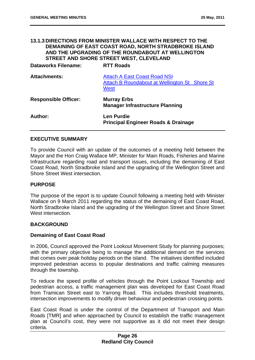#### **13.1.3 DIRECTIONS FROM MINISTER WALLACE WITH RESPECT TO THE DEMAINING OF EAST COAST ROAD, NORTH STRADBROKE ISLAND AND THE UPGRADING OF THE ROUNDABOUT AT WELLINGTON STREET AND SHORE STREET WEST, CLEVELAND**

**Dataworks Filename: RTT Roads** 

| <b>Attachments:</b>         | <b>Attach A East Coast Road NSI</b><br>Attach B Roundabout at Wellington St Shore St<br><b>West</b> |  |
|-----------------------------|-----------------------------------------------------------------------------------------------------|--|
| <b>Responsible Officer:</b> | <b>Murray Erbs</b><br><b>Manager Infrastructure Planning</b>                                        |  |
| Author:                     | <b>Len Purdie</b><br><b>Principal Engineer Roads &amp; Drainage</b>                                 |  |

#### **EXECUTIVE SUMMARY**

To provide Council with an update of the outcomes of a meeting held between the Mayor and the Hon Craig Wallace MP, Minister for Main Roads, Fisheries and Marine Infrastructure regarding road and transport issues, including the demaining of East Coast Road, North Stradbroke Island and the upgrading of the Wellington Street and Shore Street West intersection.

#### **PURPOSE**

The purpose of the report is to update Council following a meeting held with Minister Wallace on 9 March 2011 regarding the status of the demaining of East Coast Road, North Stradbroke Island and the upgrading of the Wellington Street and Shore Street West intersection.

#### **BACKGROUND**

#### **Demaining of East Coast Road**

In 2006, Council approved the Point Lookout Movement Study for planning purposes; with the primary objective being to manage the additional demand on the services that comes over peak holiday periods on the island. The initiatives identified included improved pedestrian access to popular destinations and traffic calming measures through the township.

To reduce the speed profile of vehicles through the Point Lookout Township and pedestrian access, a traffic management plan was developed for East Coast Road from Tramican Street east to Yarrong Road. This includes threshold treatments, intersection improvements to modify driver behaviour and pedestrian crossing points.

East Coast Road is under the control of the Department of Transport and Main Roads [TMR] and when approached by Council to establish the traffic management plan at Council's cost, they were not supportive as it did not meet their design criteria.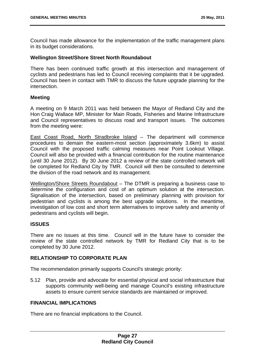Council has made allowance for the implementation of the traffic management plans in its budget considerations.

#### **Wellington Street/Shore Street North Roundabout**

There has been continued traffic growth at this intersection and management of cyclists and pedestrians has led to Council receiving complaints that it be upgraded. Council has been in contact with TMR to discuss the future upgrade planning for the intersection.

#### **Meeting**

A meeting on 9 March 2011 was held between the Mayor of Redland City and the Hon Craig Wallace MP, Minister for Main Roads, Fisheries and Marine Infrastructure and Council representatives to discuss road and transport issues. The outcomes from the meeting were:

East Coast Road, North Stradbroke Island – The department will commence procedures to demain the eastern-most section (approximately 3.6km) to assist Council with the proposed traffic calming measures near Point Lookout Village. Council will also be provided with a financial contribution for the routine maintenance (until 30 June 2012). By 30 June 2012 a review of the state controlled network will be completed for Redland City by TMR. Council will then be consulted to determine the division of the road network and its management.

Wellington/Shore Streets Roundabout – The DTMR is preparing a business case to determine the configuration and cost of an optimum solution at the intersection. Signalisation of the intersection, based on preliminary planning with provision for pedestrian and cyclists is among the best upgrade solutions. In the meantime, investigation of low cost and short term alternatives to improve safety and amenity of pedestrians and cyclists will begin.

#### **ISSUES**

There are no issues at this time. Council will in the future have to consider the review of the state controlled network by TMR for Redland City that is to be completed by 30 June 2012.

#### **RELATIONSHIP TO CORPORATE PLAN**

The recommendation primarily supports Council's strategic priority:

5.12 Plan, provide and advocate for essential physical and social infrastructure that supports community well-being and manage Council's existing infrastructure assets to ensure current service standards are maintained or improved.

#### **FINANCIAL IMPLICATIONS**

There are no financial implications to the Council.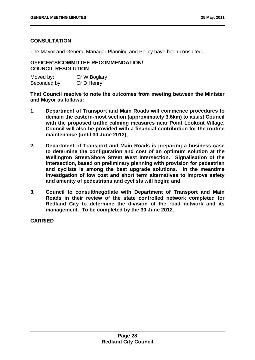#### **CONSULTATION**

The Mayor and General Manager Planning and Policy have been consulted.

#### **OFFICER'S/COMMITTEE RECOMMENDATION/ COUNCIL RESOLUTION**

| Moved by:    | Cr W Boglary |
|--------------|--------------|
| Seconded by: | Cr D Henry   |

**That Council resolve to note the outcomes from meeting between the Minister and Mayor as follows:** 

- **1. Department of Transport and Main Roads will commence procedures to demain the eastern-most section (approximately 3.6km) to assist Council with the proposed traffic calming measures near Point Lookout Village. Council will also be provided with a financial contribution for the routine maintenance (until 30 June 2012);**
- **2. Department of Transport and Main Roads is preparing a business case to determine the configuration and cost of an optimum solution at the Wellington Street/Shore Street West intersection. Signalisation of the intersection, based on preliminary planning with provision for pedestrian and cyclists is among the best upgrade solutions. In the meantime investigation of low cost and short term alternatives to improve safety and amenity of pedestrians and cyclists will begin; and**
- **3. Council to consult/negotiate with Department of Transport and Main Roads in their review of the state controlled network completed for Redland City to determine the division of the road network and its management. To be completed by the 30 June 2012.**

**CARRIED**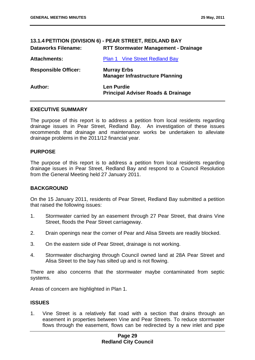| <b>Dataworks Filename:</b>  | 13.1.4 PETITION (DIVISION 6) - PEAR STREET, REDLAND BAY<br><b>RTT Stormwater Management - Drainage</b> |
|-----------------------------|--------------------------------------------------------------------------------------------------------|
| <b>Attachments:</b>         | <b>Plan 1 Vine Street Redland Bay</b>                                                                  |
| <b>Responsible Officer:</b> | <b>Murray Erbs</b><br><b>Manager Infrastructure Planning</b>                                           |
| Author:                     | <b>Len Purdie</b><br><b>Principal Adviser Roads &amp; Drainage</b>                                     |

#### **EXECUTIVE SUMMARY**

The purpose of this report is to address a petition from local residents regarding drainage issues in Pear Street, Redland Bay. An investigation of these issues recommends that drainage and maintenance works be undertaken to alleviate drainage problems in the 2011/12 financial year.

#### **PURPOSE**

The purpose of this report is to address a petition from local residents regarding drainage issues in Pear Street, Redland Bay and respond to a Council Resolution from the General Meeting held 27 January 2011.

#### **BACKGROUND**

On the 15 January 2011, residents of Pear Street, Redland Bay submitted a petition that raised the following issues:

- 1. Stormwater carried by an easement through 27 Pear Street, that drains Vine Street, floods the Pear Street carriageway.
- 2. Drain openings near the corner of Pear and Alisa Streets are readily blocked.
- 3. On the eastern side of Pear Street, drainage is not working.
- 4. Stormwater discharging through Council owned land at 28A Pear Street and Alisa Street to the bay has silted up and is not flowing.

There are also concerns that the stormwater maybe contaminated from septic systems.

Areas of concern are highlighted in Plan 1.

#### **ISSUES**

1. Vine Street is a relatively flat road with a section that drains through an easement in properties between Vine and Pear Streets. To reduce stormwater flows through the easement, flows can be redirected by a new inlet and pipe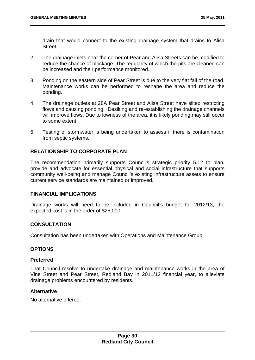drain that would connect to the existing drainage system that drains to Alisa Street.

- 2. The drainage inlets near the corner of Pear and Alisa Streets can be modified to reduce the chance of blockage. The regularity of which the pits are cleaned can be increased and their performance monitored.
- 3. Ponding on the eastern side of Pear Street is due to the very flat fall of the road. Maintenance works can be performed to reshape the area and reduce the ponding.
- 4. The drainage outlets at 28A Pear Street and Alisa Street have silted restricting flows and causing ponding. Desilting and re-establishing the drainage channels will improve flows. Due to lowness of the area, it is likely ponding may still occur to some extent.
- 5. Testing of stormwater is being undertaken to assess if there is contamination from septic systems.

#### **RELATIONSHIP TO CORPORATE PLAN**

The recommendation primarily supports Council's strategic priority 5.12 to plan, provide and advocate for essential physical and social infrastructure that supports community well-being and manage Council's existing infrastructure assets to ensure current service standards are maintained or improved.

#### **FINANCIAL IMPLICATIONS**

Drainage works will need to be included in Council's budget for 2012/13, the expected cost is in the order of \$25,000.

#### **CONSULTATION**

Consultation has been undertaken with Operations and Maintenance Group.

#### **OPTIONS**

#### **Preferred**

That Council resolve to undertake drainage and maintenance works in the area of Vine Street and Pear Street, Redland Bay in 2011/12 financial year, to alleviate drainage problems encountered by residents.

#### **Alternative**

No alternative offered.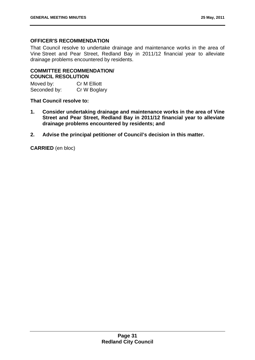# **OFFICER'S RECOMMENDATION**

That Council resolve to undertake drainage and maintenance works in the area of Vine Street and Pear Street, Redland Bay in 2011/12 financial year to alleviate drainage problems encountered by residents.

# **COMMITTEE RECOMMENDATION/ COUNCIL RESOLUTION**

Moved by: Cr M Elliott Seconded by: Cr W Boglary

## **That Council resolve to:**

- **1. Consider undertaking drainage and maintenance works in the area of Vine Street and Pear Street, Redland Bay in 2011/12 financial year to alleviate drainage problems encountered by residents; and**
- **2. Advise the principal petitioner of Council's decision in this matter.**

**CARRIED** (en bloc)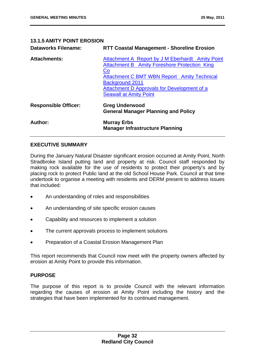# **13.1.5 AMITY POINT EROSION Dataworks Filename: RTT Coastal Management - Shoreline Erosion Attachments:** Attachment A Report by J M Eberhardt Amity Point Attachment B Amity Foreshore Protection King Co Attachment C BMT WBN Report Amity Technical Background 2011

| <b>Responsible Officer:</b> | <b>Greg Underwood</b><br><b>General Manager Planning and Policy</b> |
|-----------------------------|---------------------------------------------------------------------|
| <b>Author:</b>              | <b>Murray Erbs</b><br><b>Manager Infrastructure Planning</b>        |

# **EXECUTIVE SUMMARY**

During the January Natural Disaster significant erosion occurred at Amity Point, North Stradbroke Island putting land and property at risk. Council staff responded by making rock available for the use of residents to protect their property's and by placing rock to protect Public land at the old School House Park. Council at that time undertook to organise a meeting with residents and DERM present to address issues that included:

Seawall at Amity Point

Attachment D Approvals for Development of a

- An understanding of roles and responsibilities
- An understanding of site specific erosion causes
- Capability and resources to implement a solution
- The current approvals process to implement solutions
- Preparation of a Coastal Erosion Management Plan

This report recommends that Council now meet with the property owners affected by erosion at Amity Point to provide this information.

### **PURPOSE**

The purpose of this report is to provide Council with the relevant information regarding the causes of erosion at Amity Point including the history and the strategies that have been implemented for its continued management.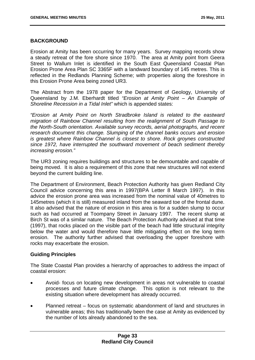### **BACKGROUND**

Erosion at Amity has been occurring for many years. Survey mapping records show a steady retreat of the fore shore since 1970. The area at Amity point from Geera Street to Wallum Inlet is identified in the South East Queensland Coastal Plan Erosion Prone Area Plan SC 3365F with a landward boundary of 145 metres. This is reflected in the Redlands Planning Scheme; with properties along the foreshore in this Erosion Prone Area being zoned UR3.

The Abstract from the 1978 paper for the Department of Geology, University of Queensland by J.M. Eberhardt titled *"Erosion at Amity Point – An Example of Shoreline Recession in a Tidal Inlet"* which is appended states:

*"Erosion at Amity Point on North Stradbroke Island is related to the eastward migration of Rainbow Channel resulting from the realignment of South Passage to the North-South orientation. Available survey records, aerial photographs, and recent research document this change. Slumping of the channel banks occurs and erosion is greatest where Rainbow Channel is closest to shore. Rock groynes constructed since 1972, have interrupted the southward movement of beach sediment thereby increasing erosion."* 

The UR3 zoning requires buildings and structures to be demountable and capable of being moved. It is also a requirement of this zone that new structures will not extend beyond the current building line.

The Department of Environment, Beach Protection Authority has given Redland City Council advice concerning this area in 1997(BPA Letter 8 March 1997). In this advice the erosion prone area was increased from the nominal value of 40metres to 145metres (which it is still) measured inland from the seaward toe of the frontal dune. It also advised that the nature of erosion in this area is for a sudden slump to occur such as had occurred at Toompany Street in January 1997. The recent slump at Birch St was of a similar nature. The Beach Protection Authority advised at that time (1997), that rocks placed on the visible part of the beach had little structural integrity below the water and would therefore have little mitigating effect on the long term erosion. The authority further advised that overloading the upper foreshore with rocks may exacerbate the erosion.

# **Guiding Principles**

The State Coastal Plan provides a hierarchy of approaches to address the impact of coastal erosion:

- Avoid- focus on locating new development in areas not vulnerable to coastal processes and future climate change. This option is not relevant to the existing situation where development has already occurred.
- Planned retreat focus on systematic abandonment of land and structures in vulnerable areas; this has traditionally been the case at Amity as evidenced by the number of lots already abandoned to the sea.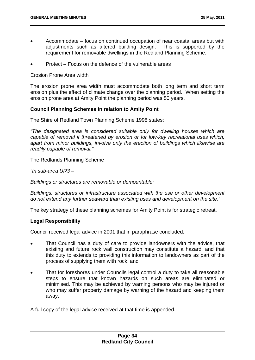- Accommodate focus on continued occupation of near coastal areas but with adjustments such as altered building design. This is supported by the requirement for removable dwellings in the Redland Planning Scheme.
- Protect Focus on the defence of the vulnerable areas

Erosion Prone Area width

The erosion prone area width must accommodate both long term and short term erosion plus the effect of climate change over the planning period. When setting the erosion prone area at Amity Point the planning period was 50 years.

## **Council Planning Schemes in relation to Amity Point**

The Shire of Redland Town Planning Scheme 1998 states:

*"The designated area is considered suitable only for dwelling houses which are capable of removal if threatened by erosion or for low-key recreational uses which, apart from minor buildings, involve only the erection of buildings which likewise are readily capable of removal."* 

The Redlands Planning Scheme

*"In sub-area UR3 –* 

*Buildings or structures are removable or demountable;* 

*Buildings, structures or infrastructure associated with the use or other development do not extend any further seaward than existing uses and development on the site."* 

The key strategy of these planning schemes for Amity Point is for strategic retreat.

### **Legal Responsibility**

Council received legal advice in 2001 that in paraphrase concluded:

- That Council has a duty of care to provide landowners with the advice, that existing and future rock wall construction may constitute a hazard, and that this duty to extends to providing this information to landowners as part of the process of supplying them with rock, and
- That for foreshores under Councils legal control a duty to take all reasonable steps to ensure that known hazards on such areas are eliminated or minimised. This may be achieved by warning persons who may be injured or who may suffer property damage by warning of the hazard and keeping them away.

A full copy of the legal advice received at that time is appended.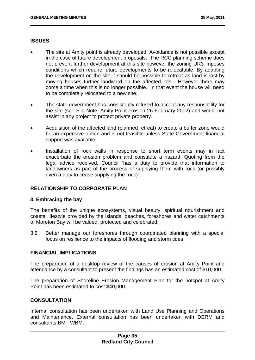## **ISSUES**

- The site at Amity point is already developed. Avoidance is not possible except in the case of future development proposals. The RCC planning scheme does not prevent further development at this site however the zoning UR3 imposes conditions which require future developments to be relocatable. By adapting the development on the site it should be possible to retreat as land is lost by moving houses further landward on the affected lots. However there may come a time when this is no longer possible. In that event the house will need to be completely relocated to a new site.
- The state government has consistently refused to accept any responsibility for the site (see File Note: Amity Point erosion 26 February 2002) and would not assist in any project to protect private property.
- Acquisition of the affected land (planned retreat) to create a buffer zone would be an expensive option and is not feasible unless State Government financial support was available.
- Installation of rock walls in response to short term events may in fact exacerbate the erosion problem and constitute a hazard. Quoting from the legal advice received, Council "has a duty to provide that information to landowners as part of the process of supplying them with rock (or possibly even a duty to cease supplying the rock)".

# **RELATIONSHIP TO CORPORATE PLAN**

### **3. Embracing the bay**

The benefits of the unique ecosystems, visual beauty, spiritual nourishment and coastal lifestyle provided by the islands, beaches, foreshores and water catchments of Moreton Bay will be valued, protected and celebrated.

3.2 Better manage our foreshores through coordinated planning with a special focus on resilience to the impacts of flooding and storm tides.

### **FINANCIAL IMPLICATIONS**

The preparation of a desktop review of the causes of erosion at Amity Point and attendance by a consultant to present the findings has an estimated cost of \$10,000.

The preparation of Shoreline Erosion Management Plan for the hotspot at Amity Point has been estimated to cost \$40,000.

### **CONSULTATION**

Internal consultation has been undertaken with Land Use Planning and Operations and Maintenance. External consultation has been undertaken with DERM and consultants BMT WBM.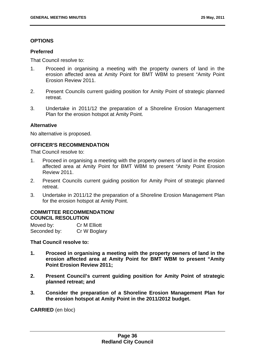## **OPTIONS**

### **Preferred**

That Council resolve to:

- 1. Proceed in organising a meeting with the property owners of land in the erosion affected area at Amity Point for BMT WBM to present "Amity Point Erosion Review 2011.
- 2. Present Councils current guiding position for Amity Point of strategic planned retreat
- 3. Undertake in 2011/12 the preparation of a Shoreline Erosion Management Plan for the erosion hotspot at Amity Point.

## **Alternative**

No alternative is proposed.

## **OFFICER'S RECOMMENDATION**

That Council resolve to:

- 1. Proceed in organising a meeting with the property owners of land in the erosion affected area at Amity Point for BMT WBM to present "Amity Point Erosion Review 2011.
- 2. Present Councils current guiding position for Amity Point of strategic planned retreat.
- 3. Undertake in 2011/12 the preparation of a Shoreline Erosion Management Plan for the erosion hotspot at Amity Point.

## **COMMITTEE RECOMMENDATION/ COUNCIL RESOLUTION**

| Moved by:    | Cr M Elliott |
|--------------|--------------|
| Seconded by: | Cr W Boglary |

**That Council resolve to:** 

- **1. Proceed in organising a meeting with the property owners of land in the erosion affected area at Amity Point for BMT WBM to present "Amity Point Erosion Review 2011;**
- **2. Present Council's current guiding position for Amity Point of strategic planned retreat; and**
- **3. Consider the preparation of a Shoreline Erosion Management Plan for the erosion hotspot at Amity Point in the 2011/2012 budget.**

**CARRIED** (en bloc)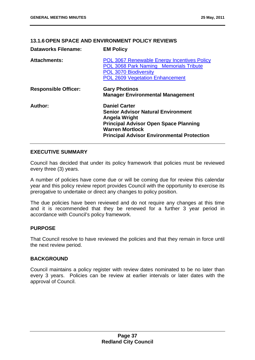# **13.1.6 OPEN SPACE AND ENVIRONMENT POLICY REVIEWS**

| <b>Dataworks Filename:</b>  | <b>EM Policy</b>                                                                                                                                                                                                  |
|-----------------------------|-------------------------------------------------------------------------------------------------------------------------------------------------------------------------------------------------------------------|
| <b>Attachments:</b>         | <b>POL 3067 Renewable Energy Incentives Policy</b><br><b>POL 3068 Park Naming Memorials Tribute</b><br><b>POL 3070 Biodiversity</b><br><b>POL 2609 Vegetation Enhancement</b>                                     |
| <b>Responsible Officer:</b> | <b>Gary Photinos</b><br><b>Manager Environmental Management</b>                                                                                                                                                   |
| Author:                     | <b>Daniel Carter</b><br><b>Senior Advisor Natural Environment</b><br>Angela Wright<br><b>Principal Advisor Open Space Planning</b><br><b>Warren Mortlock</b><br><b>Principal Advisor Environmental Protection</b> |

## **EXECUTIVE SUMMARY**

Council has decided that under its policy framework that policies must be reviewed every three (3) years.

A number of policies have come due or will be coming due for review this calendar year and this policy review report provides Council with the opportunity to exercise its prerogative to undertake or direct any changes to policy position.

The due policies have been reviewed and do not require any changes at this time and it is recommended that they be renewed for a further 3 year period in accordance with Council's policy framework.

# **PURPOSE**

That Council resolve to have reviewed the policies and that they remain in force until the next review period.

### **BACKGROUND**

Council maintains a policy register with review dates nominated to be no later than every 3 years. Policies can be review at earlier intervals or later dates with the approval of Council.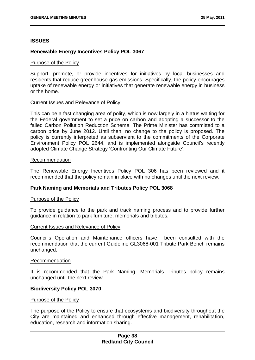### **ISSUES**

## **Renewable Energy Incentives Policy POL 3067**

#### Purpose of the Policy

Support, promote, or provide incentives for initiatives by local businesses and residents that reduce greenhouse gas emissions. Specifically, the policy encourages uptake of renewable energy or initiatives that generate renewable energy in business or the home.

### Current Issues and Relevance of Policy

This can be a fast changing area of polity, which is now largely in a hiatus waiting for the Federal government to set a price on carbon and adopting a successor to the failed Carbon Pollution Reduction Scheme. The Prime Minister has committed to a carbon price by June 2012. Until then, no change to the policy is proposed. The policy is currently interpreted as subservient to the commitments of the Corporate Environment Policy POL 2644, and is implemented alongside Council's recently adopted Climate Change Strategy 'Confronting Our Climate Future'.

#### Recommendation

The Renewable Energy Incentives Policy POL 306 has been reviewed and it recommended that the policy remain in place with no changes until the next review.

### **Park Naming and Memorials and Tributes Policy POL 3068**

#### Purpose of the Policy

To provide guidance to the park and track naming process and to provide further guidance in relation to park furniture, memorials and tributes.

### Current Issues and Relevance of Policy

Council's Operation and Maintenance officers have been consulted with the recommendation that the current Guideline GL3068-001 Tribute Park Bench remains unchanged.

#### Recommendation

It is recommended that the Park Naming, Memorials Tributes policy remains unchanged until the next review.

### **Biodiversity Policy POL 3070**

#### Purpose of the Policy

The purpose of the Policy to ensure that ecosystems and biodiversity throughout the City are maintained and enhanced through effective management, rehabilitation, education, research and information sharing.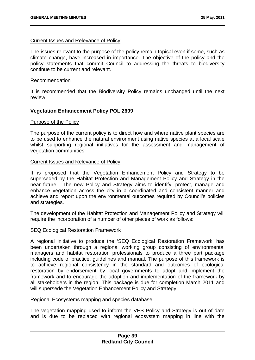### Current Issues and Relevance of Policy

The issues relevant to the purpose of the policy remain topical even if some, such as climate change, have increased in importance. The objective of the policy and the policy statements that commit Council to addressing the threats to biodiversity continue to be current and relevant.

#### Recommendation

It is recommended that the Biodiversity Policy remains unchanged until the next review.

### **Vegetation Enhancement Policy POL 2609**

#### Purpose of the Policy

The purpose of the current policy is to direct how and where native plant species are to be used to enhance the natural environment using native species at a local scale whilst supporting regional initiatives for the assessment and management of vegetation communities.

#### Current Issues and Relevance of Policy

It is proposed that the Vegetation Enhancement Policy and Strategy to be superseded by the Habitat Protection and Management Policy and Strategy in the near future. The new Policy and Strategy aims to identify, protect, manage and enhance vegetation across the city in a coordinated and consistent manner and achieve and report upon the environmental outcomes required by Council's policies and strategies.

The development of the Habitat Protection and Management Policy and Strategy will require the incorporation of a number of other pieces of work as follows:

### SEQ Ecological Restoration Framework

A regional initiative to produce the 'SEQ Ecological Restoration Framework' has been undertaken through a regional working group consisting of environmental managers and habitat restoration professionals to produce a three part package including code of practice, guidelines and manual. The purpose of this framework is to achieve regional consistency in the standard and outcomes of ecological restoration by endorsement by local governments to adopt and implement the framework and to encourage the adoption and implementation of the framework by all stakeholders in the region. This package is due for completion March 2011 and will supersede the Vegetation Enhancement Policy and Strategy.

Regional Ecosystems mapping and species database

The vegetation mapping used to inform the VES Policy and Strategy is out of date and is due to be replaced with regional ecosystem mapping in line with the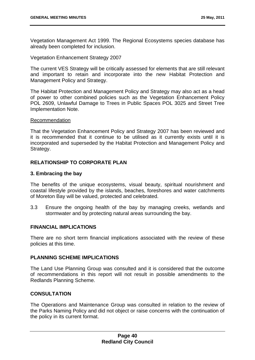Vegetation Management Act 1999. The Regional Ecosystems species database has already been completed for inclusion.

Vegetation Enhancement Strategy 2007

The current VES Strategy will be critically assessed for elements that are still relevant and important to retain and incorporate into the new Habitat Protection and Management Policy and Strategy.

The Habitat Protection and Management Policy and Strategy may also act as a head of power to other combined policies such as the Vegetation Enhancement Policy POL 2609, Unlawful Damage to Trees in Public Spaces POL 3025 and Street Tree Implementation Note.

#### Recommendation

That the Vegetation Enhancement Policy and Strategy 2007 has been reviewed and it is recommended that it continue to be utilised as it currently exists until it is incorporated and superseded by the Habitat Protection and Management Policy and Strategy.

# **RELATIONSHIP TO CORPORATE PLAN**

### **3. Embracing the bay**

The benefits of the unique ecosystems, visual beauty, spiritual nourishment and coastal lifestyle provided by the islands, beaches, foreshores and water catchments of Moreton Bay will be valued, protected and celebrated.

3.3 Ensure the ongoing health of the bay by managing creeks, wetlands and stormwater and by protecting natural areas surrounding the bay.

#### **FINANCIAL IMPLICATIONS**

There are no short term financial implications associated with the review of these policies at this time.

### **PLANNING SCHEME IMPLICATIONS**

The Land Use Planning Group was consulted and it is considered that the outcome of recommendations in this report will not result in possible amendments to the Redlands Planning Scheme.

### **CONSULTATION**

The Operations and Maintenance Group was consulted in relation to the review of the Parks Naming Policy and did not object or raise concerns with the continuation of the policy in its current format.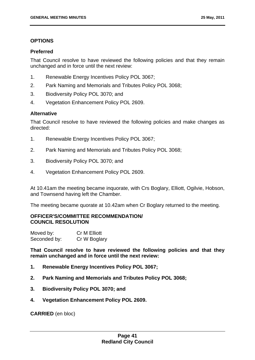## **OPTIONS**

### **Preferred**

That Council resolve to have reviewed the following policies and that they remain unchanged and in force until the next review:

- 1. Renewable Energy Incentives Policy POL 3067;
- 2. Park Naming and Memorials and Tributes Policy POL 3068;
- 3. Biodiversity Policy POL 3070; and
- 4. Vegetation Enhancement Policy POL 2609.

## **Alternative**

That Council resolve to have reviewed the following policies and make changes as directed:

- 1. Renewable Energy Incentives Policy POL 3067;
- 2. Park Naming and Memorials and Tributes Policy POL 3068;
- 3. Biodiversity Policy POL 3070; and
- 4. Vegetation Enhancement Policy POL 2609.

At 10.41am the meeting became inquorate, with Crs Boglary, Elliott, Ogilvie, Hobson, and Townsend having left the Chamber.

The meeting became quorate at 10.42am when Cr Boglary returned to the meeting.

## **OFFICER'S/COMMITTEE RECOMMENDATION/ COUNCIL RESOLUTION**

| Moved by:    | Cr M Elliott |
|--------------|--------------|
| Seconded by: | Cr W Boglary |

**That Council resolve to have reviewed the following policies and that they remain unchanged and in force until the next review:** 

- **1. Renewable Energy Incentives Policy POL 3067;**
- **2. Park Naming and Memorials and Tributes Policy POL 3068;**
- **3. Biodiversity Policy POL 3070; and**
- **4. Vegetation Enhancement Policy POL 2609.**

**CARRIED** (en bloc)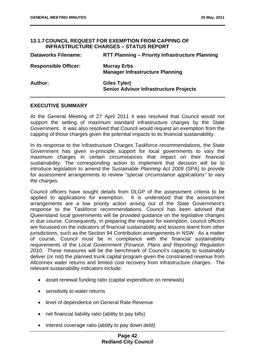#### **13.1.7 COUNCIL REQUEST FOR EXEMPTION FROM CAPPING OF INFRASTRUCTURE CHARGES – STATUS REPORT**

| <b>Dataworks Filename:</b>  | <b>RTT Planning - Priority Infrastructure Planning</b>       |
|-----------------------------|--------------------------------------------------------------|
| <b>Responsible Officer:</b> | <b>Murray Erbs</b><br><b>Manager Infrastructure Planning</b> |
| Author:                     | Giles Tyler<br><b>Senior Advisor Infrastructure Projects</b> |

### **EXECUTIVE SUMMARY**

At the General Meeting of 27 April 2011 it was resolved that Council would not support the setting of maximum standard infrastructure charges by the State Government. It was also resolved that Council would request an exemption from the capping of those charges given the potential impacts to its financial sustainability.

In its response to the Infrastructure Charges Taskforce recommendations, the State Government has given in-principle support for local governments to vary the maximum charges in certain circumstances that impact on their financial sustainability. The corresponding action to implement that decision will be to introduce legislation to amend the *Sustainable Planning Act 2009* (SPA) to provide for assessment arrangements to review *"special circumstance applications"* to vary the charges.

Council officers have sought details from DLGP of the assessment criteria to be applied to applications for exemption. It is understood that the assessment arrangements are a low priority action arising out of the State Government's response to the Taskforce recommendations. Council has been advised that Queensland local governments will be provided guidance on the legislative changes in due course. Consequently, in preparing the request for exemption, council officers are focussed on the indicators of financial sustainability and lessons learnt from other jurisdictions, such as the Section 94 Contribution arrangements in NSW. As a matter of course, Council must be in compliance with the financial sustainability requirements of the *Local Government (Finance, Plans and Reporting) Regulation 2010*. These measures will be the benchmark of Council's capacity to sustainably deliver (or not) the planned trunk capital program given the constrained revenue from Allconnex water returns and limited cost recovery from infrastructure charges. The relevant sustainability indicators include:

- asset renewal funding ratio (capital expenditure on renewals)
- sensitivity to water returns
- level of dependence on General Rate Revenue
- net financial liability ratio (ability to pay bills)
- interest coverage ratio (ability to pay down debt)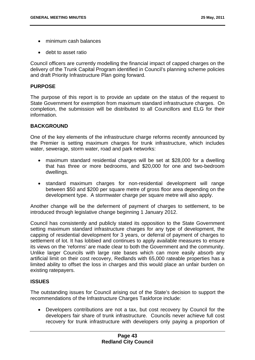- minimum cash balances
- debt to asset ratio

Council officers are currently modelling the financial impact of capped charges on the delivery of the Trunk Capital Program identified in Council's planning scheme policies and draft Priority Infrastructure Plan going forward.

## **PURPOSE**

The purpose of this report is to provide an update on the status of the request to State Government for exemption from maximum standard infrastructure charges. On completion, the submission will be distributed to all Councillors and ELG for their information.

# **BACKGROUND**

One of the key elements of the infrastructure charge reforms recently announced by the Premier is setting maximum charges for trunk infrastructure, which includes water, sewerage, storm water, road and park networks:

- maximum standard residential charges will be set at \$28,000 for a dwelling that has three or more bedrooms, and \$20,000 for one and two-bedroom dwellings.
- standard maximum charges for non-residential development will range between \$50 and \$200 per square metre of gross floor area depending on the development type. A stormwater charge per square metre will also apply.

Another change will be the deferment of payment of charges to settlement, to be introduced through legislative change beginning 1 January 2012.

Council has consistently and publicly stated its opposition to the State Government setting maximum standard infrastructure charges for any type of development, the capping of residential development for 3 years, or deferral of payment of charges to settlement of lot. It has lobbied and continues to apply available measures to ensure its views on the 'reforms' are made clear to both the Government and the community. Unlike larger Councils with large rate bases which can more easily absorb any artificial limit on their cost recovery, Redlands with 65,000 rateable properties has a limited ability to offset the loss in charges and this would place an unfair burden on existing ratepayers.

# **ISSUES**

The outstanding issues for Council arising out of the State's decision to support the recommendations of the Infrastructure Charges Taskforce include:

 Developers contributions are not a tax, but cost recovery by Council for the developers fair share of trunk infrastructure. Councils never achieve full cost recovery for trunk infrastructure with developers only paying a proportion of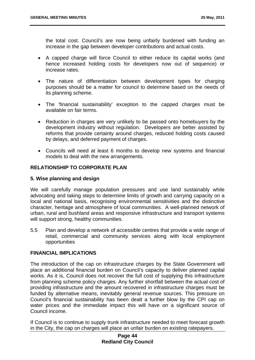the total cost. Council's are now being unfairly burdened with funding an increase in the gap between developer contributions and actual costs.

- A capped charge will force Council to either reduce its capital works (and hence increased holding costs for developers now out of sequence) or increase rates.
- The nature of differentiation between development types for charging purposes should be a matter for council to determine based on the needs of its planning scheme.
- The 'financial sustainability' exception to the capped charges must be available on fair terms.
- Reduction in charges are very unlikely to be passed onto homebuyers by the development industry without regulation. Developers are better assisted by reforms that provide certainty around charges, reduced holding costs caused by delays, and deferred payment of charges.
- Councils will need at least 6 months to develop new systems and financial models to deal with the new arrangements.

## **RELATIONSHIP TO CORPORATE PLAN**

### **5. Wise planning and design**

We will carefully manage population pressures and use land sustainably while advocating and taking steps to determine limits of growth and carrying capacity on a local and national basis, recognising environmental sensitivities and the distinctive character, heritage and atmosphere of local communities. A well-planned network of urban, rural and bushland areas and responsive infrastructure and transport systems will support strong, healthy communities.

5.5 Plan and develop a network of accessible centres that provide a wide range of retail, commercial and community services along with local employment opportunities

# **FINANCIAL IMPLICATIONS**

The introduction of the cap on infrastructure charges by the State Government will place an additional financial burden on Council's capacity to deliver planned capital works. As it is, Council does not recover the full cost of supplying this infrastructure from planning scheme policy charges. Any further shortfall between the actual cost of providing infrastructure and the amount recovered in infrastructure charges must be funded by alternative means, inevitably general revenue sources. This pressure on Council's financial sustainability has been dealt a further blow by the CPI cap on water prices and the immediate impact this will have on a significant source of Council income.

If Council is to continue to supply trunk infrastructure needed to meet forecast growth in the City, the cap on charges will place an unfair burden on existing ratepayers.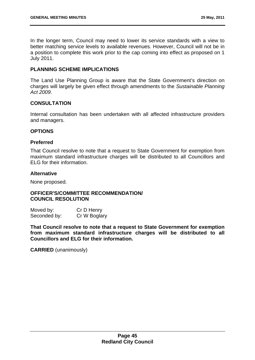In the longer term, Council may need to lower its service standards with a view to better matching service levels to available revenues. However, Council will not be in a position to complete this work prior to the cap coming into effect as proposed on 1 July 2011.

## **PLANNING SCHEME IMPLICATIONS**

The Land Use Planning Group is aware that the State Government's direction on charges will largely be given effect through amendments to the *Sustainable Planning Act 2009*.

### **CONSULTATION**

Internal consultation has been undertaken with all affected infrastructure providers and managers.

## **OPTIONS**

### **Preferred**

That Council resolve to note that a request to State Government for exemption from maximum standard infrastructure charges will be distributed to all Councillors and ELG for their information.

### **Alternative**

None proposed.

## **OFFICER'S/COMMITTEE RECOMMENDATION/ COUNCIL RESOLUTION**

| Moved by:    | Cr D Henry   |
|--------------|--------------|
| Seconded by: | Cr W Boglary |

**That Council resolve to note that a request to State Government for exemption from maximum standard infrastructure charges will be distributed to all Councillors and ELG for their information.** 

**CARRIED** (unanimously)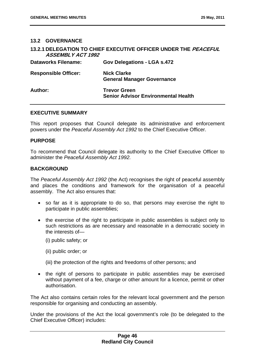## **13.2 GOVERNANCE**

| <b>ASSEMBLY ACT 1992</b>    | 13.2.1 DELEGATION TO CHIEF EXECUTIVE OFFICER UNDER THE PEACEFUL   |
|-----------------------------|-------------------------------------------------------------------|
| <b>Dataworks Filename:</b>  | <b>Gov Delegations - LGA s.472</b>                                |
| <b>Responsible Officer:</b> | <b>Nick Clarke</b><br><b>General Manager Governance</b>           |
| Author:                     | <b>Trevor Green</b><br><b>Senior Advisor Environmental Health</b> |

### **EXECUTIVE SUMMARY**

This report proposes that Council delegate its administrative and enforcement powers under the *Peaceful Assembly Act 1992* to the Chief Executive Officer.

### **PURPOSE**

To recommend that Council delegate its authority to the Chief Executive Officer to administer the *Peaceful Assembly Act 1992.* 

## **BACKGROUND**

The *Peaceful Assembly Act 1992* (the Act) recognises the right of peaceful assembly and places the conditions and framework for the organisation of a peaceful assembly. The Act also ensures that:

- so far as it is appropriate to do so, that persons may exercise the right to participate in public assemblies;
- the exercise of the right to participate in public assemblies is subject only to such restrictions as are necessary and reasonable in a democratic society in the interests of—
	- (i) public safety; or
	- (ii) public order; or
	- (iii) the protection of the rights and freedoms of other persons; and
- the right of persons to participate in public assemblies may be exercised without payment of a fee, charge or other amount for a licence, permit or other authorisation.

The Act also contains certain roles for the relevant local government and the person responsible for organising and conducting an assembly.

Under the provisions of the Act the local government's role (to be delegated to the Chief Executive Officer) includes: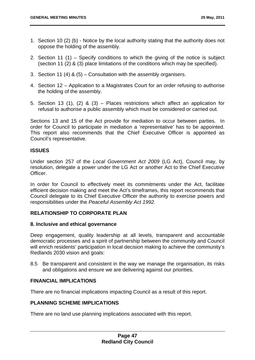- 1. Section 10 (2) (b) Notice by the local authority stating that the authority does not oppose the holding of the assembly.
- 2. Section 11 (1) Specify conditions to which the giving of the notice is subject (section 11 (2) & (3) place limitations of the conditions which may be specified).
- 3. Section 11 (4) & (5) Consultation with the assembly organisers.
- 4. Section 12 Application to a Magistrates Court for an order refusing to authorise the holding of the assembly.
- 5. Section 13 (1), (2) & (3) Places restrictions which affect an application for refusal to authorise a public assembly which must be considered or carried out.

Sections 13 and 15 of the Act provide for mediation to occur between parties. In order for Council to participate in mediation a 'representative' has to be appointed. This report also recommends that the Chief Executive Officer is appointed as Council's representative.

# **ISSUES**

Under section 257 of the *Local Government Act 2009* (LG Act), Council may, by resolution, delegate a power under the LG Act or another Act to the Chief Executive Officer.

In order for Council to effectively meet its commitments under the Act, facilitate efficient decision making and meet the Act's timeframes, this report recommends that Council delegate to its Chief Executive Officer the authority to exercise powers and responsibilities under the *Peaceful Assembly Act 1992.* 

# **RELATIONSHIP TO CORPORATE PLAN**

### **8. Inclusive and ethical governance**

Deep engagement, quality leadership at all levels, transparent and accountable democratic processes and a spirit of partnership between the community and Council will enrich residents' participation in local decision making to achieve the community's Redlands 2030 vision and goals:

8.5 Be transparent and consistent in the way we manage the organisation, its risks and obligations and ensure we are delivering against our priorities.

### **FINANCIAL IMPLICATIONS**

There are no financial implications impacting Council as a result of this report.

### **PLANNING SCHEME IMPLICATIONS**

There are no land use planning implications associated with this report.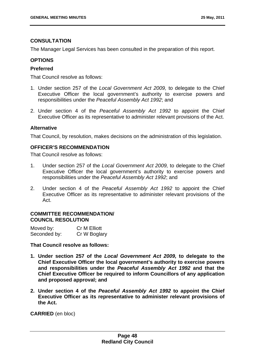## **CONSULTATION**

The Manager Legal Services has been consulted in the preparation of this report.

# **OPTIONS**

## **Preferred**

That Council resolve as follows:

- 1. Under section 257 of the *Local Government Act 2009,* to delegate to the Chief Executive Officer the local government's authority to exercise powers and responsibilities under the *Peaceful Assembly Act 1992*; and
- 2. Under section 4 of the *Peaceful Assembly Act 1992* to appoint the Chief Executive Officer as its representative to administer relevant provisions of the Act.

### **Alternative**

That Council, by resolution, makes decisions on the administration of this legislation.

## **OFFICER'S RECOMMENDATION**

That Council resolve as follows:

- 1. Under section 257 of the *Local Government Act 2009,* to delegate to the Chief Executive Officer the local government's authority to exercise powers and responsibilities under the *Peaceful Assembly Act 1992*; and
- 2. Under section 4 of the *Peaceful Assembly Act 1992* to appoint the Chief Executive Officer as its representative to administer relevant provisions of the Act.

### **COMMITTEE RECOMMENDATION/ COUNCIL RESOLUTION**

| Moved by:    | Cr M Elliott |
|--------------|--------------|
| Seconded by: | Cr W Boglary |

**That Council resolve as follows:** 

- **1. Under section 257 of the** *Local Government Act 2009,* **to delegate to the Chief Executive Officer the local government's authority to exercise powers and responsibilities under the** *Peaceful Assembly Act 1992* **and that the Chief Executive Officer be required to inform Councillors of any application and proposed approval; and**
- **2. Under section 4 of the** *Peaceful Assembly Act 1992* **to appoint the Chief Executive Officer as its representative to administer relevant provisions of the Act.**

**CARRIED** (en bloc)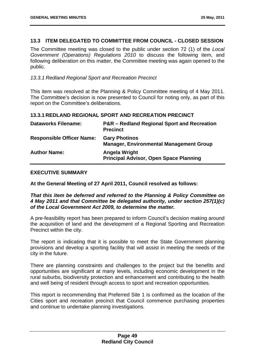## **13.3 ITEM DELEGATED TO COMMITTEE FROM COUNCIL - CLOSED SESSION**

The Committee meeting was closed to the public under section 72 (1) of the *Local Government (Operations) Regulations 2010* to discuss the following item, and following deliberation on this matter, the Committee meeting was again opened to the public.

### *13.3.1 Redland Regional Sport and Recreation Precinct*

This item was resolved at the Planning & Policy Committee meeting of 4 May 2011. The Committee's decision is now presented to Council for noting only, as part of this report on the Committee's deliberations.

### **13.3.1 REDLAND REGIONAL SPORT AND RECREATION PRECINCT**

| <b>Dataworks Filename:</b>       | <b>P&amp;R</b> – Redland Regional Sport and Recreation<br><b>Precinct</b> |
|----------------------------------|---------------------------------------------------------------------------|
| <b>Responsible Officer Name:</b> | <b>Gary Photinos</b><br><b>Manager, Environmental Management Group</b>    |
| <b>Author Name:</b>              | <b>Angela Wright</b><br><b>Principal Advisor, Open Space Planning</b>     |

#### **EXECUTIVE SUMMARY**

**At the General Meeting of 27 April 2011, Council resolved as follows:** 

*That this item be deferred and referred to the Planning & Policy Committee on 4 May 2011 and that Committee be delegated authority, under section 257(1)(c) of the Local Government Act 2009, to determine the matter.* 

A pre-feasibility report has been prepared to inform Council's decision making around the acquisition of land and the development of a Regional Sporting and Recreation Precinct within the city.

The report is indicating that it is possible to meet the State Government planning provisions and develop a sporting facility that will assist in meeting the needs of the city in the future.

There are planning constraints and challenges to the project but the benefits and opportunities are significant at many levels, including economic development in the rural suburbs, biodiversity protection and enhancement and contributing to the health and well being of resident through access to sport and recreation opportunities.

This report is recommending that Preferred Site 1 is confirmed as the location of the Cities sport and recreation precinct that Council commence purchasing properties and continue to undertake planning investigations.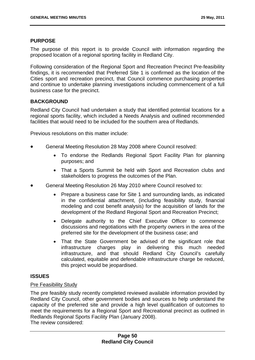## **PURPOSE**

The purpose of this report is to provide Council with information regarding the proposed location of a regional sporting facility in Redland City.

Following consideration of the Regional Sport and Recreation Precinct Pre-feasibility findings, it is recommended that Preferred Site 1 is confirmed as the location of the Cities sport and recreation precinct, that Council commence purchasing properties and continue to undertake planning investigations including commencement of a full business case for the precinct.

## **BACKGROUND**

Redland City Council had undertaken a study that identified potential locations for a regional sports facility, which included a Needs Analysis and outlined recommended facilities that would need to be included for the southern area of Redlands.

Previous resolutions on this matter include:

- General Meeting Resolution 28 May 2008 where Council resolved:
	- To endorse the Redlands Regional Sport Facility Plan for planning purposes; and
	- That a Sports Summit be held with Sport and Recreation clubs and stakeholders to progress the outcomes of the Plan.
- General Meeting Resolution 26 May 2010 where Council resolved to:
	- Prepare a business case for Site 1 and surrounding lands, as indicated in the confidential attachment, (including feasibility study, financial modeling and cost benefit analysis) for the acquisition of lands for the development of the Redland Regional Sport and Recreation Precinct;
	- Delegate authority to the Chief Executive Officer to commence discussions and negotiations with the property owners in the area of the preferred site for the development of the business case; and
	- That the State Government be advised of the significant role that infrastructure charges play in delivering this much needed infrastructure, and that should Redland City Council's carefully calculated, equitable and defendable infrastructure charge be reduced, this project would be jeopardised.

### **ISSUES**

### Pre Feasibility Study

The pre feasibly study recently completed reviewed available information provided by Redland City Council, other government bodies and sources to help understand the capacity of the preferred site and provide a high level qualification of outcomes to meet the requirements for a Regional Sport and Recreational precinct as outlined in Redlands Regional Sports Facility Plan (January 2008). The review considered: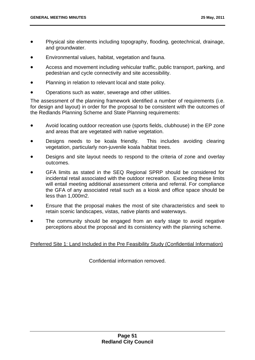- Physical site elements including topography, flooding, geotechnical, drainage, and groundwater.
- Environmental values, habitat, vegetation and fauna.
- Access and movement including vehicular traffic, public transport, parking, and pedestrian and cycle connectivity and site accessibility.
- Planning in relation to relevant local and state policy.
- Operations such as water, sewerage and other utilities.

The assessment of the planning framework identified a number of requirements (i.e. for design and layout) in order for the proposal to be consistent with the outcomes of the Redlands Planning Scheme and State Planning requirements:

- Avoid locating outdoor recreation use (sports fields, clubhouse) in the EP zone and areas that are vegetated with native vegetation.
- Designs needs to be koala friendly. This includes avoiding clearing vegetation, particularly non-juvenile koala habitat trees.
- Designs and site layout needs to respond to the criteria of zone and overlay outcomes.
- GFA limits as stated in the SEQ Regional SPRP should be considered for incidental retail associated with the outdoor recreation. Exceeding these limits will entail meeting additional assessment criteria and referral. For compliance the GFA of any associated retail such as a kiosk and office space should be less than 1,000m2.
- Ensure that the proposal makes the most of site characteristics and seek to retain scenic landscapes, vistas, native plants and waterways.
- The community should be engaged from an early stage to avoid negative perceptions about the proposal and its consistency with the planning scheme.

Preferred Site 1: Land Included in the Pre Feasibility Study (Confidential Information)

Confidential information removed.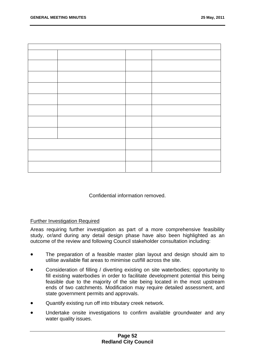Confidential information removed.

### Further Investigation Required

Areas requiring further investigation as part of a more comprehensive feasibility study, or/and during any detail design phase have also been highlighted as an outcome of the review and following Council stakeholder consultation including:

- The preparation of a feasible master plan layout and design should aim to utilise available flat areas to minimise cut/fill across the site.
- Consideration of filling / diverting existing on site waterbodies; opportunity to fill existing waterbodies in order to facilitate development potential this being feasible due to the majority of the site being located in the most upstream ends of two catchments. Modification may require detailed assessment, and state government permits and approvals.
- Quantify existing run off into tributary creek network.
- Undertake onsite investigations to confirm available groundwater and any water quality issues.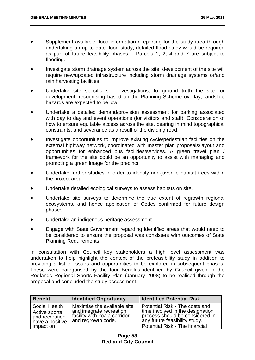- Supplement available flood information / reporting for the study area through undertaking an up to date flood study; detailed flood study would be required as part of future feasibility phases – Parcels 1, 2, 4 and 7 are subject to flooding.
- Investigate storm drainage system across the site; development of the site will require new/updated infrastructure including storm drainage systems or/and rain harvesting facilities.
- Undertake site specific soil investigations, to ground truth the site for development, recognising based on the Planning Scheme overlay, landslide hazards are expected to be low.
- Undertake a detailed demand/provision assessment for parking associated with day to day and event operations (for visitors and staff). Consideration of how to ensure equitable access across the site, bearing in mind topographical constraints, and severance as a result of the dividing road.
- Investigate opportunities to improve existing cycle/pedestrian facilities on the external highway network, coordinated with master plan proposals/layout and opportunities for enhanced bus facilities/services. A green travel plan / framework for the site could be an opportunity to assist with managing and promoting a green image for the precinct.
- Undertake further studies in order to identify non-juvenile habitat trees within the project area.
- Undertake detailed ecological surveys to assess habitats on site.
- Undertake site surveys to determine the true extent of regrowth regional ecosystems, and hence application of Codes confirmed for future design phases.
- Undertake an indigenous heritage assessment.
- Engage with State Government regarding identified areas that would need to be considered to ensure the proposal was consistent with outcomes of State Planning Requirements.

In consultation with Council key stakeholders a high level assessment was undertaken to help highlight the context of the prefeasibility study in addition to providing a list of issues and opportunities to be explored in subsequent phases. These were categorised by the four Benefits identified by Council given in the Redlands Regional Sports Facility Plan (January 2008) to be realised through the proposal and concluded the study assessment.

| <b>Benefit</b>                                                                   | <b>Identified Opportunity</b>                                                                                 | <b>Identified Potential Risk</b>                                                                                                                                         |
|----------------------------------------------------------------------------------|---------------------------------------------------------------------------------------------------------------|--------------------------------------------------------------------------------------------------------------------------------------------------------------------------|
| Social Health<br>Active sports<br>and recreation<br>have a positive<br>impact on | Maximise the available site<br>and integrate recreation<br>facility with koala corridor<br>and regrowth code. | Potential Risk - The costs and<br>time involved in the designation<br>process should be considered in<br>any future feasibility study.<br>Potential Risk - The financial |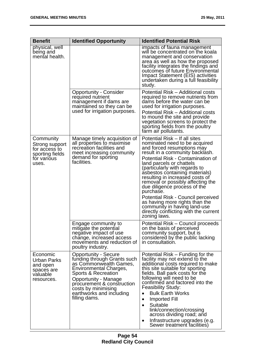| <b>Benefit</b>                                                                          | <b>Identified Opportunity</b>                                                                                                                                                                                                                                          | <b>Identified Potential Risk</b>                                                                                                                                                                                                                                                                                                                                                                                                                                                                                                                          |
|-----------------------------------------------------------------------------------------|------------------------------------------------------------------------------------------------------------------------------------------------------------------------------------------------------------------------------------------------------------------------|-----------------------------------------------------------------------------------------------------------------------------------------------------------------------------------------------------------------------------------------------------------------------------------------------------------------------------------------------------------------------------------------------------------------------------------------------------------------------------------------------------------------------------------------------------------|
| physical, well<br>being and<br>mental health.                                           |                                                                                                                                                                                                                                                                        | impacts of fauna management<br>will be concentrated on the koala<br>management and conservation<br>area as well as how the proposed<br>facility integrates the findings and<br>outcomes of future Environmental<br>Impact Statement (EIS) activities<br>undertaken during a full feasibility<br>study.                                                                                                                                                                                                                                                    |
|                                                                                         | <b>Opportunity - Consider</b><br>required nutrient<br>management if dams are<br>maintained so they can be<br>used for irrigation purposes.                                                                                                                             | Potential Risk - Additional costs<br>required to remove nutrients from<br>dams before the water can be<br>used for irrigation purposes.<br>Potential Risk - Additional costs<br>to mound the site and provide<br>vegetation screens to protect the<br>sporting fields from the poultry<br>farm air pollutants.                                                                                                                                                                                                                                            |
| Community<br>Strong support<br>for access to<br>sporting fields<br>for various<br>uses. | Manage timely acquisition of<br>all properties to maximise<br>recreation facilities and<br>meet increasing community<br>demand for sporting<br>facilities.                                                                                                             | Potential Risk – If all sites<br>nominated need to be acquired<br>and forced resumptions may<br>result in a community backlash.<br>Potential Risk - Contamination of<br>land parcels or chattels<br>(particularly with regards to<br>asbestos containing materials)<br>resulting in increased costs of<br>removal or possibly affecting the<br>due diligence process of the<br>purchase.<br>Potential Risk - Council perceived<br>as having more rights than the<br>community in having land-use<br>directly conflicting with the current<br>zoning laws. |
|                                                                                         | Engage community to<br>mitigate the potential<br>negative impact of use<br>change, increased access<br>movements and reduction of<br>poultry industry.                                                                                                                 | Potential Risk – Council proceeds<br>on the basis of perceived<br>community support, but is<br>considered by the public lacking<br>in consultation.                                                                                                                                                                                                                                                                                                                                                                                                       |
| Economic<br>Urban Parks<br>and open<br>spaces are<br>valuable<br>resources.             | <b>Opportunity - Secure</b><br>funding through Grants such<br>as Commonwealth Games,<br>Environmental Charges,<br>Sports & Recreation<br><b>Opportunity - Manage</b><br>procurement & construction<br>costs by minimising<br>earthworks and including<br>filling dams. | Potential Risk – Funding for the<br>facility may not extend to the<br>additional costs required to make<br>this site suitable for sporting<br>fields. Ball park costs for the<br>following will need to be<br>confirmed and factored into the<br><b>Feasibility Study:</b><br><b>Bulk Earth Works</b><br>$\bullet$<br>Imported Fill<br>Suitable<br>$\bullet$<br>link/connection/crossing<br>across dividing road; and<br>Infrastructure upgrades (e.g.<br>$\bullet$<br>Sewer treatment facilities)                                                        |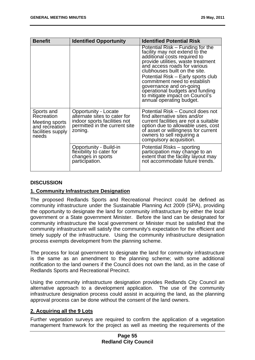| <b>Benefit</b>                                                                             | <b>Identified Opportunity</b>                                                                                                    | <b>Identified Potential Risk</b>                                                                                                                                                                                                                                                                                                                                                                             |
|--------------------------------------------------------------------------------------------|----------------------------------------------------------------------------------------------------------------------------------|--------------------------------------------------------------------------------------------------------------------------------------------------------------------------------------------------------------------------------------------------------------------------------------------------------------------------------------------------------------------------------------------------------------|
|                                                                                            |                                                                                                                                  | Potential Risk – Funding for the<br>facility may not extend to the<br>additional costs required to<br>provide utilities, waste treatment<br>and access roads for various<br>clubhouses built on the site.<br>Potential Risk – Early sports club<br>commitment need to establish<br>governance and on-going<br>operational budgets and funding<br>to mitigate impact on Council's<br>annual operating budget. |
| Sports and<br>Recreation<br>Meeting sports<br>and recreation<br>facilities supply<br>needs | Opportunity - Locate<br>alternate sites to cater for<br>indoor sports facilities not<br>permitted in the current site<br>zoning. | Potential Risk - Council does not<br>find alternative sites and/or<br>current facilities are not a suitable<br>option due to allowable uses, cost<br>of asset or willingness for current<br>owners to sell requiring a<br>compulsory acquisition.                                                                                                                                                            |
|                                                                                            | Opportunity - Build-in<br>flexibility to cater for<br>changes in sports<br>participation.                                        | Potential Risks – sporting<br>participation may change to an<br>extent that the facility layout may<br>not accommodate future trends.                                                                                                                                                                                                                                                                        |

# **DISCUSSION**

# **1. Community Infrastructure Designation**

The proposed Redlands Sports and Recreational Precinct could be defined as community infrastructure under the Sustainable Planning Act 2009 (SPA), providing the opportunity to designate the land for community infrastructure by either the local government or a State government Minister. Before the land can be designated for community infrastructure the local government or Minister must be satisfied that the community infrastructure will satisfy the community's expectation for the efficient and timely supply of the infrastructure. Using the community infrastructure designation process exempts development from the planning scheme.

The process for local government to designate the land for community infrastructure is the same as an amendment to the planning scheme; with some additional notification to the land owners if the Council does not own the land, as in the case of Redlands Sports and Recreational Precinct.

Using the community infrastructure designation provides Redlands City Council an alternative approach to a development application. The use of the community infrastructure designation process could assist in acquiring the land, as the planning approval process can be done without the consent of the land owners.

# **2. Acquiring all the 9 Lots**

Further vegetation surveys are required to confirm the application of a vegetation management framework for the project as well as meeting the requirements of the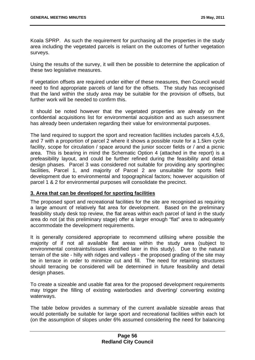Koala SPRP. As such the requirement for purchasing all the properties in the study area including the vegetated parcels is reliant on the outcomes of further vegetation surveys.

Using the results of the survey, it will then be possible to determine the application of these two legislative measures.

If vegetation offsets are required under either of these measures, then Council would need to find appropriate parcels of land for the offsets. The study has recognised that the land within the study area may be suitable for the provision of offsets, but further work will be needed to confirm this.

It should be noted however that the vegetated properties are already on the confidential acquisitions list for environmental acquisition and as such assessment has already been undertaken regarding their value for environmental purposes.

The land required to support the sport and recreation facilities includes parcels 4,5,6, and 7 with a proportion of parcel 2 where it shows a possible route for a 1.5km cycle facility, scope for circulation / space around the junior soccer fields or / and a picnic area. This is bearing in mind the Schematic Option 4 (attached in the report) is a prefeasibility layout, and could be further refined during the feasibility and detail design phases. Parcel 3 was considered not suitable for providing any sporting/rec facilities, Parcel 1, and majority of Parcel 2 are unsuitable for sports field development due to environmental and topographical factors; however acquisition of parcel 1 & 2 for environmental purposes will consolidate the precinct.

# **3. Area that can be developed for sporting facilities**

The proposed sport and recreational facilities for the site are recognised as requiring a large amount of relatively flat area for development. Based on the preliminary feasibility study desk top review, the flat areas within each parcel of land in the study area do not (at this preliminary stage) offer a larger enough "flat" area to adequately accommodate the development requirements.

It is generally considered appropriate to recommend utilising where possible the majority of if not all available flat areas within the study area (subject to environmental constraints/issues identified later in this study). Due to the natural terrain of the site - hilly with ridges and valleys - the proposed grading of the site may be in terrace in order to minimize cut and fill. The need for retaining structures should terracing be considered will be determined in future feasibility and detail design phases.

To create a sizeable and usable flat area for the proposed development requirements may trigger the filling of existing waterbodies and diverting/ converting existing waterways.

The table below provides a summary of the current available sizeable areas that would potentially be suitable for large sport and recreational facilities within each lot (on the assumption of slopes under 6% assumed considering the need for balancing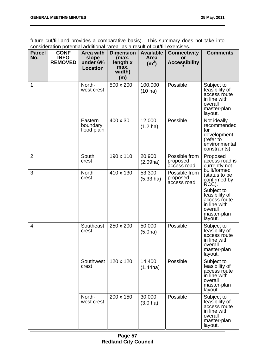future cut/fill and provides a comparative basis). This summary does not take into consideration potential additional "area" as a result of cut/fill exercises.

| <b>Parcel</b><br>No. | <u>oonoladi ahdii potontian aaantionan</u><br><b>CONF</b><br><b>INFO</b><br><b>REMOVED</b> | <b>Area with</b><br>slope<br>under 6%<br><b>Location</b> | <b>Dimension</b><br>(max.<br>length x<br>max.<br>width)<br>(m) | <b>Available</b><br>Area<br>(m <sup>2</sup> ) | <u>or out in oxorolood.</u><br><b>Connectivity</b><br>or<br><b>Accessibility</b> | <b>Comments</b>                                                                                                                                                                                            |
|----------------------|--------------------------------------------------------------------------------------------|----------------------------------------------------------|----------------------------------------------------------------|-----------------------------------------------|----------------------------------------------------------------------------------|------------------------------------------------------------------------------------------------------------------------------------------------------------------------------------------------------------|
| 1                    |                                                                                            | North-<br>west crest                                     | 500 x 200                                                      | 100,000<br>$(10 \text{ ha})$                  | Possible                                                                         | Subject to<br>feasibility of<br>access route<br>in line with<br>overall<br>master-plan<br>layout.                                                                                                          |
|                      |                                                                                            | Eastern<br>boundary<br>flood plain                       | 400 x 30                                                       | 12,000<br>$(1.2 \text{ ha})$                  | Possible                                                                         | Not ideally<br>recommended<br>for<br>development<br>(refer to<br>environmental<br>constraints)                                                                                                             |
| $\overline{2}$       |                                                                                            | South<br>crest                                           | 190 x 110                                                      | 20,900<br>(2.09ha)                            | Possible from<br>proposed<br>access road                                         | Proposed<br>access road is<br>currently not<br>built/formed<br>(status to be<br>confirmed by<br>RCC).<br>Subject to<br>feasibility of<br>access route<br>in line with<br>overall<br>master-plan<br>layout. |
| 3                    |                                                                                            | <b>North</b><br>crest                                    | 410 x 130                                                      | 53,300<br>$(5.33 \text{ ha})$                 | Possible from<br>proposed<br>access road.                                        |                                                                                                                                                                                                            |
| 4                    |                                                                                            | Southeast<br>crest                                       | 250 x 200                                                      | 50,000<br>(5.0ha)                             | Possible                                                                         | Subject to<br>feasibility of<br>access route<br>in line with<br>overall<br>master-plan<br>layout.                                                                                                          |
|                      |                                                                                            | Southwest<br>crest                                       | 120 x 120                                                      | 14,400<br>(1.44ha)                            | Possible                                                                         | Subject to<br>feasibility of<br>access route<br>in line with<br>overall<br>master-plan<br>layout.                                                                                                          |
|                      |                                                                                            | North-<br>west crest                                     | 200 x 150                                                      | 30,000<br>(3.0 ha)                            | Possible                                                                         | Subject to<br>feasibility of<br>access route<br>in line with<br>overall<br>master-plan<br>layout.                                                                                                          |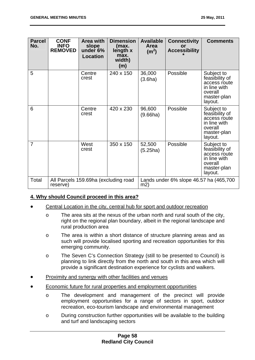| <b>Parcel</b><br>No. | <b>CONF</b><br><b>INFO</b><br><b>REMOVED</b>     | <b>Area with</b><br>slope<br>under 6%<br><b>Location</b> | <b>Dimension</b><br>(max.<br>length x<br>max.<br>width)<br>(m) | <b>Available</b><br><b>Area</b><br>(m <sup>2</sup> ) | <b>Connectivity</b><br>or<br><b>Accessibility</b> | <b>Comments</b>                                                                                   |
|----------------------|--------------------------------------------------|----------------------------------------------------------|----------------------------------------------------------------|------------------------------------------------------|---------------------------------------------------|---------------------------------------------------------------------------------------------------|
| 5                    |                                                  | Centre<br>crest                                          | 240 x 150                                                      | 36,000<br>(3.6ha)                                    | Possible                                          | Subject to<br>feasibility of<br>access route<br>in line with<br>overall<br>master-plan<br>layout. |
| 6                    |                                                  | Centre<br>crest                                          | 420 x 230                                                      | 96,600<br>(9.66ha)                                   | Possible                                          | Subject to<br>feasibility of<br>access route<br>in line with<br>overall<br>master-plan<br>layout. |
| $\overline{7}$       |                                                  | West<br>crest                                            | 350 x 150                                                      | 52,500<br>(5.25ha)                                   | Possible                                          | Subject to<br>feasibility of<br>access route<br>in line with<br>overall<br>master-plan<br>layout. |
| Total                | All Parcels 159.69ha (excluding road<br>reserve) |                                                          | m2)                                                            | Lands under 6% slope 46.57 ha (465,700               |                                                   |                                                                                                   |

# **4. Why should Council proceed in this area?**

- Central Location in the city, central hub for sport and outdoor recreation
	- o The area sits at the nexus of the urban north and rural south of the city, right on the regional plan boundary, albeit in the regional landscape and rural production area
	- o The area is within a short distance of structure planning areas and as such will provide localised sporting and recreation opportunities for this emerging community.
	- o The Seven C's Connection Strategy (still to be presented to Council) is planning to link directly from the north and south in this area which will provide a significant destination experience for cyclists and walkers.
- Proximity and synergy with other facilities and venues
- Economic future for rural properties and employment opportunities
	- o The development and management of the precinct will provide employment opportunities for a range of sectors in sport, outdoor recreation, eco-tourism landscape and environmental management
	- o During construction further opportunities will be available to the building and turf and landscaping sectors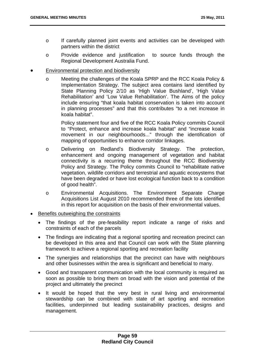- o If carefully planned joint events and activities can be developed with partners within the district
- o Provide evidence and justification to source funds through the Regional Development Australia Fund.
- Environmental protection and biodiversity
	- o Meeting the challenges of the Koala SPRP and the RCC Koala Policy & Implementation Strategy. The subject area contains land identified by State Planning Policy 2/10 as 'High Value Bushland', 'High Value Rehabilitation' and 'Low Value Rehabilitation'. The Aims of the policy include ensuring "that koala habitat conservation is taken into account in planning processes" and that this contributes "to a net increase in koala habitat".

Policy statement four and five of the RCC Koala Policy commits Council to "Protect, enhance and increase koala habitat" and "increase koala movement in our neighbourhoods..." through the identification of mapping of opportunities to enhance corridor linkages.

- o Delivering on Redland's Biodiversity Strategy. The protection, enhancement and ongoing management of vegetation and habitat connectivity is a recurring theme throughout the RCC Biodiversity Policy and Strategy. The Policy commits Council to "rehabilitate native vegetation, wildlife corridors and terrestrial and aquatic ecosystems that have been degraded or have lost ecological function back to a condition of good health".
- o Environmental Acquisitions. The Environment Separate Charge Acquisitions List August 2010 recommended three of the lots identified in this report for acquisition on the basis of their environmental values.
- Benefits outweighing the constraints
	- The findings of the pre-feasibility report indicate a range of risks and constraints of each of the parcels
	- The findings are indicating that a regional sporting and recreation precinct can be developed in this area and that Council can work with the State planning framework to achieve a regional sporting and recreation facility
	- The synergies and relationships that the precinct can have with neighbours and other businesses within the area is significant and beneficial to many.
	- Good and transparent communication with the local community is required as soon as possible to bring them on broad with the vision and potential of the project and ultimately the precinct
	- It would be hoped that the very best in rural living and environmental stewardship can be combined with state of art sporting and recreation facilities, underpinned but leading sustainability practices, designs and management.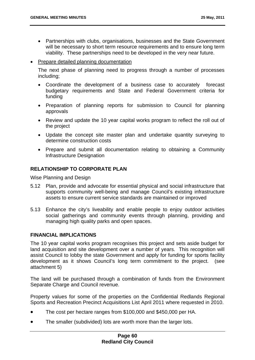- Partnerships with clubs, organisations, businesses and the State Government will be necessary to short term resource requirements and to ensure long term viability. These partnerships need to be developed in the very near future.
- Prepare detailed planning documentation

The next phase of planning need to progress through a number of processes including;

- Coordinate the development of a business case to accurately forecast budgetary requirements and State and Federal Government criteria for funding
- Preparation of planning reports for submission to Council for planning approvals
- Review and update the 10 year capital works program to reflect the roll out of the project
- Update the concept site master plan and undertake quantity surveying to determine construction costs
- Prepare and submit all documentation relating to obtaining a Community Infrastructure Designation

# **RELATIONSHIP TO CORPORATE PLAN**

Wise Planning and Design

- 5.12 Plan, provide and advocate for essential physical and social infrastructure that supports community well-being and manage Council's existing infrastructure assets to ensure current service standards are maintained or improved
- 5.13 Enhance the city's liveability and enable people to enjoy outdoor activities social gatherings and community events through planning, providing and managing high quality parks and open spaces.

### **FINANCIAL IMPLICATIONS**

The 10 year capital works program recognises this project and sets aside budget for land acquisition and site development over a number of years. This recognition will assist Council to lobby the state Government and apply for funding for sports facility development as it shows Council's long term commitment to the project. (see attachment 5)

The land will be purchased through a combination of funds from the Environment Separate Charge and Council revenue.

Property values for some of the properties on the Confidential Redlands Regional Sports and Recreation Precinct Acquisitions List April 2011 where requested in 2010.

- The cost per hectare ranges from \$100,000 and \$450,000 per HA.
- The smaller (subdivided) lots are worth more than the larger lots.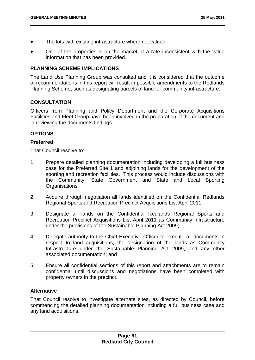- The lots with existing infrastructure where not valued.
- One of the properties is on the market at a rate inconsistent with the value information that has been provided.

# **PLANNING SCHEME IMPLICATIONS**

The Land Use Planning Group was consulted and it is considered that the outcome of recommendations in this report will result in possible amendments to the Redlands Planning Scheme, such as designating parcels of land for community infrastructure.

# **CONSULTATION**

Officers from Planning and Policy Department and the Corporate Acquisitions Facilities and Fleet Group have been involved in the preparation of the document and in reviewing the documents findings.

# **OPTIONS**

# **Preferred**

That Council resolve to:

- 1. Prepare detailed planning documentation including developing a full business case for the Preferred Site 1 and adjoining lands for the development of the sporting and recreation facilities. This process would include discussions with the Community, State Government and State and Local Sporting Organisations:
- 2. Acquire through negotiation all lands identified on the Confidential Redlands Regional Sports and Recreation Precinct Acquisitions List April 2011;
- 3. Designate all lands on the Confidential Redlands Regional Sports and Recreation Precinct Acquisitions List April 2011 as Community Infrastructure under the provisions of the Sustainable Planning Act 2009;
- 4. Delegate authority to the Chief Executive Officer to execute all documents in respect to land acquisitions, the designation of the lands as Community Infrastructure under the Sustainable Planning Act 2009, and any other associated documentation; and
- 5. Ensure all confidential sections of this report and attachments are to remain confidential until discussions and negotiations have been completed with property owners in the precinct.

# **Alternative**

That Council resolve to investigate alternate sites, as directed by Council, before commencing the detailed planning documentation including a full business case and any land acquisitions.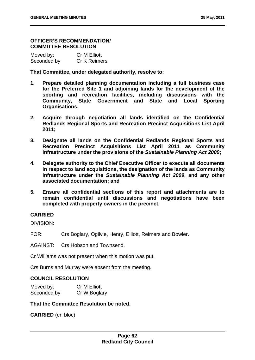### **OFFICER'S RECOMMENDATION/ COMMITTEE RESOLUTION**

| Moved by:    | <b>Cr M Elliott</b> |
|--------------|---------------------|
| Seconded by: | <b>Cr K Reimers</b> |

**That Committee, under delegated authority, resolve to:** 

- **1. Prepare detailed planning documentation including a full business case for the Preferred Site 1 and adjoining lands for the development of the sporting and recreation facilities, including discussions with the Community, State Government and State and Local Sporting Organisations;**
- **2. Acquire through negotiation all lands identified on the Confidential Redlands Regional Sports and Recreation Precinct Acquisitions List April 2011;**
- **3. Designate all lands on the Confidential Redlands Regional Sports and Recreation Precinct Acquisitions List April 2011 as Community Infrastructure under the provisions of the** *Sustainable Planning Act 2009***;**
- **4. Delegate authority to the Chief Executive Officer to execute all documents in respect to land acquisitions, the designation of the lands as Community Infrastructure under the** *Sustainable Planning Act 2009***, and any other associated documentation; and**
- **5. Ensure all confidential sections of this report and attachments are to remain confidential until discussions and negotiations have been completed with property owners in the precinct.**

# **CARRIED**

DIVISION:

FOR: Crs Boglary, Ogilvie, Henry, Elliott, Reimers and Bowler.

AGAINST: Crs Hobson and Townsend.

Cr Williams was not present when this motion was put.

Crs Burns and Murray were absent from the meeting.

# **COUNCIL RESOLUTION**

| Moved by:    | Cr M Elliott |
|--------------|--------------|
| Seconded by: | Cr W Boglary |

**That the Committee Resolution be noted.** 

**CARRIED** (en bloc)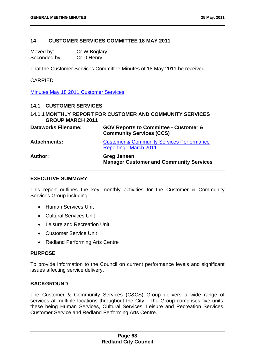## **14 CUSTOMER SERVICES COMMITTEE 18 MAY 2011**

Moved by: Cr W Boglary Seconded by: Cr D Henry

That the Customer Services Committee Minutes of 18 May 2011 be received.

## CARRIED

Minutes May 18 2011 Customer Services

## **14.1 CUSTOMER SERVICES**

# **14.1.1 MONTHLY REPORT FOR CUSTOMER AND COMMUNITY SERVICES GROUP MARCH 2011**

| <b>Dataworks Filename:</b> | <b>GOV Reports to Committee - Customer &amp;</b><br><b>Community Services (CCS)</b> |
|----------------------------|-------------------------------------------------------------------------------------|
| <b>Attachments:</b>        | <b>Customer &amp; Community Services Performance</b><br>Reporting March 2011        |
| <b>Author:</b>             | <b>Greg Jensen</b><br><b>Manager Customer and Community Services</b>                |

#### **EXECUTIVE SUMMARY**

This report outlines the key monthly activities for the Customer & Community Services Group including:

- Human Services Unit
- Cultural Services Unit
- Leisure and Recreation Unit
- Customer Service Unit
- Redland Performing Arts Centre

### **PURPOSE**

To provide information to the Council on current performance levels and significant issues affecting service delivery.

### **BACKGROUND**

The Customer & Community Services (C&CS) Group delivers a wide range of services at multiple locations throughout the City. The Group comprises five units; these being Human Services, Cultural Services, Leisure and Recreation Services, Customer Service and Redland Performing Arts Centre.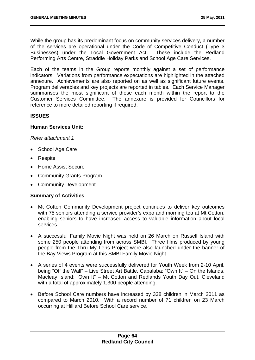While the group has its predominant focus on community services delivery, a number of the services are operational under the Code of Competitive Conduct (Type 3 Businesses) under the Local Government Act. These include the Redland Performing Arts Centre, Straddie Holiday Parks and School Age Care Services.

Each of the teams in the Group reports monthly against a set of performance indicators. Variations from performance expectations are highlighted in the attached annexure. Achievements are also reported on as well as significant future events. Program deliverables and key projects are reported in tables. Each Service Manager summarises the most significant of these each month within the report to the Customer Services Committee. The annexure is provided for Councillors for reference to more detailed reporting if required.

## **ISSUES**

### **Human Services Unit:**

*Refer attachment 1*

- School Age Care
- Respite
- Home Assist Secure
- Community Grants Program
- Community Development

### **Summary of Activities**

- Mt Cotton Community Development project continues to deliver key outcomes with 75 seniors attending a service provider's expo and morning tea at Mt Cotton, enabling seniors to have increased access to valuable information about local services.
- A successful Family Movie Night was held on 26 March on Russell Island with some 250 people attending from across SMBI. Three films produced by young people from the Thru My Lens Project were also launched under the banner of the Bay Views Program at this SMBI Family Movie Night.
- A series of 4 events were successfully delivered for Youth Week from 2-10 April, being "Off the Wall" – Live Street Art Battle, Capalaba; "Own It" – On the Islands, Macleay Island; "Own It" – Mt Cotton and Redlands Youth Day Out, Cleveland with a total of approximately 1,300 people attending.
- Before School Care numbers have increased by 338 children in March 2011 as compared to March 2010. With a record number of 71 children on 23 March occurring at Hilliard Before School Care service.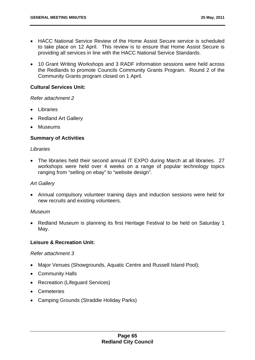10 Grant Writing Workshops and 3 RADF information sessions were held across the Redlands to promote Councils Community Grants Program. Round 2 of the Community Grants program closed on 1 April.

## **Cultural Services Unit:**

### *Refer attachment 2*

- Libraries
- Redland Art Gallery
- Museums

# **Summary of Activities**

## *Libraries*

 The libraries held their second annual IT EXPO during March at all libraries. 27 workshops were held over 4 weeks on a range of popular technology topics ranging from "selling on ebay" to "website design".

# *Art Gallery*

 Annual compulsory volunteer training days and induction sessions were held for new recruits and existing volunteers.

# *Museum*

• Redland Museum is planning its first Heritage Festival to be held on Saturday 1 May.

# **Leisure & Recreation Unit:**

### *Refer attachment 3*

- Major Venues (Showgrounds, Aquatic Centre and Russell Island Pool);
- Community Halls
- Recreation (Lifeguard Services)
- Cemeteries
- Camping Grounds (Straddie Holiday Parks)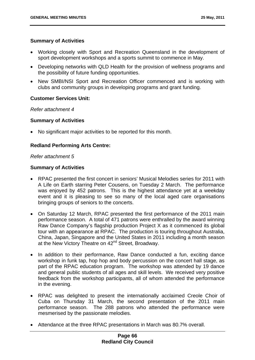## **Summary of Activities**

- Working closely with Sport and Recreation Queensland in the development of sport development workshops and a sports summit to commence in May.
- Developing networks with QLD Health for the provision of wellness programs and the possibility of future funding opportunities.
- New SMBI/NSI Sport and Recreation Officer commenced and is working with clubs and community groups in developing programs and grant funding.

## **Customer Services Unit:**

*Refer attachment 4* 

### **Summary of Activities**

No significant major activities to be reported for this month.

# **Redland Performing Arts Centre:**

### *Refer attachment 5*

### **Summary of Activities**

- RPAC presented the first concert in seniors' Musical Melodies series for 2011 with A Life on Earth starring Peter Cousens, on Tuesday 2 March. The performance was enjoyed by 452 patrons. This is the highest attendance yet at a weekday event and it is pleasing to see so many of the local aged care organisations bringing groups of seniors to the concerts.
- On Saturday 12 March, RPAC presented the first performance of the 2011 main performance season. A total of 471 patrons were enthralled by the award winning Raw Dance Company's flagship production Project X as it commenced its global tour with an appearance at RPAC. The production is touring throughout Australia, China, Japan, Singapore and the United States in 2011 including a month season at the New Victory Theatre on 42<sup>nd</sup> Street, Broadway.
- In addition to their performance, Raw Dance conducted a fun, exciting dance workshop in funk tap, hop hop and body percussion on the concert hall stage, as part of the RPAC education program. The workshop was attended by 19 dance and general public students of all ages and skill levels. We received very positive feedback from the workshop participants, all of whom attended the performance in the evening.
- RPAC was delighted to present the internationally acclaimed Creole Choir of Cuba on Thursday 31 March, the second presentation of the 2011 main performance season. The 288 patrons who attended the performance were mesmerised by the passionate melodies.
- Attendance at the three RPAC presentations in March was 80.7% overall.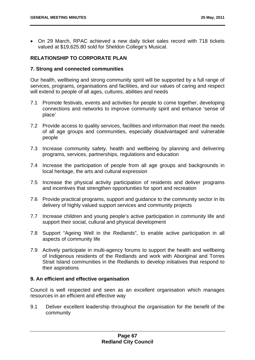On 29 March, RPAC achieved a new daily ticket sales record with 718 tickets valued at \$19,625.80 sold for Sheldon College's Musical.

# **RELATIONSHIP TO CORPORATE PLAN**

# **7. Strong and connected communities**

Our health, wellbeing and strong community spirit will be supported by a full range of services, programs, organisations and facilities, and our values of caring and respect will extend to people of all ages, cultures, abilities and needs

- 7.1 Promote festivals, events and activities for people to come together, developing connections and networks to improve community spirit and enhance 'sense of place'
- 7.2 Provide access to quality services, facilities and information that meet the needs of all age groups and communities, especially disadvantaged and vulnerable people
- 7.3 Increase community safety, health and wellbeing by planning and delivering programs, services, partnerships, regulations and education
- 7.4 Increase the participation of people from all age groups and backgrounds in local heritage, the arts and cultural expression
- 7.5 Increase the physical activity participation of residents and deliver programs and incentives that strengthen opportunities for sport and recreation
- 7.6 Provide practical programs, support and guidance to the community sector in its delivery of highly valued support services and community projects
- 7.7 Increase children and young people's active participation in community life and support their social, cultural and physical development
- 7.8 Support "Ageing Well in the Redlands", to enable active participation in all aspects of community life
- 7.9 Actively participate in multi-agency forums to support the health and wellbeing of Indigenous residents of the Redlands and work with Aboriginal and Torres Strait Island communities in the Redlands to develop initiatives that respond to their aspirations

# **9. An efficient and effective organisation**

Council is well respected and seen as an excellent organisation which manages resources in an efficient and effective way

9.1 Deliver excellent leadership throughout the organisation for the benefit of the community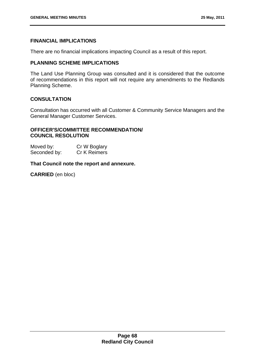# **FINANCIAL IMPLICATIONS**

There are no financial implications impacting Council as a result of this report.

# **PLANNING SCHEME IMPLICATIONS**

The Land Use Planning Group was consulted and it is considered that the outcome of recommendations in this report will not require any amendments to the Redlands Planning Scheme.

# **CONSULTATION**

Consultation has occurred with all Customer & Community Service Managers and the General Manager Customer Services.

# **OFFICER'S/COMMITTEE RECOMMENDATION/ COUNCIL RESOLUTION**

Moved by: Cr W Boglary Seconded by: Cr K Reimers

# **That Council note the report and annexure.**

**CARRIED** (en bloc)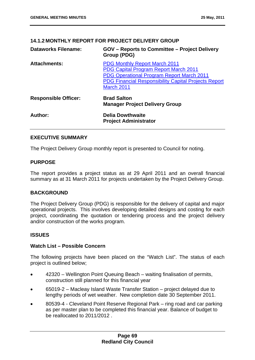# **14.1.2 MONTHLY REPORT FOR PROJECT DELIVERY GROUP**

| <b>Dataworks Filename:</b>  | <b>GOV</b> – Reports to Committee – Project Delivery<br>Group (PDG)                                                                                                                                                   |
|-----------------------------|-----------------------------------------------------------------------------------------------------------------------------------------------------------------------------------------------------------------------|
| <b>Attachments:</b>         | <b>PDG Monthly Report March 2011</b><br><b>PDG Capital Program Report March 2011</b><br><b>PDG Operational Program Report March 2011</b><br><b>PDG Financial Responsibility Capital Projects Report</b><br>March 2011 |
| <b>Responsible Officer:</b> | <b>Brad Salton</b><br><b>Manager Project Delivery Group</b>                                                                                                                                                           |
| Author:                     | <b>Delia Dowthwaite</b><br><b>Project Administrator</b>                                                                                                                                                               |

# **EXECUTIVE SUMMARY**

The Project Delivery Group monthly report is presented to Council for noting.

# **PURPOSE**

The report provides a project status as at 29 April 2011 and an overall financial summary as at 31 March 2011 for projects undertaken by the Project Delivery Group.

# **BACKGROUND**

The Project Delivery Group (PDG) is responsible for the delivery of capital and major operational projects. This involves developing detailed designs and costing for each project, coordinating the quotation or tendering process and the project delivery and/or construction of the works program.

# **ISSUES**

# **Watch List – Possible Concern**

The following projects have been placed on the "Watch List". The status of each project is outlined below;

- 42320 Wellington Point Queuing Beach waiting finalisation of permits, construction still planned for this financial year
- 65019-2 Macleay Island Waste Transfer Station project delayed due to lengthy periods of wet weather. New completion date 30 September 2011.
- 80539-4 Cleveland Point Reserve Regional Park ring road and car parking as per master plan to be completed this financial year. Balance of budget to be reallocated to 2011/2012 .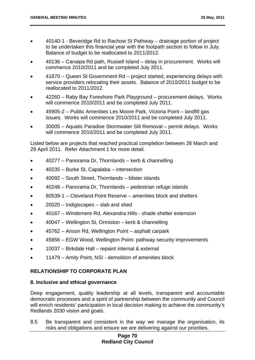- 40140-1 Beveridge Rd to Rachow St Pathway drainage portion of project to be undertaken this financial year with the footpath section to follow in July. Balance of budget to be reallocated to 2011/2012.
- 40136 Canaipa Rd path, Russell Island delay in procurement. Works will commence 2010/2011 and be completed July 2011.
- 41870 Queen St Government Rd project started, experiencing delays with service providers relocating their assets. Balance of 2010/2011 budget to be reallocated to 2011/2012
- 42260 Raby Bay Foreshore Park Playground procurement delays. Works will commence 2010/2011 and be completed July 2011.
- 45905-2 Public Amenities Les Moore Park, Victoria Point landfill gas issues. Works will commence 2010/2011 and be completed July 2011.
- 30005 Aquatic Paradise Stormwater Silt Removal permit delays. Works will commence 2010/2011 and be completed July 2011.

Listed below are projects that reached practical completion between 26 March and 29 April 2011. Refer Attachment 1 for more detail.

- 40277 Panorama Dr, Thornlands kerb & channelling
- 40235 Burke St, Capalaba intersection
- 40092 South Street, Thornlands blister islands
- 40248 Panorama Dr, Thornlands pedestrian refuge islands
- 80539-1 Cleveland Point Reserve amenities block and shelters
- 20020 Indigiscapes slab and shed
- 40167 Windemere Rd, Alexandra Hills shade shelter extension
- 40047 Wellington St, Ormiston kerb & channelling
- 45762 Anson Rd, Wellington Point asphalt carpark
- 45856 EGW Wood, Wellington Point- pathway security improvements
- 10037 Birkdale Hall repaint internal & external
- 11479 Amity Point, NSI demolition of amenities block

# **RELATIONSHIP TO CORPORATE PLAN**

# **8. Inclusive and ethical governance**

Deep engagement, quality leadership at all levels, transparent and accountable democratic processes and a spirit of partnership between the community and Council will enrich residents' participation in local decision making to achieve the community's Redlands 2030 vision and goals.

8.5 Be transparent and consistent in the way we manage the organisation, its risks and obligations and ensure we are delivering against our priorities.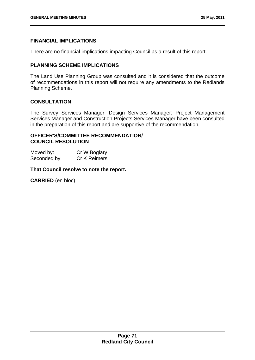# **FINANCIAL IMPLICATIONS**

There are no financial implications impacting Council as a result of this report.

# **PLANNING SCHEME IMPLICATIONS**

The Land Use Planning Group was consulted and it is considered that the outcome of recommendations in this report will not require any amendments to the Redlands Planning Scheme.

# **CONSULTATION**

The Survey Services Manager, Design Services Manager; Project Management Services Manager and Construction Projects Services Manager have been consulted in the preparation of this report and are supportive of the recommendation.

# **OFFICER'S/COMMITTEE RECOMMENDATION/ COUNCIL RESOLUTION**

Moved by: Cr W Boglary Seconded by: Cr K Reimers

**That Council resolve to note the report.** 

**CARRIED** (en bloc)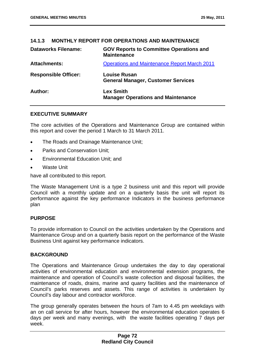# **14.1.3 MONTHLY REPORT FOR OPERATIONS AND MAINTENANCE**

| <b>Dataworks Filename:</b>  | <b>GOV Reports to Committee Operations and</b><br><b>Maintenance</b> |
|-----------------------------|----------------------------------------------------------------------|
| <b>Attachments:</b>         | <b>Operations and Maintenance Report March 2011</b>                  |
| <b>Responsible Officer:</b> | <b>Louise Rusan</b><br><b>General Manager, Customer Services</b>     |
| Author:                     | <b>Lex Smith</b><br><b>Manager Operations and Maintenance</b>        |

# **EXECUTIVE SUMMARY**

The core activities of the Operations and Maintenance Group are contained within this report and cover the period 1 March to 31 March 2011.

- The Roads and Drainage Maintenance Unit;
- Parks and Conservation Unit;
- Environmental Education Unit; and
- Waste Unit

have all contributed to this report.

The Waste Management Unit is a type 2 business unit and this report will provide Council with a monthly update and on a quarterly basis the unit will report its performance against the key performance Indicators in the business performance plan

# **PURPOSE**

To provide information to Council on the activities undertaken by the Operations and Maintenance Group and on a quarterly basis report on the performance of the Waste Business Unit against key performance indicators.

# **BACKGROUND**

The Operations and Maintenance Group undertakes the day to day operational activities of environmental education and environmental extension programs, the maintenance and operation of Council's waste collection and disposal facilities, the maintenance of roads, drains, marine and quarry facilities and the maintenance of Council's parks reserves and assets. This range of activities is undertaken by Council's day labour and contractor workforce.

The group generally operates between the hours of 7am to 4.45 pm weekdays with an on call service for after hours, however the environmental education operates 6 days per week and many evenings, with the waste facilities operating 7 days per week.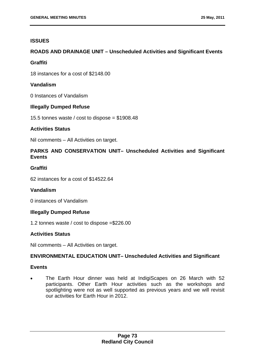# **ISSUES**

# **ROADS AND DRAINAGE UNIT – Unscheduled Activities and Significant Events**

# **Graffiti**

18 instances for a cost of \$2148.00

# **Vandalism**

0 Instances of Vandalism

# **Illegally Dumped Refuse**

15.5 tonnes waste / cost to dispose =  $$1908.48$ 

# **Activities Status**

Nil comments – All Activities on target.

# **PARKS AND CONSERVATION UNIT– Unscheduled Activities and Significant Events**

# **Graffiti**

62 instances for a cost of \$14522.64

# **Vandalism**

0 instances of Vandalism

# **Illegally Dumped Refuse**

1.2 tonnes waste / cost to dispose =\$226.00

# **Activities Status**

Nil comments – All Activities on target.

# **ENVIRONMENTAL EDUCATION UNIT– Unscheduled Activities and Significant**

# **Events**

 The Earth Hour dinner was held at IndigiScapes on 26 March with 52 participants. Other Earth Hour activities such as the workshops and spotlighting were not as well supported as previous years and we will revisit our activities for Earth Hour in 2012.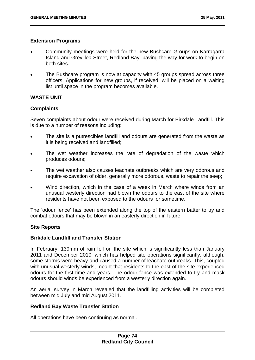# **Extension Programs**

- Community meetings were held for the new Bushcare Groups on Karragarra Island and Grevillea Street, Redland Bay, paving the way for work to begin on both sites.
- The Bushcare program is now at capacity with 45 groups spread across three officers. Applications for new groups, if received, will be placed on a waiting list until space in the program becomes available.

# **WASTE UNIT**

# **Complaints**

Seven complaints about odour were received during March for Birkdale Landfill. This is due to a number of reasons including:

- The site is a putrescibles landfill and odours are generated from the waste as it is being received and landfilled;
- The wet weather increases the rate of degradation of the waste which produces odours;
- The wet weather also causes leachate outbreaks which are very odorous and require excavation of older, generally more odorous, waste to repair the seep;
- Wind direction, which in the case of a week in March where winds from an unusual westerly direction had blown the odours to the east of the site where residents have not been exposed to the odours for sometime.

The 'odour fence' has been extended along the top of the eastern batter to try and combat odours that may be blown in an easterly direction in future.

# **Site Reports**

# **Birkdale Landfill and Transfer Station**

In February, 139mm of rain fell on the site which is significantly less than January 2011 and December 2010, which has helped site operations significantly, although, some storms were heavy and caused a number of leachate outbreaks. This, coupled with unusual westerly winds, meant that residents to the east of the site experienced odours for the first time and years. The odour fence was extended to try and mask odours should winds be experienced from a westerly direction again.

An aerial survey in March revealed that the landfilling activities will be completed between mid July and mid August 2011.

# **Redland Bay Waste Transfer Station**

All operations have been continuing as normal.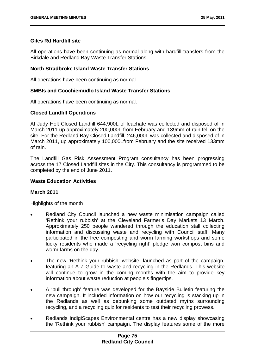# **Giles Rd Hardfill site**

All operations have been continuing as normal along with hardfill transfers from the Birkdale and Redland Bay Waste Transfer Stations.

# **North Stradbroke Island Waste Transfer Stations**

All operations have been continuing as normal.

# **SMBIs and Coochiemudlo Island Waste Transfer Stations**

All operations have been continuing as normal.

# **Closed Landfill Operations**

At Judy Holt Closed Landfill 644,900L of leachate was collected and disposed of in March 2011 up approximately 200,000L from February and 139mm of rain fell on the site. For the Redland Bay Closed Landfill, 246,000L was collected and disposed of in March 2011, up approximately 100,000Lfrom February and the site received 133mm of rain.

The Landfill Gas Risk Assessment Program consultancy has been progressing across the 17 Closed Landfill sites in the City. This consultancy is programmed to be completed by the end of June 2011.

# **Waste Education Activities**

# **March 2011**

# Highlights of the month

- Redland City Council launched a new waste minimisation campaign called 'Rethink your rubbish' at the Cleveland Farmer's Day Markets 13 March. Approximately 250 people wandered through the education stall collecting information and discussing waste and recycling with Council staff. Many participated in the free composting and worm farming workshops and some lucky residents who made a 'recycling right' pledge won compost bins and worm farms on the day.
- The new 'Rethink your rubbish' website, launched as part of the campaign, featuring an A-Z Guide to waste and recycling in the Redlands. This website will continue to grow in the coming months with the aim to provide key information about waste reduction at people's fingertips.
- A 'pull through' feature was developed for the Bayside Bulletin featuring the new campaign. It included information on how our recycling is stacking up in the Redlands as well as debunking some outdated myths surrounding recycling, and a recycling quiz for residents to test their recycling prowess.
- Redlands IndigiScapes Environmental centre has a new display showcasing the 'Rethink your rubbish' campaign. The display features some of the more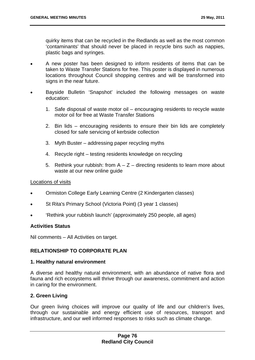quirky items that can be recycled in the Redlands as well as the most common 'contaminants' that should never be placed in recycle bins such as nappies, plastic bags and syringes.

- A new poster has been designed to inform residents of items that can be taken to Waste Transfer Stations for free. This poster is displayed in numerous locations throughout Council shopping centres and will be transformed into signs in the near future.
- Bayside Bulletin 'Snapshot' included the following messages on waste education:
	- 1. Safe disposal of waste motor oil encouraging residents to recycle waste motor oil for free at Waste Transfer Stations
	- 2. Bin lids encouraging residents to ensure their bin lids are completely closed for safe servicing of kerbside collection
	- 3. Myth Buster addressing paper recycling myths
	- 4. Recycle right testing residents knowledge on recycling
	- 5. Rethink your rubbish: from  $A Z -$  directing residents to learn more about waste at our new online guide

# Locations of visits

- Ormiston College Early Learning Centre (2 Kindergarten classes)
- St Rita's Primary School (Victoria Point) (3 year 1 classes)
- 'Rethink your rubbish launch' (approximately 250 people, all ages)

# **Activities Status**

Nil comments – All Activities on target.

# **RELATIONSHIP TO CORPORATE PLAN**

# **1. Healthy natural environment**

A diverse and healthy natural environment, with an abundance of native flora and fauna and rich ecosystems will thrive through our awareness, commitment and action in caring for the environment.

# **2. Green Living**

Our green living choices will improve our quality of life and our children's lives, through our sustainable and energy efficient use of resources, transport and infrastructure, and our well informed responses to risks such as climate change.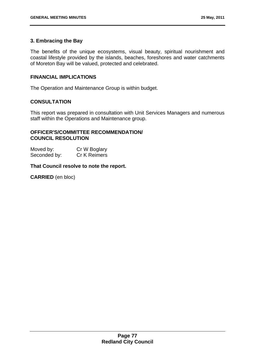# **3. Embracing the Bay**

The benefits of the unique ecosystems, visual beauty, spiritual nourishment and coastal lifestyle provided by the islands, beaches, foreshores and water catchments of Moreton Bay will be valued, protected and celebrated.

# **FINANCIAL IMPLICATIONS**

The Operation and Maintenance Group is within budget.

# **CONSULTATION**

This report was prepared in consultation with Unit Services Managers and numerous staff within the Operations and Maintenance group.

# **OFFICER'S/COMMITTEE RECOMMENDATION/ COUNCIL RESOLUTION**

Moved by: Cr W Boglary Seconded by: Cr K Reimers

# **That Council resolve to note the report.**

**CARRIED** (en bloc)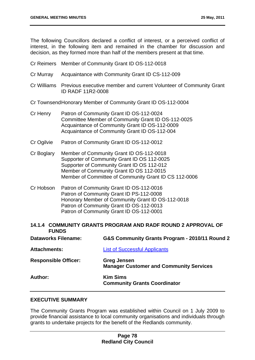The following Councillors declared a conflict of interest, or a perceived conflict of interest, in the following item and remained in the chamber for discussion and decision, as they formed more than half of the members present at that time.

- Cr Reimers Member of Community Grant ID OS-112-0018
- Cr Murray Acquaintance with Community Grant ID CS-112-009
- Cr Williams Previous executive member and current Volunteer of Community Grant ID RADF 11R2-0008
- Cr Townsend Honorary Member of Community Grant ID OS-112-0004
- Cr Henry Patron of Community Grant ID OS-112-0024 Committee Member of Community Grant ID OS-112-0025 Acquaintance of Community Grant ID OS-112-0009 Acquaintance of Community Grant ID OS-112-004
- Cr Ogilvie Patron of Community Grant ID OS-112-0012
- Cr Boglary Member of Community Grant ID OS-112-0018 Supporter of Community Grant ID OS 112-0025 Supporter of Community Grant ID OS 112-012 Member of Community Grant ID OS 112-0015 Member of Committee of Community Grant ID CS 112-0006
- Cr Hobson Patron of Community Grant ID OS-112-0016 Patron of Community Grant ID PS-112-0008 Honorary Member of Community Grant ID OS-112-0018 Patron of Community Grant ID OS-112-0013 Patron of Community Grant ID OS-112-0001
- **14.1.4 COMMUNITY GRANTS PROGRAM AND RADF ROUND 2 APPROVAL OF FUNDS**

| <b>Dataworks Filename:</b>  | G&S Community Grants Program - 2010/11 Round 2                       |
|-----------------------------|----------------------------------------------------------------------|
| <b>Attachments:</b>         | <b>List of Successful Applicants</b>                                 |
| <b>Responsible Officer:</b> | <b>Greg Jensen</b><br><b>Manager Customer and Community Services</b> |
| <b>Author:</b>              | <b>Kim Sims</b><br><b>Community Grants Coordinator</b>               |

# **EXECUTIVE SUMMARY**

The Community Grants Program was established within Council on 1 July 2009 to provide financial assistance to local community organisations and individuals through grants to undertake projects for the benefit of the Redlands community.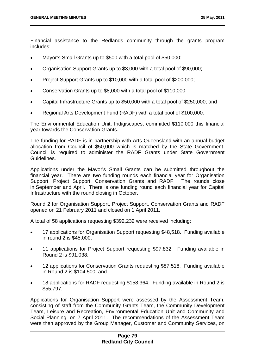Financial assistance to the Redlands community through the grants program includes:

- Mayor's Small Grants up to \$500 with a total pool of \$50,000;
- Organisation Support Grants up to \$3,000 with a total pool of \$90,000;
- Project Support Grants up to \$10,000 with a total pool of \$200,000;
- Conservation Grants up to \$8,000 with a total pool of \$110,000;
- Capital Infrastructure Grants up to \$50,000 with a total pool of \$250,000; and
- Regional Arts Development Fund (RADF) with a total pool of \$100,000.

The Environmental Education Unit, Indigiscapes, committed \$110,000 this financial year towards the Conservation Grants.

The funding for RADF is in partnership with Arts Queensland with an annual budget allocation from Council of \$50,000 which is matched by the State Government. Council is required to administer the RADF Grants under State Government Guidelines.

Applications under the Mayor's Small Grants can be submitted throughout the financial year. There are two funding rounds each financial year for Organisation Support, Project Support, Conservation Grants and RADF. The rounds close in September and April. There is one funding round each financial year for Capital Infrastructure with the round closing in October.

Round 2 for Organisation Support, Project Support, Conservation Grants and RADF opened on 21 February 2011 and closed on 1 April 2011.

A total of 58 applications requesting \$392,232 were received including:

- 17 applications for Organisation Support requesting \$48,518. Funding available in round 2 is \$45,000;
- 11 applications for Project Support requesting \$97,832. Funding available in Round 2 is \$91,038;
- 12 applications for Conservation Grants requesting \$87,518. Funding available in Round 2 is \$104,500; and
- 18 applications for RADF requesting \$158,364. Funding available in Round 2 is \$55,797.

Applications for Organisation Support were assessed by the Assessment Team, consisting of staff from the Community Grants Team, the Community Development Team, Leisure and Recreation, Environmental Education Unit and Community and Social Planning, on 7 April 2011. The recommendations of the Assessment Team were then approved by the Group Manager, Customer and Community Services, on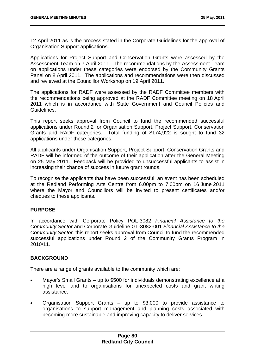12 April 2011 as is the process stated in the Corporate Guidelines for the approval of Organisation Support applications.

Applications for Project Support and Conservation Grants were assessed by the Assessment Team on 7 April 2011. The recommendations by the Assessment Team on applications under these categories were endorsed by the Community Grants Panel on 8 April 2011. The applications and recommendations were then discussed and reviewed at the Councillor Workshop on 19 April 2011.

The applications for RADF were assessed by the RADF Committee members with the recommendations being approved at the RADF Committee meeting on 18 April 2011 which is in accordance with State Government and Council Policies and Guidelines.

This report seeks approval from Council to fund the recommended successful applications under Round 2 for Organisation Support, Project Support, Conservation Grants and RADF categories. Total funding of \$174,922 is sought to fund 32 applications under these categories.

All applicants under Organisation Support, Project Support, Conservation Grants and RADF will be informed of the outcome of their application after the General Meeting on 25 May 2011. Feedback will be provided to unsuccessful applicants to assist in increasing their chance of success in future grant rounds.

To recognise the applicants that have been successful, an event has been scheduled at the Redland Performing Arts Centre from 6.00pm to 7.00pm on 16 June 2011 where the Mayor and Councillors will be invited to present certificates and/or cheques to these applicants.

# **PURPOSE**

In accordance with Corporate Policy POL-3082 *Financial Assistance to the Community Sector* and Corporate Guideline GL-3082-001 *Financial Assistance to the Community Sector,* this report seeks approval from Council to fund the recommended successful applications under Round 2 of the Community Grants Program in 2010/11.

# **BACKGROUND**

There are a range of grants available to the community which are:

- Mayor's Small Grants up to \$500 for individuals demonstrating excellence at a high level and to organisations for unexpected costs and grant writing assistance.
- Organisation Support Grants up to \$3,000 to provide assistance to organisations to support management and planning costs associated with becoming more sustainable and improving capacity to deliver services.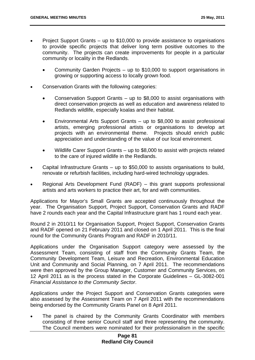- Project Support Grants up to \$10,000 to provide assistance to organisations to provide specific projects that deliver long term positive outcomes to the community. The projects can create improvements for people in a particular community or locality in the Redlands.
	- Community Garden Projects up to \$10,000 to support organisations in growing or supporting access to locally grown food.
- Conservation Grants with the following categories:
	- Conservation Support Grants up to \$8,000 to assist organisations with direct conservation projects as well as education and awareness related to Redlands wildlife, especially koalas and their habitat.
	- Environmental Arts Support Grants up to \$8,000 to assist professional artists, emerging professional artists or organisations to develop art projects with an environmental theme. Projects should enrich public appreciation and understanding of the value of our local environment.
	- Wildlife Carer Support Grants up to \$8,000 to assist with projects related to the care of injured wildlife in the Redlands.
- Capital Infrastructure Grants up to \$50,000 to assists organisations to build, renovate or refurbish facilities, including hard-wired technology upgrades.
- Regional Arts Development Fund (RADF) this grant supports professional artists and arts workers to practice their art, for and with communities.

Applications for Mayor's Small Grants are accepted continuously throughout the year. The Organisation Support, Project Support, Conservation Grants and RADF have 2 rounds each year and the Capital Infrastructure grant has 1 round each year.

Round 2 in 2010/11 for Organisation Support, Project Support, Conservation Grants and RADF opened on 21 February 2011 and closed on 1 April 2011. This is the final round for the Community Grants Program and RADF in 2010/11.

Applications under the Organisation Support category were assessed by the Assessment Team, consisting of staff from the Community Grants Team, the Community Development Team, Leisure and Recreation, Environmental Education Unit and Community and Social Planning, on 7 April 2011. The recommendations were then approved by the Group Manager, Customer and Community Services, on 12 April 2011 as is the process stated in the Corporate Guidelines – GL-3082-001 *Financial Assistance to the Community Sector*.

Applications under the Project Support and Conservation Grants categories were also assessed by the Assessment Team on 7 April 2011 with the recommendations being endorsed by the Community Grants Panel on 8 April 2011.

 The panel is chaired by the Community Grants Coordinator with members consisting of three senior Council staff and three representing the community. The Council members were nominated for their professionalism in the specific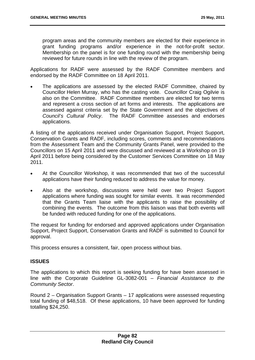program areas and the community members are elected for their experience in grant funding programs and/or experience in the not-for-profit sector. Membership on the panel is for one funding round with the membership being reviewed for future rounds in line with the review of the program.

Applications for RADF were assessed by the RADF Committee members and endorsed by the RADF Committee on 18 April 2011.

 The applications are assessed by the elected RADF Committee, chaired by Councillor Helen Murray, who has the casting vote. Councillor Craig Ogilvie is also on the Committee. RADF Committee members are elected for two terms and represent a cross section of art forms and interests. The applications are assessed against criteria set by the State Government and the objectives of *Council's Cultural Policy*. The RADF Committee assesses and endorses applications.

A listing of the applications received under Organisation Support, Project Support, Conservation Grants and RADF, including scores, comments and recommendations from the Assessment Team and the Community Grants Panel, were provided to the Councillors on 15 April 2011 and were discussed and reviewed at a Workshop on 19 April 2011 before being considered by the Customer Services Committee on 18 May 2011.

- At the Councillor Workshop, it was recommended that two of the successful applications have their funding reduced to address the value for money.
- Also at the workshop, discussions were held over two Project Support applications where funding was sought for similar events. It was recommended that the Grants Team liaise with the applicants to raise the possibility of combining the events. The outcome from this liaison was that both events will be funded with reduced funding for one of the applications.

The request for funding for endorsed and approved applications under Organisation Support, Project Support, Conservation Grants and RADF is submitted to Council for approval.

This process ensures a consistent, fair, open process without bias.

# **ISSUES**

The applications to which this report is seeking funding for have been assessed in line with the Corporate Guideline GL-3082-001 – *Financial Assistance to the Community Sector*.

Round 2 – Organisation Support Grants – 17 applications were assessed requesting total funding of \$48,518. Of these applications, 10 have been approved for funding totalling \$24,250.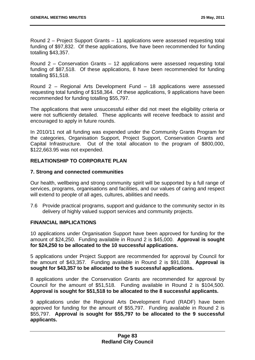Round 2 – Project Support Grants – 11 applications were assessed requesting total funding of \$97,832. Of these applications, five have been recommended for funding totalling \$43,357.

Round 2 – Conservation Grants – 12 applications were assessed requesting total funding of \$87,518. Of these applications, 8 have been recommended for funding totalling \$51,518.

Round 2 – Regional Arts Development Fund – 18 applications were assessed requesting total funding of \$158,364. Of these applications, 9 applications have been recommended for funding totalling \$55,797.

The applications that were unsuccessful either did not meet the eligibility criteria or were not sufficiently detailed. These applicants will receive feedback to assist and encouraged to apply in future rounds.

In 2010/11 not all funding was expended under the Community Grants Program for the categories, Organisation Support, Project Support, Conservation Grants and Capital Infrastructure. Out of the total allocation to the program of \$800,000, \$122,663.95 was not expended.

# **RELATIONSHIP TO CORPORATE PLAN**

# **7. Strong and connected communities**

Our health, wellbeing and strong community spirit will be supported by a full range of services, programs, organisations and facilities, and our values of caring and respect will extend to people of all ages, cultures, abilities and needs.

7.6 Provide practical programs, support and guidance to the community sector in its delivery of highly valued support services and community projects.

# **FINANCIAL IMPLICATIONS**

10 applications under Organisation Support have been approved for funding for the amount of \$24,250. Funding available in Round 2 is \$45,000. **Approval is sought for \$24,250 to be allocated to the 10 successful applications.**

5 applications under Project Support are recommended for approval by Council for the amount of \$43,357. Funding available in Round 2 is \$91,038. **Approval is sought for \$43,357 to be allocated to the 5 successful applications.**

8 applications under the Conservation Grants are recommended for approval by Council for the amount of \$51,518. Funding available in Round 2 is \$104,500. **Approval is sought for \$51,518 to be allocated to the 8 successful applicants.**

9 applications under the Regional Arts Development Fund (RADF) have been approved for funding for the amount of \$55,797. Funding available in Round 2 is \$55,797. **Approval is sought for \$55,797 to be allocated to the 9 successful applicants.**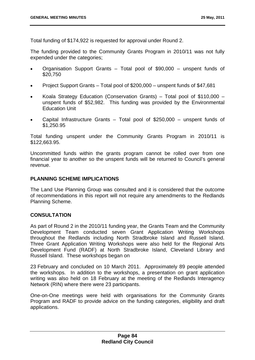Total funding of \$174,922 is requested for approval under Round 2.

The funding provided to the Community Grants Program in 2010/11 was not fully expended under the categories;

- Organisation Support Grants Total pool of \$90,000 unspent funds of \$20,750
- Project Support Grants Total pool of \$200,000 unspent funds of \$47,681
- Koala Strategy Education (Conservation Grants) Total pool of \$110,000 unspent funds of \$52,982. This funding was provided by the Environmental Education Unit
- Capital Infrastructure Grants Total pool of \$250,000 unspent funds of \$1,250.95

Total funding unspent under the Community Grants Program in 2010/11 is \$122,663.95.

Uncommitted funds within the grants program cannot be rolled over from one financial year to another so the unspent funds will be returned to Council's general revenue.

# **PLANNING SCHEME IMPLICATIONS**

The Land Use Planning Group was consulted and it is considered that the outcome of recommendations in this report will not require any amendments to the Redlands Planning Scheme.

# **CONSULTATION**

As part of Round 2 in the 2010/11 funding year, the Grants Team and the Community Development Team conducted seven Grant Application Writing Workshops throughout the Redlands including North Stradbroke Island and Russell Island. Three Grant Application Writing Workshops were also held for the Regional Arts Development Fund (RADF) at North Stradbroke Island, Cleveland Library and Russell Island. These workshops began on

23 February and concluded on 10 March 2011. Approximately 89 people attended the workshops. In addition to the workshops, a presentation on grant application writing was also held on 18 February at the meeting of the Redlands Interagency Network (RIN) where there were 23 participants.

One-on-One meetings were held with organisations for the Community Grants Program and RADF to provide advice on the funding categories, eligibility and draft applications.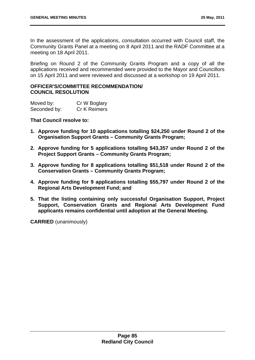In the assessment of the applications, consultation occurred with Council staff, the Community Grants Panel at a meeting on 8 April 2011 and the RADF Committee at a meeting on 18 April 2011.

Briefing on Round 2 of the Community Grants Program and a copy of all the applications received and recommended were provided to the Mayor and Councillors on 15 April 2011 and were reviewed and discussed at a workshop on 19 April 2011.

# **OFFICER'S/COMMITTEE RECOMMENDATION/ COUNCIL RESOLUTION**

| Moved by:    | Cr W Boglary |
|--------------|--------------|
| Seconded by: | Cr K Reimers |

**That Council resolve to:** 

- **1. Approve funding for 10 applications totalling \$24,250 under Round 2 of the Organisation Support Grants – Community Grants Program;**
- **2. Approve funding for 5 applications totalling \$43,357 under Round 2 of the Project Support Grants – Community Grants Program;**
- **3. Approve funding for 8 applications totalling \$51,518 under Round 2 of the Conservation Grants – Community Grants Program;**
- **4. Approve funding for 9 applications totalling \$55,797 under Round 2 of the Regional Arts Development Fund; and**
- **5. That the listing containing only successful Organisation Support, Project Support, Conservation Grants and Regional Arts Development Fund applicants remains confidential until adoption at the General Meeting.**

**CARRIED** (unanimously)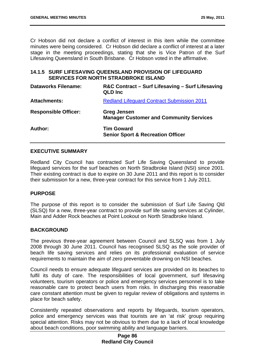Cr Hobson did not declare a conflict of interest in this item while the committee minutes were being considered. Cr Hobson did declare a conflict of interest at a later stage in the meeting proceedings, stating that she is Vice Patron of the Surf Lifesaving Queensland in South Brisbane. Cr Hobson voted in the affirmative.

# **14.1.5 SURF LIFESAVING QUEENSLAND PROVISION OF LIFEGUARD SERVICES FOR NORTH STRADBROKE ISLAND**

| <b>Dataworks Filename:</b>  | R&C Contract – Surf Lifesaving – Surf Lifesaving<br><b>QLD Inc</b>   |
|-----------------------------|----------------------------------------------------------------------|
| <b>Attachments:</b>         | <b>Redland Lifeguard Contract Submission 2011</b>                    |
| <b>Responsible Officer:</b> | <b>Greg Jensen</b><br><b>Manager Customer and Community Services</b> |
| Author:                     | <b>Tim Goward</b><br><b>Senior Sport &amp; Recreation Officer</b>    |

# **EXECUTIVE SUMMARY**

Redland City Council has contracted Surf Life Saving Queensland to provide lifeguard services for the surf beaches on North Stradbroke Island (NSI) since 2001. Their existing contract is due to expire on 30 June 2011 and this report is to consider their submission for a new, three-year contract for this service from 1 July 2011.

# **PURPOSE**

The purpose of this report is to consider the submission of Surf Life Saving Qld (SLSQ) for a new, three-year contract to provide surf life saving services at Cylinder, Main and Adder Rock beaches at Point Lookout on North Stradbroke Island.

# **BACKGROUND**

The previous three-year agreement between Council and SLSQ was from 1 July 2008 through 30 June 2011. Council has recognised SLSQ as the sole provider of beach life saving services and relies on its professional evaluation of service requirements to maintain the aim of zero preventable drowning on NSI beaches.

Council needs to ensure adequate lifeguard services are provided on its beaches to fulfil its duty of care. The responsibilities of local government, surf lifesaving volunteers, tourism operators or police and emergency services personnel is to take reasonable care to protect beach users from risks. In discharging this reasonable care constant attention must be given to regular review of obligations and systems in place for beach safety.

Consistently repeated observations and reports by lifeguards, tourism operators, police and emergency services was that tourists are an 'at risk' group requiring special attention. Risks may not be obvious to them due to a lack of local knowledge about beach conditions, poor swimming ability and language barriers.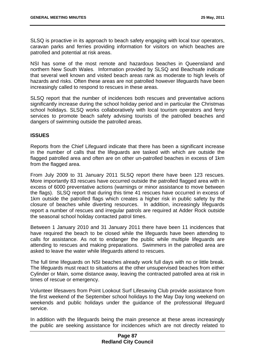SLSQ is proactive in its approach to beach safety engaging with local tour operators, caravan parks and ferries providing information for visitors on which beaches are patrolled and potential at risk areas.

NSI has some of the most remote and hazardous beaches in Queensland and northern New South Wales. Information provided by SLSQ and Beachsafe indicate that several well known and visited beach areas rank as moderate to high levels of hazards and risks. Often these areas are not patrolled however lifeguards have been increasingly called to respond to rescues in these areas.

SLSQ report that the number of incidences both rescues and preventative actions significantly increase during the school holiday period and in particular the Christmas school holidays. SLSQ works collaboratively with local tourism operators and ferry services to promote beach safety advising tourists of the patrolled beaches and dangers of swimming outside the patrolled areas.

# **ISSUES**

Reports from the Chief Lifeguard indicate that there has been a significant increase in the number of calls that the lifeguards are tasked with which are outside the flagged patrolled area and often are on other un-patrolled beaches in excess of 1km from the flagged area.

From July 2009 to 31 January 2011 SLSQ report there have been 123 rescues. More importantly 83 rescues have occurred outside the patrolled flagged area with in excess of 6000 preventative actions (warnings or minor assistance to move between the flags). SLSQ report that during this time 41 rescues have occurred in excess of 1km outside the patrolled flags which creates a higher risk in public safety by the closure of beaches while diverting resources. In addition, increasingly lifeguards report a number of rescues and irregular patrols are required at Adder Rock outside the seasonal school holiday contacted patrol times.

Between 1 January 2010 and 31 January 2011 there have been 11 incidences that have required the beach to be closed while the lifeguards have been attending to calls for assistance. As not to endanger the public while multiple lifeguards are attending to rescues and making preparations. Swimmers in the patrolled area are asked to leave the water while lifeguards attend to rescues.

The full time lifeguards on NSI beaches already work full days with no or little break. The lifeguards must react to situations at the other unsupervised beaches from either Cylinder or Main, some distance away, leaving the contracted patrolled area at risk in times of rescue or emergency.

Volunteer lifesavers from Point Lookout Surf Lifesaving Club provide assistance from the first weekend of the September school holidays to the May Day long weekend on weekends and public holidays under the guidance of the professional lifeguard service.

In addition with the lifeguards being the main presence at these areas increasingly the public are seeking assistance for incidences which are not directly related to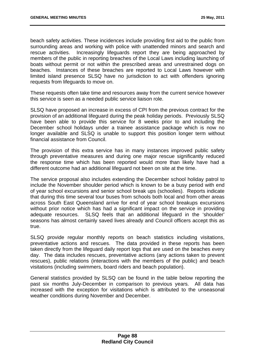beach safety activities. These incidences include providing first aid to the public from surrounding areas and working with police with unattended minors and search and rescue activities. Increasingly lifeguards report they are being approached by members of the public in reporting breaches of the Local Laws including launching of boats without permit or not within the prescribed areas and unrestrained dogs on beaches. Instances of these breaches are reported to Local Laws however with limited island presence SLSQ have no jurisdiction to act with offenders ignoring requests from lifeguards to move on.

These requests often take time and resources away from the current service however this service is seen as a needed public service liaison role.

SLSQ have proposed an increase in excess of CPI from the previous contract for the provision of an additional lifeguard during the peak holiday periods. Previously SLSQ have been able to provide this service for 8 weeks prior to and including the December school holidays under a trainee assistance package which is now no longer available and SLSQ is unable to support this position longer term without financial assistance from Council.

The provision of this extra service has in many instances improved public safety through preventative measures and during one major rescue significantly reduced the response time which has been reported would more than likely have had a different outcome had an additional lifeguard not been on site at the time.

The service proposal also includes extending the December school holiday patrol to include the November shoulder period which is known to be a busy period with end of year school excursions and senior school break ups (schoolies). Reports indicate that during this time several tour buses from schools both local and from other areas across South East Queensland arrive for end of year school breakups excursions without prior notice which has had a significant impact on the service in providing adequate resources. SLSQ feels that an additional lifeguard in the 'shoulder' seasons has almost certainly saved lives already and Council officers accept this as true.

SLSQ provide regular monthly reports on beach statistics including visitations, preventative actions and rescues. The data provided in these reports has been taken directly from the lifeguard daily report logs that are used on the beaches every day. The data includes rescues, preventative actions (any actions taken to prevent rescues), public relations (interactions with the members of the public) and beach visitations (including swimmers, board riders and beach population).

General statistics provided by SLSQ can be found in the table below reporting the past six months July-December in comparison to previous years. All data has increased with the exception for visitations which is attributed to the unseasonal weather conditions during November and December.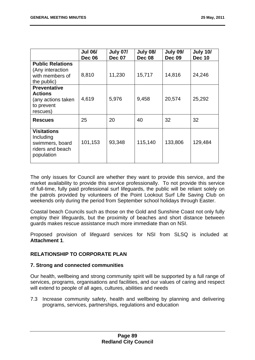|                                                                                       | <b>Jul 06/</b><br><b>Dec 06</b> | <b>July 07/</b><br><b>Dec 07</b> | <b>July 08/</b><br><b>Dec 08</b> | <b>July 09/</b><br><b>Dec 09</b> | <b>July 10/</b><br><b>Dec 10</b> |
|---------------------------------------------------------------------------------------|---------------------------------|----------------------------------|----------------------------------|----------------------------------|----------------------------------|
| <b>Public Relations</b><br>(Any interaction<br>with members of<br>the public)         | 8,810                           | 11,230                           | 15,717                           | 14,816                           | 24,246                           |
| <b>Preventative</b><br><b>Actions</b><br>(any actions taken<br>to prevent<br>rescues) | 4,619                           | 5,976                            | 9,458                            | 20,574                           | 25,292                           |
| <b>Rescues</b>                                                                        | 25                              | 20                               | 40                               | 32                               | 32                               |
| <b>Visitations</b><br>Including<br>swimmers, board<br>riders and beach<br>population  | 101,153                         | 93,348                           | 115,140                          | 133,806                          | 129,484                          |

The only issues for Council are whether they want to provide this service, and the market availability to provide this service professionally. To not provide this service of full-time, fully paid professional surf lifeguards, the public will be reliant solely on the patrols provided by volunteers of the Point Lookout Surf Life Saving Club on weekends only during the period from September school holidays through Easter.

Coastal beach Councils such as those on the Gold and Sunshine Coast not only fully employ their lifeguards, but the proximity of beaches and short distance between guards makes rescue assistance much more immediate than on NSI.

Proposed provision of lifeguard services for NSI from SLSQ is included at **Attachment 1**.

# **RELATIONSHIP TO CORPORATE PLAN**

# **7. Strong and connected communities**

Our health, wellbeing and strong community spirit will be supported by a full range of services, programs, organisations and facilities, and our values of caring and respect will extend to people of all ages, cultures, abilities and needs

7.3 Increase community safety, health and wellbeing by planning and delivering programs, services, partnerships, regulations and education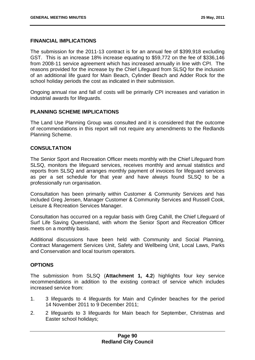# **FINANCIAL IMPLICATIONS**

The submission for the 2011-13 contract is for an annual fee of \$399,918 excluding GST. This is an increase 18% increase equating to \$59,772 on the fee of \$336,146 from 2008-11 service agreement which has increased annually in line with CPI. The reasons provided for the increase by the Chief Lifeguard from SLSQ for the inclusion of an additional life guard for Main Beach, Cylinder Beach and Adder Rock for the school holiday periods the cost as indicated in their submission.

Ongoing annual rise and fall of costs will be primarily CPI increases and variation in industrial awards for lifeguards.

# **PLANNING SCHEME IMPLICATIONS**

The Land Use Planning Group was consulted and it is considered that the outcome of recommendations in this report will not require any amendments to the Redlands Planning Scheme.

# **CONSULTATION**

The Senior Sport and Recreation Officer meets monthly with the Chief Lifeguard from SLSQ, monitors the lifeguard services, receives monthly and annual statistics and reports from SLSQ and arranges monthly payment of invoices for lifeguard services as per a set schedule for that year and have always found SLSQ to be a professionally run organisation.

Consultation has been primarily within Customer & Community Services and has included Greg Jensen, Manager Customer & Community Services and Russell Cook, Leisure & Recreation Services Manager.

Consultation has occurred on a regular basis with Greg Cahill, the Chief Lifeguard of Surf Life Saving Queensland, with whom the Senior Sport and Recreation Officer meets on a monthly basis.

Additional discussions have been held with Community and Social Planning, Contract Management Services Unit, Safety and Wellbeing Unit, Local Laws, Parks and Conservation and local tourism operators.

# **OPTIONS**

The submission from SLSQ (**Attachment 1, 4.2**) highlights four key service recommendations in addition to the existing contract of service which includes increased service from:

- 1. 3 lifeguards to 4 lifeguards for Main and Cylinder beaches for the period 14 November 2011 to 9 December 2011;
- 2. 2 lifeguards to 3 lifeguards for Main beach for September, Christmas and Easter school holidays;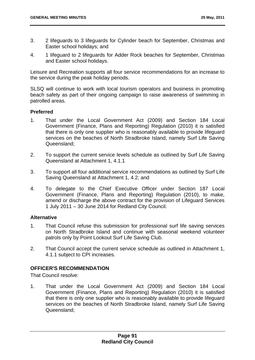- 3. 2 lifeguards to 3 lifeguards for Cylinder beach for September, Christmas and Easter school holidays; and
- 4. 1 lifeguard to 2 lifeguards for Adder Rock beaches for September, Christmas and Easter school holidays.

Leisure and Recreation supports all four service recommendations for an increase to the service during the peak holiday periods.

SLSQ will continue to work with local tourism operators and business in promoting beach safety as part of their ongoing campaign to raise awareness of swimming in patrolled areas.

# **Preferred**

- 1. That under the Local Government Act (2009) and Section 184 Local Government (Finance, Plans and Reporting) Regulation (2010) it is satisfied that there is only one supplier who is reasonably available to provide lifeguard services on the beaches of North Stradbroke Island, namely Surf Life Saving Queensland;
- 2. To support the current service levels schedule as outlined by Surf Life Saving Queensland at Attachment 1, 4.1.1
- 3. To support all four additional service recommendations as outlined by Surf Life Saving Queensland at Attachment 1, 4.2; and
- 4. To delegate to the Chief Executive Officer under Section 187 Local Government (Finance, Plans and Reporting) Regulation (2010), to make, amend or discharge the above contract for the provision of Lifeguard Services 1 July 2011 – 30 June 2014 for Redland City Council.

# **Alternative**

- 1. That Council refuse this submission for professional surf life saving services on North Stradbroke Island and continue with seasonal weekend volunteer patrols only by Point Lookout Surf Life Saving Club.
- 2. That Council accept the current service schedule as outlined in Attachment 1, 4.1.1 subject to CPI increases.

# **OFFICER'S RECOMMENDATION**

That Council resolve:

1. That under the Local Government Act (2009) and Section 184 Local Government (Finance, Plans and Reporting) Regulation (2010) it is satisfied that there is only one supplier who is reasonably available to provide lifeguard services on the beaches of North Stradbroke Island, namely Surf Life Saving Queensland;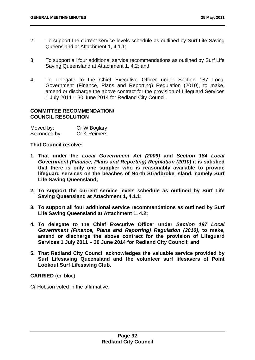- 2. To support the current service levels schedule as outlined by Surf Life Saving Queensland at Attachment 1, 4.1.1;
- 3. To support all four additional service recommendations as outlined by Surf Life Saving Queensland at Attachment 1, 4.2; and
- 4. To delegate to the Chief Executive Officer under Section 187 Local Government (Finance, Plans and Reporting) Regulation (2010), to make, amend or discharge the above contract for the provision of Lifeguard Services 1 July 2011 – 30 June 2014 for Redland City Council.

# **COMMITTEE RECOMMENDATION/ COUNCIL RESOLUTION**

| Moved by:    | Cr W Boglary |
|--------------|--------------|
| Seconded by: | Cr K Reimers |

**That Council resolve:** 

- **1. That under the** *Local Government Act (2009)* **and** *Section 184 Local Government (Finance, Plans and Reporting) Regulation (2010)* **it is satisfied that there is only one supplier who is reasonably available to provide lifeguard services on the beaches of North Stradbroke Island, namely Surf Life Saving Queensland;**
- **2. To support the current service levels schedule as outlined by Surf Life Saving Queensland at Attachment 1, 4.1.1;**
- **3. To support all four additional service recommendations as outlined by Surf Life Saving Queensland at Attachment 1, 4.2;**
- **4. To delegate to the Chief Executive Officer under** *Section 187 Local Government (Finance, Plans and Reporting) Regulation (2010)***, to make, amend or discharge the above contract for the provision of Lifeguard Services 1 July 2011 – 30 June 2014 for Redland City Council; and**
- **5. That Redland City Council acknowledges the valuable service provided by Surf Lifesaving Queensland and the volunteer surf lifesavers of Point Lookout Surf Lifesaving Club.**

**CARRIED** (en bloc)

Cr Hobson voted in the affirmative.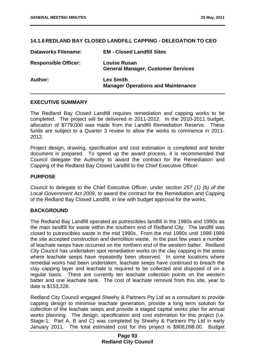# **14.1.6 REDLAND BAY CLOSED LANDFILL CAPPING - DELEGATION TO CEO**

| <b>Dataworks Filename:</b>  | <b>EM - Closed Landfill Sites</b>                                |
|-----------------------------|------------------------------------------------------------------|
| <b>Responsible Officer:</b> | <b>Louise Rusan</b><br><b>General Manager, Customer Services</b> |
| Author:                     | <b>Lex Smith</b><br><b>Manager Operations and Maintenance</b>    |

# **EXECUTIVE SUMMARY**

The Redland Bay Closed Landfill requires remediation and capping works to be completed. The project will be delivered in 2011-2012. In the 2010-2011 budget, allocation of \$779,000 was made from the Landfill Remediation Reserve. These funds are subject to a Quarter 3 review to allow the works to commence in 2011- 2012.

Project design, drawing, specification and cost estimation is completed and tender document is prepared. To speed up the award process, it is recommended that Council delegate the Authority to award the contract for the Remediation and Capping of the Redland Bay Closed Landfill to the Chief Executive Officer.

# **PURPOSE**

Council to delegate to the Chief Executive Officer, under *section 257 (1) (b) of the Local Government Act 2009*, to award the contract for the Remediation and Capping of the Redland Bay Closed Landfill, in line with budget approval for the works.

# **BACKGROUND**

The Redland Bay Landfill operated as putrescibles landfill in the 1980s and 1990s as the main landfill for waste within the southern end of Redland City. The landfill was closed to putrescibles waste in the mid 1990s. From the mid 1990s until 1998-1999 the site accepted construction and demolition waste. In the past few years a number of leachate seeps have occurred on the northern end of the western batter. Redland City Council has undertaken spot remediation works on the clay capping in the areas where leachate seeps have repeatedly been observed. In some locations where remedial works had been undertaken, leachate seeps have continued to breach the clay capping layer and leachate is required to be collected and disposed of on a regular basis. There are currently ten leachate collection points on the western batter and one leachate tank. The cost of leachate removal from this site, year to date is \$153,228.

Redland City Council engaged Sheehy & Partners Pty Ltd as a consultant to provide capping design to minimise leachate generation, provide a long term solution for collection of the leachate seeps and provide a staged capital works plan for annual works planning. The design, specification and cost estimation for this project (i.e. Stage-1: Part A, B and C) was completed by Sheehy & Partners Pty Ltd in early January 2011. The total estimated cost for this project is \$908,098.00. Budget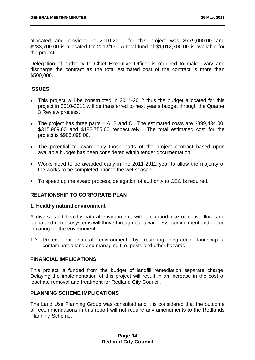allocated and provided in 2010-2011 for this project was \$779,000.00 and \$233,700.00 is allocated for 2012/13. A total fund of \$1,012,700.00 is available for the project.

Delegation of authority to Chief Executive Officer is required to make, vary and discharge the contract as the total estimated cost of the contract is more than \$500,000.

# **ISSUES**

- This project will be constructed in 2011-2012 thus the budget allocated for this project in 2010-2011 will be transferred to next year's budget through the Quarter 3 Review process.
- The project has three parts A, B and C. The estimated costs are \$399,434.00, \$315,909.00 and \$182,755.00 respectively. The total estimated cost for the project is \$908,098.00.
- The potential to award only those parts of the project contract based upon available budget has been considered within tender documentation.
- Works need to be awarded early in the 2011-2012 year to allow the majority of the works to be completed prior to the wet season.
- To speed up the award process, delegation of authority to CEO is required.

# **RELATIONSHIP TO CORPORATE PLAN**

# **1. Healthy natural environment**

A diverse and healthy natural environment, with an abundance of native flora and fauna and rich ecosystems will thrive through our awareness, commitment and action in caring for the environment.

1.3 Protect our natural environment by restoring degraded landscapes, contaminated land and managing fire, pests and other hazards

# **FINANCIAL IMPLICATIONS**

This project is funded from the budget of landfill remediation separate charge. Delaying the implementation of this project will result in an increase in the cost of leachate removal and treatment for Redland City Council.

# **PLANNING SCHEME IMPLICATIONS**

The Land Use Planning Group was consulted and it is considered that the outcome of recommendations in this report will not require any amendments to the Redlands Planning Scheme.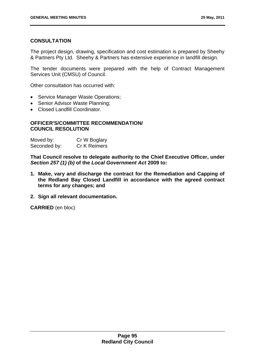# **CONSULTATION**

The project design, drawing, specification and cost estimation is prepared by Sheehy & Partners Pty Ltd. Sheehy & Partners has extensive experience in landfill design.

The tender documents were prepared with the help of Contract Management Services Unit (CMSU) of Council.

Other consultation has occurred with:

- Service Manager Waste Operations;
- Senior Advisor Waste Planning:
- Closed Landfill Coordinator.

# **OFFICER'S/COMMITTEE RECOMMENDATION/ COUNCIL RESOLUTION**

| Moved by:    | Cr W Boglary |
|--------------|--------------|
| Seconded by: | Cr K Reimers |

**That Council resolve to delegate authority to the Chief Executive Officer, under**  *Section 257 (1) (b)* **of the** *Local Government Act* **2009 to:** 

- **1. Make, vary and discharge the contract for the Remediation and Capping of the Redland Bay Closed Landfill in accordance with the agreed contract terms for any changes; and**
- **2. Sign all relevant documentation.**

**CARRIED** (en bloc)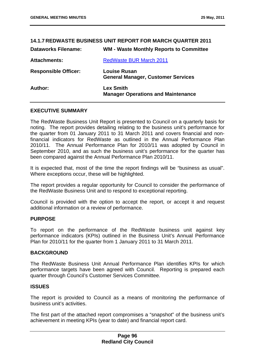| <b>14.1.7 REDWASTE BUSINESS UNIT REPORT FOR MARCH QUARTER 2011</b> |                                                                  |  |
|--------------------------------------------------------------------|------------------------------------------------------------------|--|
| <b>Dataworks Filename:</b>                                         | <b>WM - Waste Monthly Reports to Committee</b>                   |  |
| <b>Attachments:</b>                                                | <b>RedWaste BUR March 2011</b>                                   |  |
| <b>Responsible Officer:</b>                                        | <b>Louise Rusan</b><br><b>General Manager, Customer Services</b> |  |
| Author:                                                            | <b>Lex Smith</b><br><b>Manager Operations and Maintenance</b>    |  |

# **EXECUTIVE SUMMARY**

The RedWaste Business Unit Report is presented to Council on a quarterly basis for noting. The report provides detailing relating to the business unit's performance for the quarter from 01 January 2011 to 31 March 2011 and covers financial and nonfinancial indicators for RedWaste as outlined in the Annual Performance Plan 2010/11. The Annual Performance Plan for 2010/11 was adopted by Council in September 2010, and as such the business unit's performance for the quarter has been compared against the Annual Performance Plan 2010/11.

It is expected that, most of the time the report findings will be "business as usual". Where exceptions occur, these will be highlighted.

The report provides a regular opportunity for Council to consider the performance of the RedWaste Business Unit and to respond to exceptional reporting.

Council is provided with the option to accept the report, or accept it and request additional information or a review of performance.

# **PURPOSE**

To report on the performance of the RedWaste business unit against key performance indicators (KPIs) outlined in the Business Unit's Annual Performance Plan for 2010/11 for the quarter from 1 January 2011 to 31 March 2011.

#### **BACKGROUND**

The RedWaste Business Unit Annual Performance Plan identifies KPIs for which performance targets have been agreed with Council. Reporting is prepared each quarter through Council's Customer Services Committee.

# **ISSUES**

The report is provided to Council as a means of monitoring the performance of business unit's activities.

The first part of the attached report compromises a "snapshot" of the business unit's achievement in meeting KPIs (year to date) and financial report card.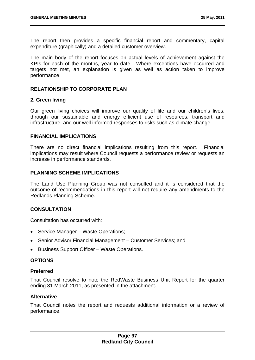The report then provides a specific financial report and commentary, capital expenditure (graphically) and a detailed customer overview.

The main body of the report focuses on actual levels of achievement against the KPIs for each of the months, year to date. Where exceptions have occurred and targets not met, an explanation is given as well as action taken to improve performance.

# **RELATIONSHIP TO CORPORATE PLAN**

#### **2. Green living**

Our green living choices will improve our quality of life and our children's lives, through our sustainable and energy efficient use of resources, transport and infrastructure, and our well informed responses to risks such as climate change.

#### **FINANCIAL IMPLICATIONS**

There are no direct financial implications resulting from this report. Financial implications may result where Council requests a performance review or requests an increase in performance standards.

# **PLANNING SCHEME IMPLICATIONS**

The Land Use Planning Group was not consulted and it is considered that the outcome of recommendations in this report will not require any amendments to the Redlands Planning Scheme.

# **CONSULTATION**

Consultation has occurred with:

- Service Manager Waste Operations;
- Senior Advisor Financial Management Customer Services; and
- Business Support Officer Waste Operations.

# **OPTIONS**

#### **Preferred**

That Council resolve to note the RedWaste Business Unit Report for the quarter ending 31 March 2011, as presented in the attachment.

#### **Alternative**

That Council notes the report and requests additional information or a review of performance.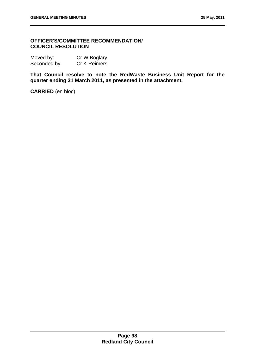# **OFFICER'S/COMMITTEE RECOMMENDATION/ COUNCIL RESOLUTION**

| Moved by:    | Cr W Boglary |
|--------------|--------------|
| Seconded by: | Cr K Reimers |

**That Council resolve to note the RedWaste Business Unit Report for the quarter ending 31 March 2011, as presented in the attachment.** 

**CARRIED** (en bloc)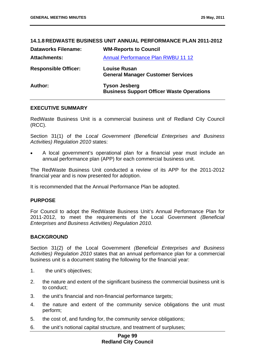# **14.1.8 REDWASTE BUSINESS UNIT ANNUAL PERFORMANCE PLAN 2011-2012 Dataworks Filename: WM-Reports to Council**  Attachments: **Annual Performance Plan RWBU 11 12 Responsible Officer: Louise Rusan General Manager Customer Services Author: Tyson Jesberg Business Support Officer Waste Operations**

# **EXECUTIVE SUMMARY**

RedWaste Business Unit is a commercial business unit of Redland City Council (RCC).

Section 31(1) of the *Local Government (Beneficial Enterprises and Business Activities) Regulation 2010* states:

 A local government's operational plan for a financial year must include an annual performance plan (APP) for each commercial business unit.

The RedWaste Business Unit conducted a review of its APP for the 2011-2012 financial year and is now presented for adoption.

It is recommended that the Annual Performance Plan be adopted.

# **PURPOSE**

For Council to adopt the RedWaste Business Unit's Annual Performance Plan for 2011-2012, to meet the requirements of the Local Government *(Beneficial Enterprises and Business Activities) Regulation 2010.* 

# **BACKGROUND**

Section 31(2) of the Local Government *(Beneficial Enterprises and Business Activities) Regulation 2010* states that an annual performance plan for a commercial business unit is a document stating the following for the financial year:

- 1. the unit's objectives;
- 2. the nature and extent of the significant business the commercial business unit is to conduct;
- 3. the unit's financial and non-financial performance targets;
- 4. the nature and extent of the community service obligations the unit must perform;
- 5. the cost of, and funding for, the community service obligations;
- 6. the unit's notional capital structure, and treatment of surpluses;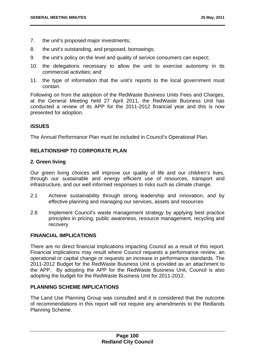- 7. the unit's proposed major investments;
- 8. the unit's outstanding, and proposed, borrowings;
- 9. the unit's policy on the level and quality of service consumers can expect;
- 10. the delegations necessary to allow the unit to exercise autonomy in its commercial activities; and
- 11. the type of information that the unit's reports to the local government must contain.

Following on from the adoption of the RedWaste Business Units Fees and Charges, at the General Meeting held 27 April 2011, the RedWaste Business Unit has conducted a review of its APP for the 2011-2012 financial year and this is now presented for adoption.

# **ISSUES**

The Annual Performance Plan must be included in Council's Operational Plan.

# **RELATIONSHIP TO CORPORATE PLAN**

# **2. Green living**

Our green living choices will improve our quality of life and our children's lives, through our sustainable and energy efficient use of resources, transport and infrastructure, and our well informed responses to risks such as climate change.

- 2.1 Achieve sustainability through strong leadership and innovation, and by effective planning and managing our services, assets and resources
- 2.8 Implement Council's waste management strategy by applying best practice principles in pricing, public awareness, resource management, recycling and recovery

# **FINANCIAL IMPLICATIONS**

There are no direct financial implications impacting Council as a result of this report. Financial implications may result where Council requests a performance review, an operational or capital change or requests an increase in performance standards. The 2011-2012 Budget for the RedWaste Business Unit is provided as an attachment to the APP. By adopting the APP for the RedWaste Business Unit, Council is also adopting the budget for the RedWaste Business Unit for 2011-2012.

# **PLANNING SCHEME IMPLICATIONS**

The Land Use Planning Group was consulted and it is considered that the outcome of recommendations in this report will not require any amendments to the Redlands Planning Scheme.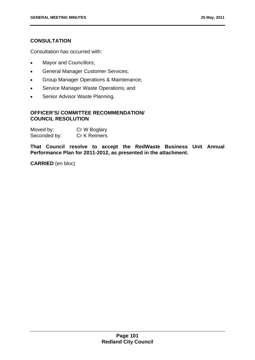# **CONSULTATION**

Consultation has occurred with:

- Mayor and Councillors;
- **•** General Manager Customer Services;
- Group Manager Operations & Maintenance;
- Service Manager Waste Operations; and
- Senior Advisor Waste Planning.

# **OFFICER'S/ COMMITTEE RECOMMENDATION/ COUNCIL RESOLUTION**

| Moved by:    | Cr W Boglary |
|--------------|--------------|
| Seconded by: | Cr K Reimers |

**That Council resolve to accept the RedWaste Business Unit Annual Performance Plan for 2011-2012, as presented in the attachment.** 

**CARRIED** (en bloc)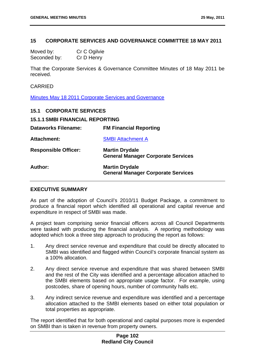# **15 CORPORATE SERVICES AND GOVERNANCE COMMITTEE 18 MAY 2011**

| Moved by:    | Cr C Ogilvie |
|--------------|--------------|
| Seconded by: | Cr D Henry   |

That the Corporate Services & Governance Committee Minutes of 18 May 2011 be received.

# CARRIED

Minutes May 18 2011 Corporate Services and Governance

| <b>15.1 CORPORATE SERVICES</b>         |                                                                    |
|----------------------------------------|--------------------------------------------------------------------|
| <b>15.1.1 SMBI FINANCIAL REPORTING</b> |                                                                    |
| <b>Dataworks Filename:</b>             | <b>FM Financial Reporting</b>                                      |
| <b>Attachment:</b>                     | <b>SMBI Attachment A</b>                                           |
| <b>Responsible Officer:</b>            | <b>Martin Drydale</b><br><b>General Manager Corporate Services</b> |
| Author:                                | <b>Martin Drydale</b><br><b>General Manager Corporate Services</b> |

# **EXECUTIVE SUMMARY**

As part of the adoption of Council's 2010/11 Budget Package, a commitment to produce a financial report which identified all operational and capital revenue and expenditure in respect of SMBI was made.

A project team comprising senior financial officers across all Council Departments were tasked with producing the financial analysis. A reporting methodology was adopted which took a three step approach to producing the report as follows:

- 1. Any direct service revenue and expenditure that could be directly allocated to SMBI was identified and flagged within Council's corporate financial system as a 100% allocation.
- 2. Any direct service revenue and expenditure that was shared between SMBI and the rest of the City was identified and a percentage allocation attached to the SMBI elements based on appropriate usage factor. For example, using postcodes, share of opening hours, number of community halls etc.
- 3. Any indirect service revenue and expenditure was identified and a percentage allocation attached to the SMBI elements based on either total population or total properties as appropriate.

The report identified that for both operational and capital purposes more is expended on SMBI than is taken in revenue from property owners.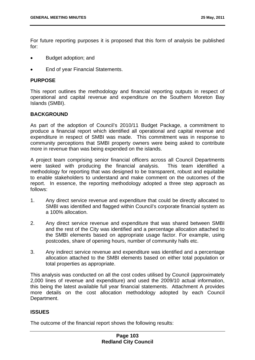For future reporting purposes it is proposed that this form of analysis be published for:

- Budget adoption; and
- End of year Financial Statements.

# **PURPOSE**

This report outlines the methodology and financial reporting outputs in respect of operational and capital revenue and expenditure on the Southern Moreton Bay Islands (SMBI).

# **BACKGROUND**

As part of the adoption of Council's 2010/11 Budget Package, a commitment to produce a financial report which identified all operational and capital revenue and expenditure in respect of SMBI was made. This commitment was in response to community perceptions that SMBI property owners were being asked to contribute more in revenue than was being expended on the islands.

A project team comprising senior financial officers across all Council Departments were tasked with producing the financial analysis. This team identified a methodology for reporting that was designed to be transparent, robust and equitable to enable stakeholders to understand and make comment on the outcomes of the report. In essence, the reporting methodology adopted a three step approach as follows:

- 1. Any direct service revenue and expenditure that could be directly allocated to SMBI was identified and flagged within Council's corporate financial system as a 100% allocation.
- 2. Any direct service revenue and expenditure that was shared between SMBI and the rest of the City was identified and a percentage allocation attached to the SMBI elements based on appropriate usage factor. For example, using postcodes, share of opening hours, number of community halls etc.
- 3. Any indirect service revenue and expenditure was identified and a percentage allocation attached to the SMBI elements based on either total population or total properties as appropriate.

This analysis was conducted on all the cost codes utilised by Council (approximately 2,000 lines of revenue and expenditure) and used the 2009/10 actual information, this being the latest available full year financial statements. Attachment A provides more details on the cost allocation methodology adopted by each Council Department.

# **ISSUES**

The outcome of the financial report shows the following results: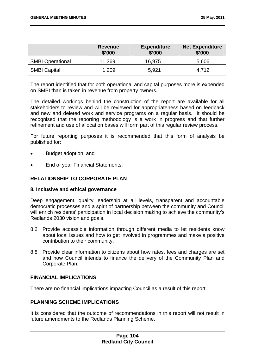|                         | <b>Revenue</b><br>\$'000 | <b>Expenditure</b><br>\$'000 | <b>Net Expenditure</b><br>\$'000 |
|-------------------------|--------------------------|------------------------------|----------------------------------|
| <b>SMBI Operational</b> | 11,369                   | 16,975                       | 5,606                            |
| <b>SMBI Capital</b>     | 1,209                    | 5,921                        | 4.712                            |

The report identified that for both operational and capital purposes more is expended on SMBI than is taken in revenue from property owners.

The detailed workings behind the construction of the report are available for all stakeholders to review and will be reviewed for appropriateness based on feedback and new and deleted work and service programs on a regular basis. It should be recognised that the reporting methodology is a work in progress and that further refinement and use of allocation bases will form part of this regular review process.

For future reporting purposes it is recommended that this form of analysis be published for:

- Budget adoption; and
- End of year Financial Statements.

# **RELATIONSHIP TO CORPORATE PLAN**

# **8. Inclusive and ethical governance**

Deep engagement, quality leadership at all levels, transparent and accountable democratic processes and a spirit of partnership between the community and Council will enrich residents' participation in local decision making to achieve the community's Redlands 2030 vision and goals.

- 8.2 Provide accessible information through different media to let residents know about local issues and how to get involved in programmes and make a positive contribution to their community.
- 8.8 Provide clear information to citizens about how rates, fees and charges are set and how Council intends to finance the delivery of the Community Plan and Corporate Plan.

# **FINANCIAL IMPLICATIONS**

There are no financial implications impacting Council as a result of this report.

# **PLANNING SCHEME IMPLICATIONS**

It is considered that the outcome of recommendations in this report will not result in future amendments to the Redlands Planning Scheme.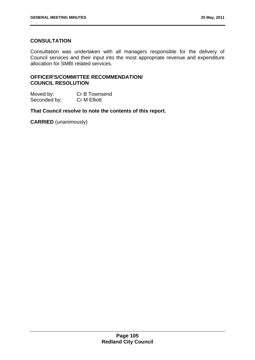# **CONSULTATION**

Consultation was undertaken with all managers responsible for the delivery of Council services and their input into the most appropriate revenue and expenditure allocation for SMBI related services.

# **OFFICER'S/COMMITTEE RECOMMENDATION/ COUNCIL RESOLUTION**

Moved by: Cr B Townsend Seconded by: Cr M Elliott

**That Council resolve to note the contents of this report.** 

**CARRIED** (unanimously)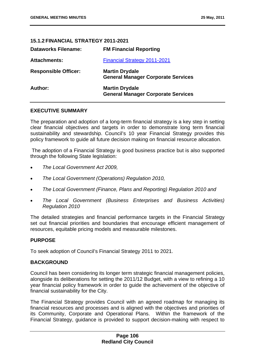# **15.1.2 FINANCIAL STRATEGY 2011-2021**

| <b>Dataworks Filename:</b>  | <b>FM Financial Reporting</b>                                      |
|-----------------------------|--------------------------------------------------------------------|
| <b>Attachments:</b>         | <b>Financial Strategy 2011-2021</b>                                |
| <b>Responsible Officer:</b> | <b>Martin Drydale</b><br><b>General Manager Corporate Services</b> |
| Author:                     | <b>Martin Drydale</b><br><b>General Manager Corporate Services</b> |

# **EXECUTIVE SUMMARY**

The preparation and adoption of a long-term financial strategy is a key step in setting clear financial objectives and targets in order to demonstrate long term financial sustainability and stewardship. Council's 10 year Financial Strategy provides this policy framework to guide all future decision making on financial resource allocation.

 The adoption of a Financial Strategy is good business practice but is also supported through the following State legislation:

- *The Local Government Act 2009,*
- *The Local Government (Operations) Regulation 2010,*
- *The Local Government (Finance, Plans and Reporting) Regulation 2010 and*
- *The Local Government (Business Enterprises and Business Activities) Regulation 2010*

The detailed strategies and financial performance targets in the Financial Strategy set out financial priorities and boundaries that encourage efficient management of resources, equitable pricing models and measurable milestones.

# **PURPOSE**

To seek adoption of Council's Financial Strategy 2011 to 2021.

# **BACKGROUND**

Council has been considering its longer term strategic financial management policies, alongside its deliberations for setting the 2011/12 Budget, with a view to refining a 10 year financial policy framework in order to guide the achievement of the objective of financial sustainability for the City.

The Financial Strategy provides Council with an agreed roadmap for managing its financial resources and processes and is aligned with the objectives and priorities of its Community, Corporate and Operational Plans. Within the framework of the Financial Strategy, guidance is provided to support decision-making with respect to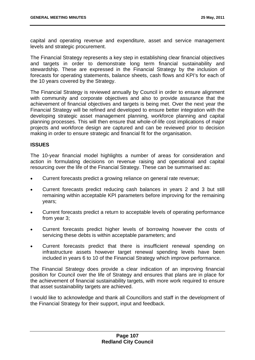capital and operating revenue and expenditure, asset and service management levels and strategic procurement.

The Financial Strategy represents a key step in establishing clear financial objectives and targets in order to demonstrate long term financial sustainability and stewardship. These are expressed in the Financial Strategy by the inclusion of forecasts for operating statements, balance sheets, cash flows and KPI's for each of the 10 years covered by the Strategy.

The Financial Strategy is reviewed annually by Council in order to ensure alignment with community and corporate objectives and also to provide assurance that the achievement of financial objectives and targets is being met. Over the next year the Financial Strategy will be refined and developed to ensure better integration with the developing strategic asset management planning, workforce planning and capital planning processes. This will then ensure that whole-of-life cost implications of major projects and workforce design are captured and can be reviewed prior to decision making in order to ensure strategic and financial fit for the organisation.

# **ISSUES**

The 10-year financial model highlights a number of areas for consideration and action in formulating decisions on revenue raising and operational and capital resourcing over the life of the Financial Strategy. These can be summarised as:

- Current forecasts predict a growing reliance on general rate revenue;
- Current forecasts predict reducing cash balances in years 2 and 3 but still remaining within acceptable KPI parameters before improving for the remaining years;
- Current forecasts predict a return to acceptable levels of operating performance from year 3;
- Current forecasts predict higher levels of borrowing however the costs of servicing these debts is within acceptable parameters; and
- Current forecasts predict that there is insufficient renewal spending on infrastructure assets however target renewal spending levels have been included in years 6 to 10 of the Financial Strategy which improve performance.

The Financial Strategy does provide a clear indication of an improving financial position for Council over the life of Strategy and ensures that plans are in place for the achievement of financial sustainability targets, with more work required to ensure that asset sustainability targets are achieved.

I would like to acknowledge and thank all Councillors and staff in the development of the Financial Strategy for their support, input and feedback.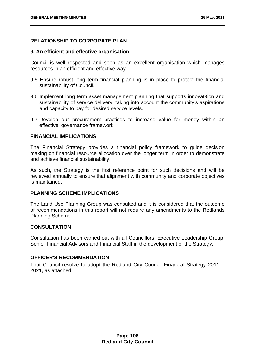# **RELATIONSHIP TO CORPORATE PLAN**

# **9. An efficient and effective organisation**

Council is well respected and seen as an excellent organisation which manages resources in an efficient and effective way

- 9.5 Ensure robust long term financial planning is in place to protect the financial sustainability of Council.
- 9.6 Implement long term asset management planning that supports innovat9ion and sustainability of service delivery, taking into account the community's aspirations and capacity to pay for desired service levels.
- 9.7 Develop our procurement practices to increase value for money within an effective governance framework.

# **FINANCIAL IMPLICATIONS**

The Financial Strategy provides a financial policy framework to guide decision making on financial resource allocation over the longer term in order to demonstrate and achieve financial sustainability.

As such, the Strategy is the first reference point for such decisions and will be reviewed annually to ensure that alignment with community and corporate objectives is maintained.

# **PLANNING SCHEME IMPLICATIONS**

The Land Use Planning Group was consulted and it is considered that the outcome of recommendations in this report will not require any amendments to the Redlands Planning Scheme.

# **CONSULTATION**

Consultation has been carried out with all Councillors, Executive Leadership Group, Senior Financial Advisors and Financial Staff in the development of the Strategy.

# **OFFICER'S RECOMMENDATION**

That Council resolve to adopt the Redland City Council Financial Strategy 2011 – 2021, as attached.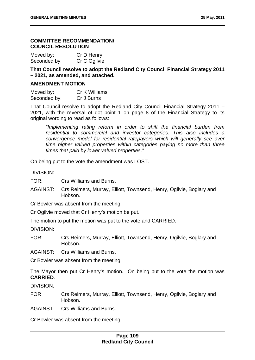# **COMMITTEE RECOMMENDATION/ COUNCIL RESOLUTION**

| Moved by:    | Cr D Henry   |
|--------------|--------------|
| Seconded by: | Cr C Ogilvie |

**That Council resolve to adopt the Redland City Council Financial Strategy 2011 – 2021, as amended, and attached.** 

# **AMENDMENT MOTION**

| Moved by:    | <b>Cr K Williams</b> |
|--------------|----------------------|
| Seconded by: | Cr J Burns           |

That Council resolve to adopt the Redland City Council Financial Strategy 2011 – 2021, with the reversal of dot point 1 on page 8 of the Financial Strategy to its original wording to read as follows:

 *"Implementing rating reform in order to shift the financial burden from residential to commercial and investor categories. This also includes a convergence model for residential ratepayers which will generally see over time higher valued properties within categories paying no more than three times that paid by lower valued properties."* 

On being put to the vote the amendment was LOST.

DIVISION:

FOR: Crs Williams and Burns.

AGAINST: Crs Reimers, Murray, Elliott, Townsend, Henry, Ogilvie, Boglary and Hobson.

Cr Bowler was absent from the meeting.

Cr Ogilvie moved that Cr Henry's motion be put.

The motion to put the motion was put to the vote and CARRIED.

DIVISION:

FOR: Crs Reimers, Murray, Elliott, Townsend, Henry, Ogilvie, Boglary and Hobson.

AGAINST: Crs Williams and Burns.

Cr Bowler was absent from the meeting.

The Mayor then put Cr Henry's motion. On being put to the vote the motion was **CARRIED**.

DIVISION:

FOR Crs Reimers, Murray, Elliott, Townsend, Henry, Ogilvie, Boglary and Hobson.

AGAINST Crs Williams and Burns.

Cr Bowler was absent from the meeting.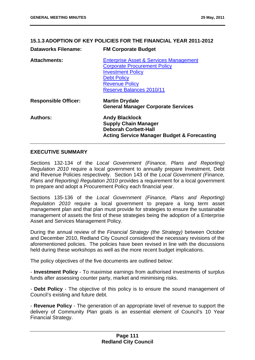# **Dataworks Filename: FM Corporate Budget Attachments:** Enterprise Asset & Services Management Corporate Procurement Policy Investment Policy Debt Policy Revenue Policy Reserve Balances 2010/11 **Responsible Officer: Martin Drydale General Manager Corporate Services Authors: Andy Blacklock Supply Chain Manager Deborah Corbett-Hall Acting Service Manager Budget & Forecasting**

**15.1.3 ADOPTION OF KEY POLICIES FOR THE FINANCIAL YEAR 2011-2012** 

# **EXECUTIVE SUMMARY**

Sections 132-134 of the *Local Government (Finance, Plans and Reporting) Regulation 2010* require a local government to annually prepare Investment, Debt and Revenue Policies respectively. Section 143 of the *Local Government (Finance, Plans and Reporting) Regulation 2010* provides a requirement for a local government to prepare and adopt a Procurement Policy each financial year.

Sections 135-136 of the *Local Government (Finance, Plans and Reporting) Regulation 2010* require a local government to prepare a long term asset management plan and that plan must provide for strategies to ensure the sustainable management of assets the first of these strategies being the adoption of a Enterprise Asset and Services Management Policy.

During the annual review of the *Financial Strategy (the Strategy)* between October and December 2010, Redland City Council considered the necessary revisions of the aforementioned policies. The policies have been revised in line with the discussions held during these workshops as well as the more recent budget implications.

The policy objectives of the five documents are outlined below:

- **Investment Policy** - To maximise earnings from authorised investments of surplus funds after assessing counter party, market and minimising risks.

- **Debt Policy** - The objective of this policy is to ensure the sound management of Council's existing and future debt.

- **Revenue Policy** - The generation of an appropriate level of revenue to support the delivery of Community Plan goals is an essential element of Council's 10 Year Financial Strategy.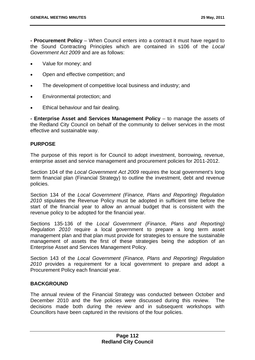**- Procurement Policy** – When Council enters into a contract it must have regard to the Sound Contracting Principles which are contained in s106 of the *Local Government Act 2009* and are as follows:

- Value for money; and
- Open and effective competition; and
- The development of competitive local business and industry; and
- Environmental protection; and
- Ethical behaviour and fair dealing.

**- Enterprise Asset and Services Management Policy** – to manage the assets of the Redland City Council on behalf of the community to deliver services in the most effective and sustainable way.

# **PURPOSE**

The purpose of this report is for Council to adopt investment, borrowing, revenue, enterprise asset and service management and procurement policies for 2011-2012.

Section 104 of the *Local Government Act 2009* requires the local government's long term financial plan (Financial Strategy) to outline the investment, debt and revenue policies.

Section 134 of the *Local Government (Finance, Plans and Reporting) Regulation 2010* stipulates the Revenue Policy must be adopted in sufficient time before the start of the financial year to allow an annual budget that is consistent with the revenue policy to be adopted for the financial year.

Sections 135-136 of the *Local Government (Finance, Plans and Reporting) Regulation 2010* require a local government to prepare a long term asset management plan and that plan must provide for strategies to ensure the sustainable management of assets the first of these strategies being the adoption of an Enterprise Asset and Services Management Policy.

Section 143 of the *Local Government (Finance, Plans and Reporting) Regulation 2010* provides a requirement for a local government to prepare and adopt a Procurement Policy each financial year.

# **BACKGROUND**

The annual review of the Financial Strategy was conducted between October and December 2010 and the five policies were discussed during this review. The decisions made both during the review and in subsequent workshops with Councillors have been captured in the revisions of the four policies.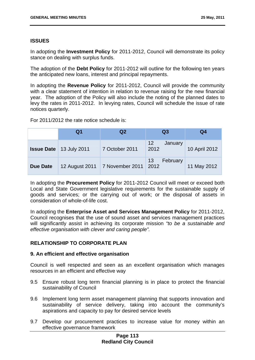# **ISSUES**

In adopting the **Investment Policy** for 2011-2012, Council will demonstrate its policy stance on dealing with surplus funds.

The adoption of the **Debt Policy** for 2011-2012 will outline for the following ten years the anticipated new loans, interest and principal repayments.

In adopting the **Revenue Policy** for 2011-2012, Council will provide the community with a clear statement of intention in relation to revenue raising for the new financial year. The adoption of the Policy will also include the noting of the planned dates to levy the rates in 2011-2012. In levying rates, Council will schedule the issue of rate notices quarterly.

For 2011/2012 the rate notice schedule is:

|                 | Q1                               | Q <sub>2</sub>  | Q <sub>3</sub>                     | Q4            |
|-----------------|----------------------------------|-----------------|------------------------------------|---------------|
|                 | <b>Issue Date</b>   13 July 2011 | 7 October 2011  | 12 <sup>2</sup><br>January<br>2012 | 10 April 2012 |
| <b>Due Date</b> | 12 August 2011                   | 7 November 2011 | 13<br>February<br>2012             | 11 May 2012   |

In adopting the **Procurement Policy** for 2011-2012 Council will meet or exceed both Local and State Government legislative requirements for the sustainable supply of goods and services; or the carrying out of work; or the disposal of assets in consideration of whole-of-life cost.

In adopting the **Enterprise Asset and Services Management Policy** for 2011-2012, Council recognises that the use of sound asset and services management practices will significantly assist in achieving its corporate mission *"to be a sustainable and effective organisation with clever and caring people".*

# **RELATIONSHIP TO CORPORATE PLAN**

# **9. An efficient and effective organisation**

Council is well respected and seen as an excellent organisation which manages resources in an efficient and effective way

- 9.5 Ensure robust long term financial planning is in place to protect the financial sustainability of Council
- 9.6 Implement long term asset management planning that supports innovation and sustainability of service delivery, taking into account the community's aspirations and capacity to pay for desired service levels
- 9.7 Develop our procurement practices to increase value for money within an effective governance framework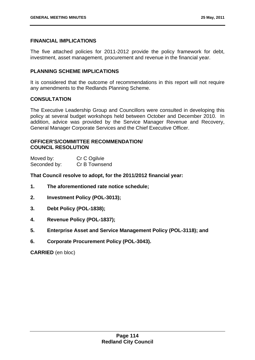# **FINANCIAL IMPLICATIONS**

The five attached policies for 2011-2012 provide the policy framework for debt, investment, asset management, procurement and revenue in the financial year.

# **PLANNING SCHEME IMPLICATIONS**

It is considered that the outcome of recommendations in this report will not require any amendments to the Redlands Planning Scheme.

# **CONSULTATION**

The Executive Leadership Group and Councillors were consulted in developing this policy at several budget workshops held between October and December 2010. In addition, advice was provided by the Service Manager Revenue and Recovery, General Manager Corporate Services and the Chief Executive Officer.

# **OFFICER'S/COMMITTEE RECOMMENDATION/ COUNCIL RESOLUTION**

| Moved by:    | Cr C Ogilvie  |
|--------------|---------------|
| Seconded by: | Cr B Townsend |

**That Council resolve to adopt, for the 2011/2012 financial year:** 

- **1. The aforementioned rate notice schedule;**
- **2. Investment Policy (POL-3013);**
- **3. Debt Policy (POL-1838);**
- **4. Revenue Policy (POL-1837);**
- **5. Enterprise Asset and Service Management Policy (POL-3118); and**
- **6. Corporate Procurement Policy (POL-3043).**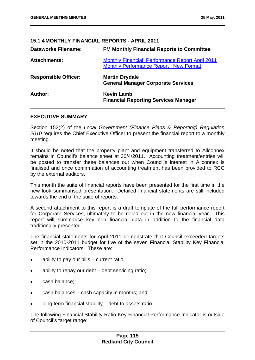# **15.1.4 MONTHLY FINANCIAL REPORTS - APRIL 2011**

| <b>Dataworks Filename:</b>  | <b>FM Monthly Financial Reports to Committee</b>                                                       |
|-----------------------------|--------------------------------------------------------------------------------------------------------|
| <b>Attachments:</b>         | <b>Monthly Financial Performance Report April 2011</b><br><b>Monthly Performance Report New Format</b> |
| <b>Responsible Officer:</b> | <b>Martin Drydale</b><br><b>General Manager Corporate Services</b>                                     |
| Author:                     | <b>Kevin Lamb</b><br><b>Financial Reporting Services Manager</b>                                       |

# **EXECUTIVE SUMMARY**

Section 152(2) of the *Local Government (Finance Plans & Reporting) Regulation 2010* requires the Chief Executive Officer to present the financial report to a monthly meeting.

It should be noted that the property plant and equipment transferred to Allconnex remains in Council's balance sheet at 30/4/2011. Accounting treatment/entries will be posted to transfer these balances out when Council's interest in Allconnex is finalised and once confirmation of accounting treatment has been provided to RCC by the external auditors.

This month the suite of financial reports have been presented for the first time in the new look summarised presentation. Detailed financial statements are still included towards the end of the suite of reports.

A second attachment to this report is a draft template of the full performance report for Corporate Services, ultimately to be rolled out in the new financial year. This report will summarise key non financial data in addition to the financial data traditionally presented.

The financial statements for April 2011 demonstrate that Council exceeded targets set in the 2010-2011 budget for five of the seven Financial Stability Key Financial Performance Indicators. These are:

- ability to pay our bills current ratio;
- ability to repay our debt debt servicing ratio;
- cash balance;
- cash balances cash capacity in months; and
- long term financial stability debt to assets ratio

The following Financial Stability Ratio Key Financial Performance Indicator is outside of Council's target range: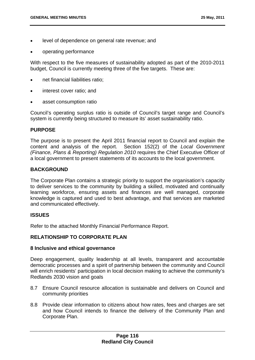- level of dependence on general rate revenue; and
- operating performance

With respect to the five measures of sustainability adopted as part of the 2010-2011 budget, Council is currently meeting three of the five targets. These are:

- net financial liabilities ratio;
- interest cover ratio; and
- asset consumption ratio

Council's operating surplus ratio is outside of Council's target range and Council's system is currently being structured to measure its' asset sustainability ratio.

# **PURPOSE**

The purpose is to present the April 2011 financial report to Council and explain the content and analysis of the report. Section 152(2) of the *Local Government (Finance, Plans & Reporting) Regulation 2010* requires the Chief Executive Officer of a local government to present statements of its accounts to the local government.

# **BACKGROUND**

The Corporate Plan contains a strategic priority to support the organisation's capacity to deliver services to the community by building a skilled, motivated and continually learning workforce, ensuring assets and finances are well managed, corporate knowledge is captured and used to best advantage, and that services are marketed and communicated effectively.

# **ISSUES**

Refer to the attached Monthly Financial Performance Report.

# **RELATIONSHIP TO CORPORATE PLAN**

#### **8 Inclusive and ethical governance**

Deep engagement, quality leadership at all levels, transparent and accountable democratic processes and a spirit of partnership between the community and Council will enrich residents' participation in local decision making to achieve the community's Redlands 2030 vision and goals

- 8.7 Ensure Council resource allocation is sustainable and delivers on Council and community priorities
- 8.8 Provide clear information to citizens about how rates, fees and charges are set and how Council intends to finance the delivery of the Community Plan and Corporate Plan.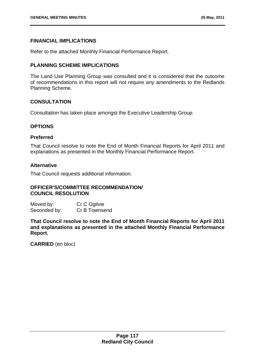# **FINANCIAL IMPLICATIONS**

Refer to the attached Monthly Financial Performance Report.

# **PLANNING SCHEME IMPLICATIONS**

The Land Use Planning Group was consulted and it is considered that the outcome of recommendations in this report will not require any amendments to the Redlands Planning Scheme.

# **CONSULTATION**

Consultation has taken place amongst the Executive Leadership Group.

# **OPTIONS**

# **Preferred**

That Council resolve to note the End of Month Financial Reports for April 2011 and explanations as presented in the Monthly Financial Performance Report.

# **Alternative**

That Council requests additional information.

# **OFFICER'S/COMMITTEE RECOMMENDATION/ COUNCIL RESOLUTION**

| Moved by:    | Cr C Ogilvie  |
|--------------|---------------|
| Seconded by: | Cr B Townsend |

**That Council resolve to note the End of Month Financial Reports for April 2011 and explanations as presented in the attached Monthly Financial Performance Report.**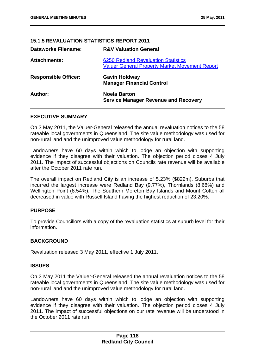# **15.1.5 REVALUATION STATISTICS REPORT 2011**

| <b>Dataworks Filename:</b>  | <b>R&amp;V Valuation General</b>                                                                    |
|-----------------------------|-----------------------------------------------------------------------------------------------------|
| <b>Attachments:</b>         | <b>6250 Redland Revaluation Statistics</b><br><b>Valuer General Property Market Movement Report</b> |
| <b>Responsible Officer:</b> | <b>Gavin Holdway</b><br><b>Manager Financial Control</b>                                            |
| Author:                     | <b>Noela Barton</b><br><b>Service Manager Revenue and Recovery</b>                                  |

# **EXECUTIVE SUMMARY**

On 3 May 2011, the Valuer-General released the annual revaluation notices to the 58 rateable local governments in Queensland. The site value methodology was used for non-rural land and the unimproved value methodology for rural land.

Landowners have 60 days within which to lodge an objection with supporting evidence if they disagree with their valuation. The objection period closes 4 July 2011. The impact of successful objections on Councils rate revenue will be available after the October 2011 rate run.

The overall impact on Redland City is an increase of 5.23% (\$822m). Suburbs that incurred the largest increase were Redland Bay (9.77%), Thornlands (8.68%) and Wellington Point (8.54%). The Southern Moreton Bay Islands and Mount Cotton all decreased in value with Russell Island having the highest reduction of 23.20%.

# **PURPOSE**

To provide Councillors with a copy of the revaluation statistics at suburb level for their information.

# **BACKGROUND**

Revaluation released 3 May 2011, effective 1 July 2011.

# **ISSUES**

On 3 May 2011 the Valuer-General released the annual revaluation notices to the 58 rateable local governments in Queensland. The site value methodology was used for non-rural land and the unimproved value methodology for rural land.

Landowners have 60 days within which to lodge an objection with supporting evidence if they disagree with their valuation. The objection period closes 4 July 2011. The impact of successful objections on our rate revenue will be understood in the October 2011 rate run.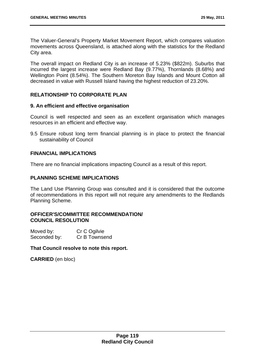The Valuer-General's Property Market Movement Report, which compares valuation movements across Queensland, is attached along with the statistics for the Redland City area.

The overall impact on Redland City is an increase of 5.23% (\$822m). Suburbs that incurred the largest increase were Redland Bay (9.77%), Thornlands (8.68%) and Wellington Point (8.54%). The Southern Moreton Bay Islands and Mount Cotton all decreased in value with Russell Island having the highest reduction of 23.20%.

# **RELATIONSHIP TO CORPORATE PLAN**

# **9. An efficient and effective organisation**

Council is well respected and seen as an excellent organisation which manages resources in an efficient and effective way.

9.5 Ensure robust long term financial planning is in place to protect the financial sustainability of Council

# **FINANCIAL IMPLICATIONS**

There are no financial implications impacting Council as a result of this report.

# **PLANNING SCHEME IMPLICATIONS**

The Land Use Planning Group was consulted and it is considered that the outcome of recommendations in this report will not require any amendments to the Redlands Planning Scheme.

# **OFFICER'S/COMMITTEE RECOMMENDATION/ COUNCIL RESOLUTION**

| Moved by:    | Cr C Ogilvie  |
|--------------|---------------|
| Seconded by: | Cr B Townsend |

# **That Council resolve to note this report.**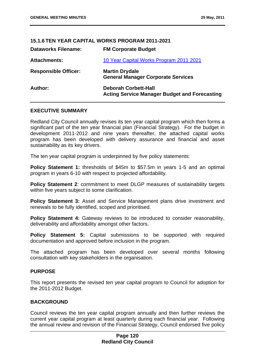| 15.1.6 IEN YEAR CAPITAL WORKS PROGRAM 2011-2021 |                                                                                     |  |
|-------------------------------------------------|-------------------------------------------------------------------------------------|--|
| <b>Dataworks Filename:</b>                      | <b>FM Corporate Budget</b>                                                          |  |
| <b>Attachments:</b>                             | 10 Year Capital Works Program 2011 2021                                             |  |
| <b>Responsible Officer:</b>                     | <b>Martin Drydale</b><br><b>General Manager Corporate Services</b>                  |  |
| Author:                                         | <b>Deborah Corbett-Hall</b><br><b>Acting Service Manager Budget and Forecasting</b> |  |

**15.1.6 TEN YEAR CAPITAL WORKS PROGRAM 2011-2021** 

# **EXECUTIVE SUMMARY**

Redland City Council annually revises its ten year capital program which then forms a significant part of the ten year financial plan (Financial Strategy). For the budget in development 2011-2012 and nine years thereafter, the attached capital works program has been developed with delivery assurance and financial and asset sustainability as its key drivers.

The ten year capital program is underpinned by five policy statements:

**Policy Statement 1:** thresholds of \$45m to \$57.5m in years 1-5 and an optimal program in years 6-10 with respect to projected affordability.

**Policy Statement 2: commitment to meet DLGP measures of sustainability targets** within five years subject to some clarification.

**Policy Statement 3:** Asset and Service Management plans drive investment and renewals to be fully identified, scoped and prioritised.

**Policy Statement 4:** Gateway reviews to be introduced to consider reasonability, deliverability and affordability amongst other factors.

**Policy Statement 5:** Capital submissions to be supported with required documentation and approved before inclusion in the program.

The attached program has been developed over several months following consultation with key stakeholders in the organisation.

# **PURPOSE**

This report presents the revised ten year capital program to Council for adoption for the 2011-2012 Budget.

# **BACKGROUND**

Council reviews the ten year capital program annually and then further reviews the current year capital program at least quarterly during each financial year. Following the annual review and revision of the Financial Strategy, Council endorsed five policy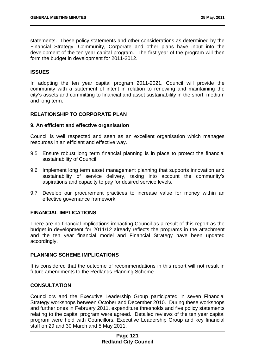statements. These policy statements and other considerations as determined by the Financial Strategy, Community, Corporate and other plans have input into the development of the ten year capital program. The first year of the program will then form the budget in development for 2011-2012.

# **ISSUES**

In adopting the ten year capital program 2011-2021, Council will provide the community with a statement of intent in relation to renewing and maintaining the city's assets and committing to financial and asset sustainability in the short, medium and long term.

# **RELATIONSHIP TO CORPORATE PLAN**

#### **9. An efficient and effective organisation**

Council is well respected and seen as an excellent organisation which manages resources in an efficient and effective way.

- 9.5 Ensure robust long term financial planning is in place to protect the financial sustainability of Council.
- 9.6 Implement long term asset management planning that supports innovation and sustainability of service delivery, taking into account the community's aspirations and capacity to pay for desired service levels.
- 9.7 Develop our procurement practices to increase value for money within an effective governance framework.

# **FINANCIAL IMPLICATIONS**

There are no financial implications impacting Council as a result of this report as the budget in development for 2011/12 already reflects the programs in the attachment and the ten year financial model and Financial Strategy have been updated accordingly.

# **PLANNING SCHEME IMPLICATIONS**

It is considered that the outcome of recommendations in this report will not result in future amendments to the Redlands Planning Scheme.

# **CONSULTATION**

Councillors and the Executive Leadership Group participated in seven Financial Strategy workshops between October and December 2010. During these workshops and further ones in February 2011, expenditure thresholds and five policy statements relating to the capital program were agreed. Detailed reviews of the ten year capital program were held with Councillors, Executive Leadership Group and key financial staff on 29 and 30 March and 5 May 2011.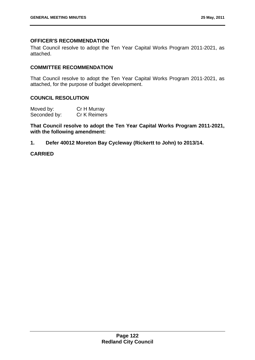# **OFFICER'S RECOMMENDATION**

That Council resolve to adopt the Ten Year Capital Works Program 2011-2021, as attached.

# **COMMITTEE RECOMMENDATION**

That Council resolve to adopt the Ten Year Capital Works Program 2011-2021, as attached, for the purpose of budget development.

# **COUNCIL RESOLUTION**

| Moved by:    | Cr H Murray  |
|--------------|--------------|
| Seconded by: | Cr K Reimers |

**That Council resolve to adopt the Ten Year Capital Works Program 2011-2021, with the following amendment:** 

**1. Defer 40012 Moreton Bay Cycleway (Rickertt to John) to 2013/14.** 

# **CARRIED**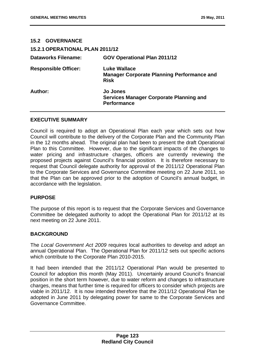| <b>15.2 GOVERNANCE</b>                 |                                                                                         |
|----------------------------------------|-----------------------------------------------------------------------------------------|
| <b>15.2.1 OPERATIONAL PLAN 2011/12</b> |                                                                                         |
| <b>Dataworks Filename:</b>             | <b>GOV Operational Plan 2011/12</b>                                                     |
| <b>Responsible Officer:</b>            | <b>Luke Wallace</b><br><b>Manager Corporate Planning Performance and</b><br><b>Risk</b> |
| Author:                                | <b>Jo Jones</b><br><b>Services Manager Corporate Planning and</b><br><b>Performance</b> |

# **EXECUTIVE SUMMARY**

Council is required to adopt an Operational Plan each year which sets out how Council will contribute to the delivery of the Corporate Plan and the Community Plan in the 12 months ahead. The original plan had been to present the draft Operational Plan to this Committee. However, due to the significant impacts of the changes to water pricing and infrastructure charges, officers are currently reviewing the proposed projects against Council's financial position. It is therefore necessary to request that Council delegate authority for approval of the 2011/12 Operational Plan to the Corporate Services and Governance Committee meeting on 22 June 2011, so that the Plan can be approved prior to the adoption of Council's annual budget, in accordance with the legislation.

# **PURPOSE**

The purpose of this report is to request that the Corporate Services and Governance Committee be delegated authority to adopt the Operational Plan for 2011/12 at its next meeting on 22 June 2011.

# **BACKGROUND**

The *Local Government Act 2009* requires local authorities to develop and adopt an annual Operational Plan. The Operational Plan for 2011/12 sets out specific actions which contribute to the Corporate Plan 2010-2015.

It had been intended that the 2011/12 Operational Plan would be presented to Council for adoption this month (May 2011). Uncertainly around Council's financial position in the short term however, due to water reform and changes to infrastructure charges, means that further time is required for officers to consider which projects are viable in 2011/12. It is now intended therefore that the 2011/12 Operational Plan be adopted in June 2011 by delegating power for same to the Corporate Services and Governance Committee.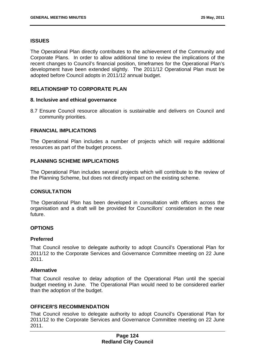# **ISSUES**

The Operational Plan directly contributes to the achievement of the Community and Corporate Plans. In order to allow additional time to review the implications of the recent changes to Council's financial position, timeframes for the Operational Plan's development have been extended slightly. The 2011/12 Operational Plan must be adopted before Council adopts in 2011/12 annual budget.

# **RELATIONSHIP TO CORPORATE PLAN**

# **8. Inclusive and ethical governance**

8.7 Ensure Council resource allocation is sustainable and delivers on Council and community priorities.

# **FINANCIAL IMPLICATIONS**

The Operational Plan includes a number of projects which will require additional resources as part of the budget process.

# **PLANNING SCHEME IMPLICATIONS**

The Operational Plan includes several projects which will contribute to the review of the Planning Scheme, but does not directly impact on the existing scheme.

# **CONSULTATION**

The Operational Plan has been developed in consultation with officers across the organisation and a draft will be provided for Councillors' consideration in the near future.

# **OPTIONS**

# **Preferred**

That Council resolve to delegate authority to adopt Council's Operational Plan for 2011/12 to the Corporate Services and Governance Committee meeting on 22 June 2011.

# **Alternative**

That Council resolve to delay adoption of the Operational Plan until the special budget meeting in June. The Operational Plan would need to be considered earlier than the adoption of the budget.

# **OFFICER'S RECOMMENDATION**

That Council resolve to delegate authority to adopt Council's Operational Plan for 2011/12 to the Corporate Services and Governance Committee meeting on 22 June 2011.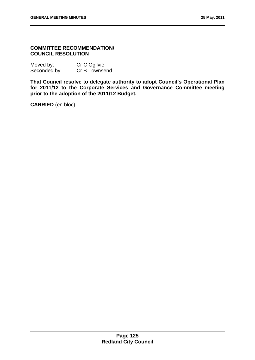# **COMMITTEE RECOMMENDATION/ COUNCIL RESOLUTION**

| Moved by:    | Cr C Ogilvie  |
|--------------|---------------|
| Seconded by: | Cr B Townsend |

**That Council resolve to delegate authority to adopt Council's Operational Plan for 2011/12 to the Corporate Services and Governance Committee meeting prior to the adoption of the 2011/12 Budget.**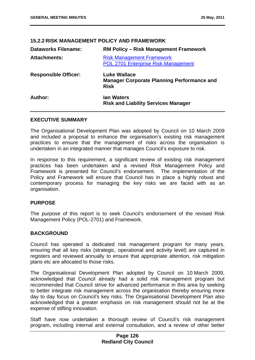| IJ.Z.Z NIJN MANAJLMEN I TULIVI AND I NAMEWUNN |                                                                                         |  |
|-----------------------------------------------|-----------------------------------------------------------------------------------------|--|
| <b>Dataworks Filename:</b>                    | <b>RM Policy – Risk Management Framework</b>                                            |  |
| <b>Attachments:</b>                           | <b>Risk Management Framework</b><br>POL 2701 Enterprise Risk Management                 |  |
| <b>Responsible Officer:</b>                   | <b>Luke Wallace</b><br><b>Manager Corporate Planning Performance and</b><br><b>Risk</b> |  |
| Author:                                       | lan Waters<br><b>Risk and Liability Services Manager</b>                                |  |

# **15.2.2 RISK MANAGEMENT POLICY AND FRAMEWORK**

# **EXECUTIVE SUMMARY**

The Organisational Development Plan was adopted by Council on 10 March 2009 and included a proposal to enhance the organisation's existing risk management practices to ensure that the management of risks across the organisation is undertaken in an integrated manner that manages Council's exposure to risk.

In response to this requirement, a significant review of existing risk management practices has been undertaken and a revised Risk Management Policy and Framework is presented for Council's endorsement. The implementation of the Policy and Framework will ensure that Council has in place a highly robust and contemporary process for managing the key risks we are faced with as an organisation.

# **PURPOSE**

The purpose of this report is to seek Council's endorsement of the revised Risk Management Policy (POL-2701) and Framework.

# **BACKGROUND**

Council has operated a dedicated risk management program for many years, ensuring that all key risks (strategic, operational and activity level) are captured in registers and reviewed annually to ensure that appropriate attention, risk mitigation plans etc are allocated to those risks.

The Organisational Development Plan adopted by Council on 10 March 2009, acknowledged that Council already had a solid risk management program but recommended that Council strive for advanced performance in this area by seeking to better integrate risk management across the organisation thereby ensuring more day to day focus on Council's key risks. The Organisational Development Plan also acknowledged that a greater emphasis on risk management should not be at the expense of stifling innovation.

Staff have now undertaken a thorough review of Council's risk management program, including internal and external consultation, and a review of other better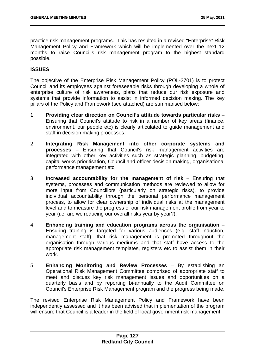practice risk management programs. This has resulted in a revised "Enterprise" Risk Management Policy and Framework which will be implemented over the next 12 months to raise Council's risk management program to the highest standard possible.

# **ISSUES**

The objective of the Enterprise Risk Management Policy (POL-2701) is to protect Council and its employees against foreseeable risks through developing a whole of enterprise culture of risk awareness, plans that reduce our risk exposure and systems that provide information to assist in informed decision making. The key pillars of the Policy and Framework (see attached) are summarised below;

- 1. **Providing clear direction on Council's attitude towards particular risks**  Ensuring that Council's attitude to risk in a number of key areas (finance, environment, our people etc) is clearly articulated to guide management and staff in decision making processes.
- 2. **Integrating Risk Management into other corporate systems and processes** – Ensuring that Council's risk management activities are integrated with other key activities such as strategic planning, budgeting, capital works prioritisation, Council and officer decision making, organisational performance management etc.
- 3. **Increased accountability for the management of risk**  Ensuring that systems, processes and communication methods are reviewed to allow for more input from Councillors (particularly on strategic risks), to provide individual accountability through the personal performance management process, to allow for clear ownership of individual risks at the management level and to measure the progress of our risk management profile from year to year (i.e. are we reducing our overall risks year by year?).
- 4. **Enhancing training and education programs across the organisation** Ensuring training is targeted for various audiences (e.g. staff induction, management staff), that risk management is promoted throughout the organisation through various mediums and that staff have access to the appropriate risk management templates, registers etc to assist them in their work.
- 5. **Enhancing Monitoring and Review Processes**  By establishing an Operational Risk Management Committee comprised of appropriate staff to meet and discuss key risk management issues and opportunities on a quarterly basis and by reporting bi-annually to the Audit Committee on Council's Enterprise Risk Management program and the progress being made.

The revised Enterprise Risk Management Policy and Framework have been independently assessed and it has been advised that implementation of the program will ensure that Council is a leader in the field of local government risk management.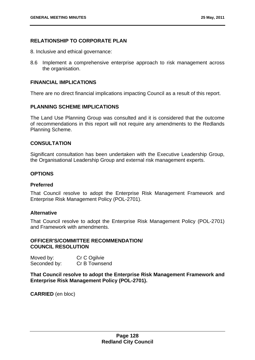# **RELATIONSHIP TO CORPORATE PLAN**

- 8. Inclusive and ethical governance:
- 8.6 Implement a comprehensive enterprise approach to risk management across the organisation.

# **FINANCIAL IMPLICATIONS**

There are no direct financial implications impacting Council as a result of this report.

# **PLANNING SCHEME IMPLICATIONS**

The Land Use Planning Group was consulted and it is considered that the outcome of recommendations in this report will not require any amendments to the Redlands Planning Scheme.

# **CONSULTATION**

Significant consultation has been undertaken with the Executive Leadership Group, the Organisational Leadership Group and external risk management experts.

# **OPTIONS**

# **Preferred**

That Council resolve to adopt the Enterprise Risk Management Framework and Enterprise Risk Management Policy (POL-2701).

# **Alternative**

That Council resolve to adopt the Enterprise Risk Management Policy (POL-2701) and Framework with amendments.

# **OFFICER'S/COMMITTEE RECOMMENDATION/ COUNCIL RESOLUTION**

Moved by: Cr C Ogilvie Seconded by: Cr B Townsend

**That Council resolve to adopt the Enterprise Risk Management Framework and Enterprise Risk Management Policy (POL-2701).**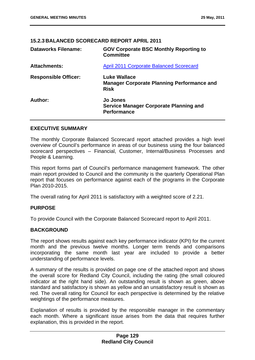# **15.2.3 BALANCED SCORECARD REPORT APRIL 2011**

| <b>Dataworks Filename:</b>  | <b>GOV Corporate BSC Monthly Reporting to</b><br><b>Committee</b>                       |  |
|-----------------------------|-----------------------------------------------------------------------------------------|--|
| <b>Attachments:</b>         | <b>April 2011 Corporate Balanced Scorecard</b>                                          |  |
| <b>Responsible Officer:</b> | <b>Luke Wallace</b><br><b>Manager Corporate Planning Performance and</b><br><b>Risk</b> |  |
| Author:                     | <b>Jo Jones</b><br><b>Service Manager Corporate Planning and</b><br><b>Performance</b>  |  |

# **EXECUTIVE SUMMARY**

The monthly Corporate Balanced Scorecard report attached provides a high level overview of Council's performance in areas of our business using the four balanced scorecard perspectives – Financial, Customer, Internal/Business Processes and People & Learning.

This report forms part of Council's performance management framework. The other main report provided to Council and the community is the quarterly Operational Plan report that focuses on performance against each of the programs in the Corporate Plan 2010-2015.

The overall rating for April 2011 is satisfactory with a weighted score of 2.21.

# **PURPOSE**

To provide Council with the Corporate Balanced Scorecard report to April 2011.

# **BACKGROUND**

The report shows results against each key performance indicator (KPI) for the current month and the previous twelve months. Longer term trends and comparisons incorporating the same month last year are included to provide a better understanding of performance levels.

A summary of the results is provided on page one of the attached report and shows the overall score for Redland City Council, including the rating (the small coloured indicator at the right hand side). An outstanding result is shown as green, above standard and satisfactory is shown as yellow and an unsatisfactory result is shown as red. The overall rating for Council for each perspective is determined by the relative weightings of the performance measures.

Explanation of results is provided by the responsible manager in the commentary each month. Where a significant issue arises from the data that requires further explanation, this is provided in the report.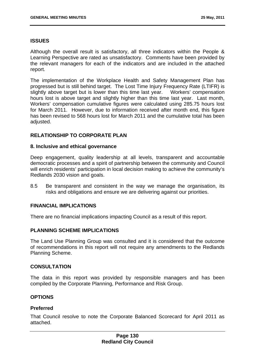# **ISSUES**

Although the overall result is satisfactory, all three indicators within the People & Learning Perspective are rated as unsatisfactory. Comments have been provided by the relevant managers for each of the indicators and are included in the attached report.

The implementation of the Workplace Health and Safety Management Plan has progressed but is still behind target. The Lost Time Injury Frequency Rate (LTIFR) is slightly above target but is lower than this time last year. Workers' compensation hours lost is above target and slightly higher than this time last year. Last month, Workers' compensation cumulative figures were calculated using 285.75 hours lost for March 2011. However, due to information received after month end, this figure has been revised to 568 hours lost for March 2011 and the cumulative total has been adjusted.

# **RELATIONSHIP TO CORPORATE PLAN**

#### **8. Inclusive and ethical governance**

Deep engagement, quality leadership at all levels, transparent and accountable democratic processes and a spirit of partnership between the community and Council will enrich residents' participation in local decision making to achieve the community's Redlands 2030 vision and goals.

8.5 Be transparent and consistent in the way we manage the organisation, its risks and obligations and ensure we are delivering against our priorities.

# **FINANCIAL IMPLICATIONS**

There are no financial implications impacting Council as a result of this report.

# **PLANNING SCHEME IMPLICATIONS**

The Land Use Planning Group was consulted and it is considered that the outcome of recommendations in this report will not require any amendments to the Redlands Planning Scheme.

#### **CONSULTATION**

The data in this report was provided by responsible managers and has been compiled by the Corporate Planning, Performance and Risk Group.

# **OPTIONS**

#### **Preferred**

That Council resolve to note the Corporate Balanced Scorecard for April 2011 as attached.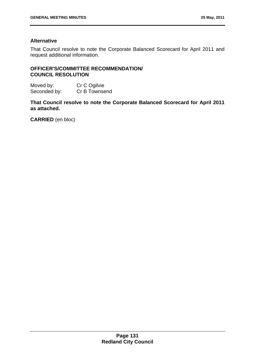# **Alternative**

That Council resolve to note the Corporate Balanced Scorecard for April 2011 and request additional information.

# **OFFICER'S/COMMITTEE RECOMMENDATION/ COUNCIL RESOLUTION**

Moved by: Cr C Ogilvie Seconded by: Cr B Townsend

**That Council resolve to note the Corporate Balanced Scorecard for April 2011 as attached.**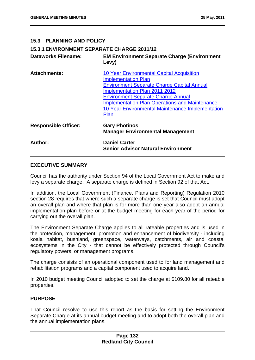# **15.3 PLANNING AND POLICY**

# **15.3.1 ENVIRONMENT SEPARATE CHARGE 2011/12**

| <b>Dataworks Filename:</b>  | <b>EM Environment Separate Charge (Environment</b><br>Levy)                                                                                                                                                                                                                                                                            |  |
|-----------------------------|----------------------------------------------------------------------------------------------------------------------------------------------------------------------------------------------------------------------------------------------------------------------------------------------------------------------------------------|--|
| <b>Attachments:</b>         | 10 Year Environmental Capital Acquisition<br><b>Implementation Plan</b><br><b>Environment Separate Charge Capital Annual</b><br><b>Implementation Plan 2011 2012</b><br><b>Environment Separate Charge Annual</b><br><b>Implementation Plan Operations and Maintenance</b><br>10 Year Environmental Maintenance Implementation<br>Plan |  |
| <b>Responsible Officer:</b> | <b>Gary Photinos</b><br><b>Manager Environmental Management</b>                                                                                                                                                                                                                                                                        |  |
| Author:                     | <b>Daniel Carter</b><br><b>Senior Advisor Natural Environment</b>                                                                                                                                                                                                                                                                      |  |

# **EXECUTIVE SUMMARY**

Council has the authority under Section 94 of the Local Government Act to make and levy a separate charge. A separate charge is defined in Section 92 of that Act.

In addition, the Local Government (Finance, Plans and Reporting) Regulation 2010 section 28 requires that where such a separate charge is set that Council must adopt an overall plan and where that plan is for more than one year also adopt an annual implementation plan before or at the budget meeting for each year of the period for carrying out the overall plan.

The Environment Separate Charge applies to all rateable properties and is used in the protection, management, promotion and enhancement of biodiversity - including koala habitat, bushland, greenspace, waterways, catchments, air and coastal ecosystems in the City - that cannot be effectively protected through Council's regulatory powers, or management programs.

The charge consists of an operational component used to for land management and rehabilitation programs and a capital component used to acquire land.

In 2010 budget meeting Council adopted to set the charge at \$109.80 for all rateable properties.

# **PURPOSE**

That Council resolve to use this report as the basis for setting the Environment Separate Charge at its annual budget meeting and to adopt both the overall plan and the annual implementation plans.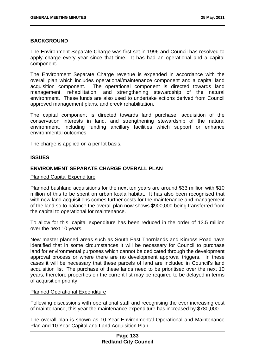# **BACKGROUND**

The Environment Separate Charge was first set in 1996 and Council has resolved to apply charge every year since that time. It has had an operational and a capital component.

The Environment Separate Charge revenue is expended in accordance with the overall plan which includes operational/maintenance component and a capital land acquisition component. The operational component is directed towards land management, rehabilitation, and strengthening stewardship of the natural environment. These funds are also used to undertake actions derived from Council approved management plans, and creek rehabilitation.

The capital component is directed towards land purchase, acquisition of the conservation interests in land, and strengthening stewardship of the natural environment, including funding ancillary facilities which support or enhance environmental outcomes.

The charge is applied on a per lot basis.

# **ISSUES**

# **ENVIRONMENT SEPARATE CHARGE OVERALL PLAN**

#### Planned Capital Expenditure

Planned bushland acquisitions for the next ten years are around \$33 million with \$10 million of this to be spent on urban koala habitat. It has also been recognised that with new land acquisitions comes further costs for the maintenance and management of the land so to balance the overall plan now shows \$900,000 being transferred from the capital to operational for maintenance.

To allow for this, capital expenditure has been reduced in the order of 13.5 million over the next 10 years.

New master planned areas such as South East Thornlands and Kinross Road have identified that in some circumstances it will be necessary for Council to purchase land for environmental purposes which cannot be dedicated through the development approval process or where there are no development approval triggers. In these cases it will be necessary that these parcels of land are included in Council's land acquisition list The purchase of these lands need to be prioritised over the next 10 years, therefore properties on the current list may be required to be delayed in terms of acquisition priority.

# Planned Operational Expenditure

Following discussions with operational staff and recognising the ever increasing cost of maintenance, this year the maintenance expenditure has increased by \$780,000.

The overall plan is shown as 10 Year Environmental Operational and Maintenance Plan and 10 Year Capital and Land Acquisition Plan.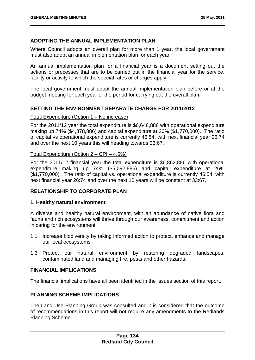# **ADOPTING THE ANNUAL IMPLEMENTATION PLAN**

Where Council adopts an overall plan for more than 1 year, the local government must also adopt an annual implementation plan for each year.

An annual implementation plan for a financial year is a document setting out the actions or processes that are to be carried out in the financial year for the service, facility or activity to which the special rates or charges apply.

The local government must adopt the annual implementation plan before or at the budget meeting for each year of the period for carrying out the overall plan.

# **SETTING THE ENVIRONMENT SEPARATE CHARGE FOR 2011/2012**

#### Total Expenditure (Option 1 – No increase)

For the 2011/12 year the total expenditure is \$6,648,886 with operational expenditure making up 74% (\$4,878,886) and capital expenditure at 26% (\$1,770,000). The ratio of capital vs operational expenditure is currently 46:54, with next financial year 26:74 and over the next 10 years this will heading towards 33:67.

# Total Expenditure (Option 2 – CPI – 4.5%)

For the 2011/12 financial year the total expenditure is \$6,862,886 with operational expenditure making up 74% (\$5,092,886) and capital expenditure at 26% (\$1,770,000). The ratio of capital vs. operational expenditure is currently 46:54, with next financial year 26:74 and over the next 10 years will be constant at 33:67.

# **RELATIONSHIP TO CORPORATE PLAN**

# **1. Healthy natural environment**

A diverse and healthy natural environment, with an abundance of native flora and fauna and rich ecosystems will thrive through our awareness, commitment and action in caring for the environment.

- 1.1 Increase biodiversity by taking informed action to protect, enhance and manage our local ecosystems
- 1.3 Protect our natural environment by restoring degraded landscapes, contaminated land and managing fire, pests and other hazards.

# **FINANCIAL IMPLICATIONS**

The financial implications have all been identified in the Issues section of this report.

# **PLANNING SCHEME IMPLICATIONS**

The Land Use Planning Group was consulted and it is considered that the outcome of recommendations in this report will not require any amendments to the Redlands Planning Scheme.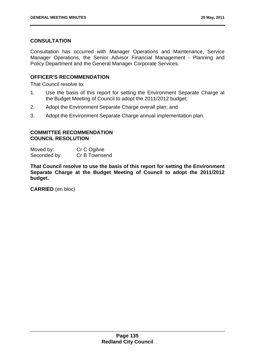# **CONSULTATION**

Consultation has occurred with Manager Operations and Maintenance, Service Manager Operations, the Senior Advisor Financial Management - Planning and Policy Department and the General Manager Corporate Services.

# **OFFICER'S RECOMMENDATION**

That Council resolve to:

- 1. Use the basis of this report for setting the Environment Separate Charge at the Budget Meeting of Council to adopt the 2011/2012 budget;
- 2. Adopt the Environment Separate Charge overall plan; and
- 3. Adopt the Environment Separate Charge annual implementation plan.

# **COMMITTEE RECOMMENDATION COUNCIL RESOLUTION**

Moved by: Cr C Ogilvie Seconded by: Cr B Townsend

**That Council resolve to use the basis of this report for setting the Environment Separate Charge at the Budget Meeting of Council to adopt the 2011/2012 budget.**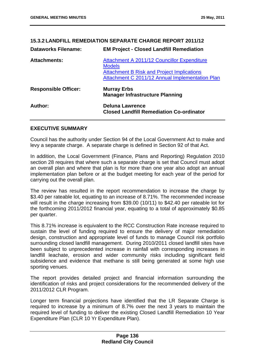# **15.3.2 LANDFILL REMEDIATION SEPARATE CHARGE REPORT 2011/12 Dataworks Filename: EM Project - Closed Landfill Remediation Attachments:** Attachment A 2011/12 Councillor Expenditure **Models** Attachment B Risk and Project Implications Attachment C 2011/12 Annual Implementation Plan **Responsible Officer: Murray Erbs Manager Infrastructure Planning Author: Deluna Lawrence Closed Landfill Remediation Co-ordinator**

# **EXECUTIVE SUMMARY**

Council has the authority under Section 94 of the Local Government Act to make and levy a separate charge. A separate charge is defined in Section 92 of that Act.

In addition, the Local Government (Finance, Plans and Reporting) Regulation 2010 section 28 requires that where such a separate charge is set that Council must adopt an overall plan and where that plan is for more than one year also adopt an annual implementation plan before or at the budget meeting for each year of the period for carrying out the overall plan.

The review has resulted in the report recommendation to increase the charge by \$3.40 per rateable lot, equating to an increase of 8.71%. The recommended increase will result in the charge increasing from \$39.00 (10/11) to \$42.40 per rateable lot for the forthcoming 2011/2012 financial year, equating to a total of approximately \$0.85 per quarter.

This 8.71% increase is equivalent to the RCC Construction Rate increase required to sustain the level of funding required to ensure the delivery of major remediation design, construction and appropriate level of funds to manage Council risk portfolio surrounding closed landfill management. During 2010/2011 closed landfill sites have been subject to unprecedented increase in rainfall with corresponding increases in landfill leachate, erosion and wider community risks including significant field subsidence and evidence that methane is still being generated at some high use sporting venues.

The report provides detailed project and financial information surrounding the identification of risks and project considerations for the recommended delivery of the 2011/2012 CLR Program.

Longer term financial projections have identified that the LR Separate Charge is required to increase by a minimum of 8.7% over the next 3 years to maintain the required level of funding to deliver the existing Closed Landfill Remediation 10 Year Expenditure Plan (CLR 10 Yr Expenditure Plan).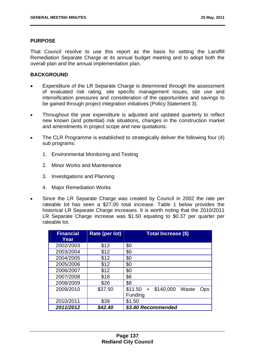# **PURPOSE**

That Council resolve to use this report as the basis for setting the Landfill Remediation Separate Charge at its annual budget meeting and to adopt both the overall plan and the annual implementation plan.

# **BACKGROUND**

- Expenditure of the LR Separate Charge is determined through the assessment of evaluated risk rating, site specific management issues, site use and intensification pressures and consideration of the opportunities and savings to be gained through project integration initiatives (Policy Statement 3).
- Throughout the year expenditure is adjusted and updated quarterly to reflect new known (and potential) risk situations, changes in the construction market and amendments in project scope and new quotations.
- The CLR Programme is established to strategically deliver the following four (4) sub programs:
	- 1. Environmental Monitoring and Testing
	- 2. Minor Works and Maintenance
	- 3. Investigations and Planning
	- 4. Major Remediation Works
- Since the LR Separate Charge was created by Council in 2002 the rate per rateable lot has seen a \$27.00 total increase. Table 1 below provides the historical LR Separate Charge increases. It is worth noting that the 2010/2011 LR Separate Charge increase was \$1.50 equating to \$0.37 per quarter per rateable lot.

| Financial<br>Year | Rate (per lot) | <b>Total Increase (\$)</b>                  |
|-------------------|----------------|---------------------------------------------|
| 2002/2003         | \$12           | \$0                                         |
| 2003/2004         | \$12           | \$0                                         |
| 2004/2005         | \$12           | \$0                                         |
| 2005/2006         | \$12           | \$0                                         |
| 2006/2007         | \$12           | \$0                                         |
| 2007/2008         | \$18           | \$6                                         |
| 2008/2009         | \$26           | \$8                                         |
| 2009/2010         | \$37.50        | \$140,000<br>\$11.50<br>Waste<br>$+$<br>Ops |
|                   |                | Funding                                     |
| 2010/2011         | \$39           | \$1.50                                      |
| 2011/2012         | \$42.40        | \$3.40 Recommended                          |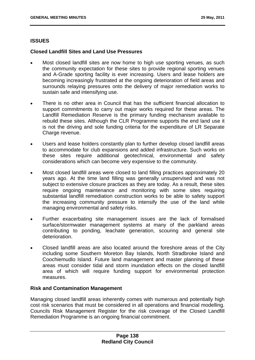# **ISSUES**

# **Closed Landfill Sites and Land Use Pressures**

- Most closed landfill sites are now home to high use sporting venues, as such the community expectation for these sites to provide regional sporting venues and A-Grade sporting facility is ever increasing. Users and lease holders are becoming increasingly frustrated at the ongoing deterioration of field areas and surrounds relaying pressures onto the delivery of major remediation works to sustain safe and intensifying use.
- There is no other area in Council that has the sufficient financial allocation to support commitments to carry out major works required for these areas. The Landfill Remediation Reserve is the primary funding mechanism available to rebuild these sites. Although the CLR Programme supports the end land use it is not the driving and sole funding criteria for the expenditure of LR Separate Charge revenue.
- Users and lease holders constantly plan to further develop closed landfill areas to accommodate for club expansions and added infrastructure. Such works on these sites require additional geotechnical, environmental and safety considerations which can become very expensive to the community.
- Most closed landfill areas were closed to land filling practices approximately 20 years ago. At the time land filling was generally unsupervised and was not subject to extensive closure practices as they are today. As a result, these sites require ongoing maintenance and monitoring with some sites requiring substantial landfill remediation construction works to be able to safety support the increasing community pressure to intensify the use of the land while managing environmental and safety risks.
- Further exacerbating site management issues are the lack of formalised surface/stormwater management systems at many of the parkland areas contributing to ponding, leachate generation, scouring and general site deterioration.
- Closed landfill areas are also located around the foreshore areas of the City including some Southern Moreton Bay Islands, North Stradbroke Island and Coochiemudlo Island. Future land management and master planning of these areas must consider tidal and storm inundation effects on the closed landfill area of which will require funding support for environmental protection measures.

# **Risk and Contamination Management**

Managing closed landfill areas inherently comes with numerous and potentially high cost risk scenarios that must be considered in all operations and financial modelling. Councils Risk Management Register for the risk coverage of the Closed Landfill Remediation Programme is an ongoing financial commitment.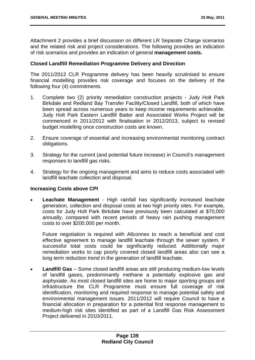Attachment 2 provides a brief discussion on different LR Separate Charge scenarios and the related risk and project considerations. The following provides an indication of risk scenarios and provides an indication of general **management costs.**

### **Closed Landfill Remediation Programme Delivery and Direction**

The 2011/2012 CLR Programme delivery has been heavily scrutinised to ensure financial modelling provides risk coverage and focuses on the delivery of the following four (4) commitments.

- 1. Complete two (2) priority remediation construction projects Judy Holt Park Birkdale and Redland Bay Transfer Facility/Closed Landfill, both of which have been spread across numerous years to keep income requirements achievable. Judy Holt Park Eastern Landfill Batter and Associated Works Project will be commenced in 2011/2012 with finalisation in 2012/2013, subject to revised budget modelling once construction costs are known.
- 2. Ensure coverage of essential and increasing environmental monitoring contract obligations.
- 3. Strategy for the current (and potential future increase) in Council's management responses to landfill gas risks.
- 4. Strategy for the ongoing management and aims to reduce costs associated with landfill leachate collection and disposal.

### **Increasing Costs above CPI**

 **Leachate Management** - High rainfall has significantly increased leachate generation, collection and disposal costs at two high priority sites. For example, costs for Judy Holt Park Birkdale have previously been calculated at \$70,000 annually, compared with recent periods of heavy rain pushing management costs to over \$200,000 per month.

Future negotiation is required with Allconnex to reach a beneficial and cost effective agreement to manage landfill leachate through the sewer system. If successful total costs could be significantly reduced. Additionally major remediation works to cap poorly covered closed landfill areas also can see a long term reduction trend in the generation of landfill leachate.

 **Landfill Gas** – Some closed landfill areas are still producing medium-low levels of landfill gases, predominantly methane a potentially explosive gas and asphyxiate. As most closed landfill sites are home to major sporting groups and infrastructure the CLR Programme must ensure full coverage of risk identification, monitoring and required response to manage potential safety and environmental management issues. 2011/2012 will require Council to have a financial allocation in preparation for a potential first response management to medium-high risk sites identified as part of a Landfill Gas Risk Assessment Project delivered in 2010/2011.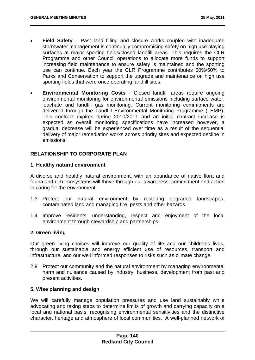- **Field Safety** Past land filling and closure works coupled with inadequate stormwater management is continually compromising safety on high use playing surfaces at major sporting fields/closed landfill areas. This requires the CLR Programme and other Council operations to allocate more funds to support increasing field maintenance to ensure safety is maintained and the sporting use can continue. Each year the CLR Programme contributes 50%/50% to Parks and Conservation to support the upgrade and maintenance on high use sporting fields that were once operating landfill sites.
- **Environmental Monitoring Costs** Closed landfill areas require ongoing environmental monitoring for environmental emissions including surface water, leachate and landfill gas monitoring. Current monitoring commitments are delivered through the Landfill Environmental Monitoring Programme (LEMP). This contract expires during 2010/2011 and an initial contract increase is expected as overall monitoring specifications have increased however, a gradual decrease will be experienced over time as a result of the sequential delivery of major remediation works across priority sites and expected decline in emissions.

## **RELATIONSHIP TO CORPORATE PLAN**

#### **1. Healthy natural environment**

A diverse and healthy natural environment, with an abundance of native flora and fauna and rich ecosystems will thrive through our awareness, commitment and action in caring for the environment.

- 1.3 Protect our natural environment by restoring degraded landscapes, contaminated land and managing fire, pests and other hazards.
- 1.4 Improve residents' understanding, respect and enjoyment of the local environment through stewardship and partnerships.

### **2. Green living**

Our green living choices will improve our quality of life and our children's lives, through our sustainable and energy efficient use of resources, transport and infrastructure, and our well informed responses to risks such as climate change.

2.9 Protect our community and the natural environment by managing environmental harm and nuisance caused by industry, business, development from past and present activities.

#### **5. Wise planning and design**

We will carefully manage population pressures and use land sustainably while advocating and taking steps to determine limits of growth and carrying capacity on a local and national basis, recognising environmental sensitivities and the distinctive character, heritage and atmosphere of local communities. A well-planned network of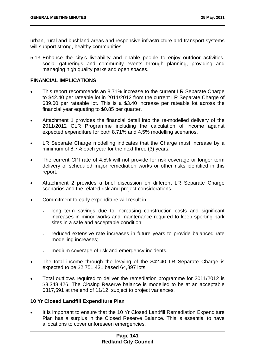urban, rural and bushland areas and responsive infrastructure and transport systems will support strong, healthy communities.

5.13 Enhance the city's liveability and enable people to enjoy outdoor activities, social gatherings and community events through planning, providing and managing high quality parks and open spaces.

# **FINANCIAL IMPLICATIONS**

- This report recommends an 8.71% increase to the current LR Separate Charge to \$42.40 per rateable lot in 2011/2012 from the current LR Separate Charge of \$39.00 per rateable lot. This is a \$3.40 increase per rateable lot across the financial year equating to \$0.85 per quarter.
- Attachment 1 provides the financial detail into the re-modelled delivery of the 2011/2012 CLR Programme including the calculation of income against expected expenditure for both 8.71% and 4.5% modelling scenarios.
- LR Separate Charge modelling indicates that the Charge must increase by a minimum of 8.7% each year for the next three (3) years.
- The current CPI rate of 4.5% will not provide for risk coverage or longer term delivery of scheduled major remediation works or other risks identified in this report.
- Attachment 2 provides a brief discussion on different LR Separate Charge scenarios and the related risk and project considerations.
- Commitment to early expenditure will result in:
	- *-* long term savings due to increasing construction costs and significant increases in minor works and maintenance required to keep sporting park sites in a safe and acceptable condition;
	- *-* reduced extensive rate increases in future years to provide balanced rate modelling increases;
	- *-* medium coverage of risk and emergency incidents.
- The total income through the levying of the \$42.40 LR Separate Charge is expected to be \$2,751,431 based 64,897 lots.
- Total outflows required to deliver the remediation programme for 2011/2012 is \$3,348,426. The Closing Reserve balance is modelled to be at an acceptable \$317,591 at the end of 11/12, subject to project variances.

## **10 Yr Closed Landfill Expenditure Plan**

 It is important to ensure that the 10 Yr Closed Landfill Remediation Expenditure Plan has a surplus in the Closed Reserve Balance. This is essential to have allocations to cover unforeseen emergencies.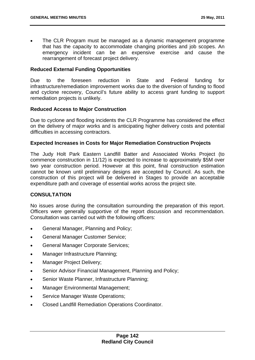The CLR Program must be managed as a dynamic management programme that has the capacity to accommodate changing priorities and job scopes. An emergency incident can be an expensive exercise and cause the rearrangement of forecast project delivery.

## **Reduced External Funding Opportunities**

Due to the foreseen reduction in State and Federal funding for infrastructure/remediation improvement works due to the diversion of funding to flood and cyclone recovery, Council's future ability to access grant funding to support remediation projects is unlikely.

### **Reduced Access to Major Construction**

Due to cyclone and flooding incidents the CLR Programme has considered the effect on the delivery of major works and is anticipating higher delivery costs and potential difficulties in accessing contractors.

## **Expected Increases in Costs for Major Remediation Construction Projects**

The Judy Holt Park Eastern Landfill Batter and Associated Works Project (to commence construction in 11/12) is expected to increase to approximately \$5M over two year construction period. However at this point, final construction estimation cannot be known until preliminary designs are accepted by Council. As such, the construction of this project will be delivered in Stages to provide an acceptable expenditure path and coverage of essential works across the project site.

## **CONSULTATION**

No issues arose during the consultation surrounding the preparation of this report. Officers were generally supportive of the report discussion and recommendation. Consultation was carried out with the following officers:

- General Manager, Planning and Policy;
- General Manager Customer Service;
- General Manager Corporate Services;
- Manager Infrastructure Planning;
- Manager Project Delivery;
- Senior Advisor Financial Management, Planning and Policy;
- Senior Waste Planner, Infrastructure Planning;
- Manager Environmental Management;
- Service Manager Waste Operations;
- Closed Landfill Remediation Operations Coordinator.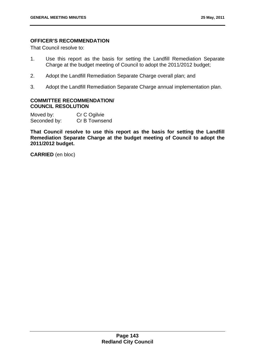# **OFFICER'S RECOMMENDATION**

That Council resolve to:

- 1. Use this report as the basis for setting the Landfill Remediation Separate Charge at the budget meeting of Council to adopt the 2011/2012 budget;
- 2. Adopt the Landfill Remediation Separate Charge overall plan; and
- 3. Adopt the Landfill Remediation Separate Charge annual implementation plan.

### **COMMITTEE RECOMMENDATION/ COUNCIL RESOLUTION**

Moved by: Cr C Ogilvie Seconded by: Cr B Townsend

**That Council resolve to use this report as the basis for setting the Landfill Remediation Separate Charge at the budget meeting of Council to adopt the 2011/2012 budget.** 

**CARRIED** (en bloc)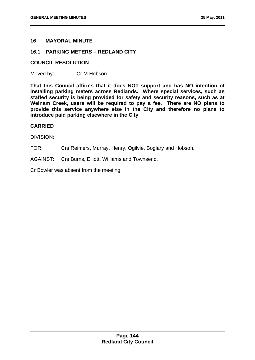## **16 MAYORAL MINUTE**

## **16.1 PARKING METERS – REDLAND CITY**

### **COUNCIL RESOLUTION**

Moved by: Cr M Hobson

**That this Council affirms that it does NOT support and has NO intention of installing parking meters across Redlands. Where special services, such as staffed security is being provided for safety and security reasons, such as at Weinam Creek, users will be required to pay a fee. There are NO plans to provide this service anywhere else in the City and therefore no plans to introduce paid parking elsewhere in the City.** 

### **CARRIED**

DIVISION:

FOR: Crs Reimers, Murray, Henry, Ogilvie, Boglary and Hobson.

AGAINST: Crs Burns, Elliott, Williams and Townsend.

Cr Bowler was absent from the meeting.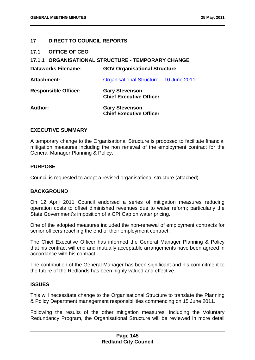## **17 DIRECT TO COUNCIL REPORTS**

**17.1 OFFICE OF CEO** 

# **17.1.1** 0B**ORGANISATIONAL STRUCTURE - TEMPORARY CHANGE**

| <b>Dataworks Filename:</b>  | <b>GOV Organisational Structure</b>                     |
|-----------------------------|---------------------------------------------------------|
| <b>Attachment:</b>          | Organisational Structure - 10 June 2011                 |
| <b>Responsible Officer:</b> | <b>Gary Stevenson</b><br><b>Chief Executive Officer</b> |
| Author:                     | <b>Gary Stevenson</b><br><b>Chief Executive Officer</b> |

### **EXECUTIVE SUMMARY**

A temporary change to the Organisational Structure is proposed to facilitate financial mitigation measures including the non renewal of the employment contract for the General Manager Planning & Policy.

#### **PURPOSE**

Council is requested to adopt a revised organisational structure (attached).

### **BACKGROUND**

On 12 April 2011 Council endorsed a series of mitigation measures reducing operation costs to offset diminished revenues due to water reform; particularly the State Government's imposition of a CPI Cap on water pricing.

One of the adopted measures included the non-renewal of employment contracts for senior officers reaching the end of their employment contract.

The Chief Executive Officer has informed the General Manager Planning & Policy that his contract will end and mutually acceptable arrangements have been agreed in accordance with his contract.

The contribution of the General Manager has been significant and his commitment to the future of the Redlands has been highly valued and effective.

#### **ISSUES**

This will necessitate change to the Organisational Structure to translate the Planning & Policy Department management responsibilities commencing on 15 June 2011.

Following the results of the other mitigation measures, including the Voluntary Redundancy Program, the Organisational Structure will be reviewed in more detail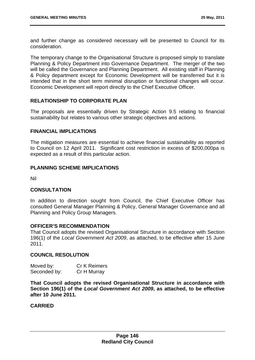and further change as considered necessary will be presented to Council for its consideration.

The temporary change to the Organisational Structure is proposed simply to translate Planning & Policy Department into Governance Department. The merger of the two will be called the Governance and Planning Department. All existing staff in Planning & Policy department except for Economic Development will be transferred but it is intended that in the short term minimal disruption or functional changes will occur. Economic Development will report directly to the Chief Executive Officer.

## **RELATIONSHIP TO CORPORATE PLAN**

The proposals are essentially driven by Strategic Action 9.5 relating to financial sustainability but relates to various other strategic objectives and actions.

### **FINANCIAL IMPLICATIONS**

The mitigation measures are essential to achieve financial sustainability as reported to Council on 12 April 2011. Significant cost restriction in excess of \$200,000pa is expected as a result of this particular action.

## **PLANNING SCHEME IMPLICATIONS**

Nil

### **CONSULTATION**

In addition to direction sought from Council, the Chief Executive Officer has consulted General Manager Planning & Policy, General Manager Governance and all Planning and Policy Group Managers.

### **OFFICER'S RECOMMENDATION**

That Council adopts the revised Organisational Structure in accordance with Section 196(1) of the *Local Government Act 2009*, as attached, to be effective after 15 June 2011.

## **COUNCIL RESOLUTION**

| Moved by:    | <b>Cr K Reimers</b> |
|--------------|---------------------|
| Seconded by: | Cr H Murray         |

**That Council adopts the revised Organisational Structure in accordance with Section 196(1) of the** *Local Government Act 2009***, as attached, to be effective after 10 June 2011.**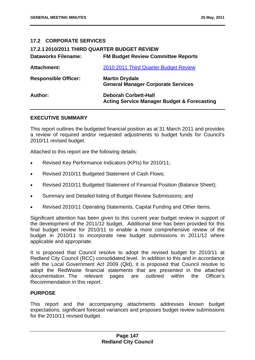# **17.2 CORPORATE SERVICES**

| 17.2.1 2010/2011 THIRD QUARTER BUDGET REVIEW |                                                                                       |
|----------------------------------------------|---------------------------------------------------------------------------------------|
| <b>Dataworks Filename:</b>                   | <b>FM Budget Review Committee Reports</b>                                             |
| <b>Attachment:</b>                           | 2010 2011 Third Quarter Budget Review                                                 |
| <b>Responsible Officer:</b>                  | <b>Martin Drydale</b><br><b>General Manager Corporate Services</b>                    |
| Author:                                      | <b>Deborah Corbett-Hall</b><br><b>Acting Service Manager Budget &amp; Forecasting</b> |

### **EXECUTIVE SUMMARY**

This report outlines the budgeted financial position as at 31 March 2011 and provides a review of required and/or requested adjustments to budget funds for Council's 2010/11 revised budget.

Attached to this report are the following details:

- Revised Key Performance Indicators (KPIs) for 2010/11;
- Revised 2010/11 Budgeted Statement of Cash Flows;
- Revised 2010/11 Budgeted Statement of Financial Position (Balance Sheet);
- Summary and Detailed listing of Budget Review Submissions; and
- Revised 2010/11 Operating Statements, Capital Funding and Other Items.

Significant attention has been given to this current year budget review in support of the development of the 2011/12 budget. Additional time has been provided for this final budget review for 2010/11 to enable a more comprehensive review of the budget in 2010/11 to incorporate new budget submissions in 2011/12 where applicable and appropriate.

It is proposed that Council resolve to adopt the revised budget for 2010/11 at Redland City Council (RCC) consolidated level. In addition to this and in accordance with the Local Government Act 2009 (Qld), it is proposed that Council resolve to adopt the RedWaste financial statements that are presented in the attached documentation. The relevant pages are outlined within the Officer's Recommendation in this report.

### **PURPOSE**

This report and the accompanying attachments addresses known budget expectations, significant forecast variances and proposes budget review submissions for the 2010/11 revised budget.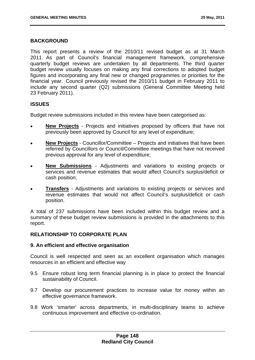#### **BACKGROUND**

This report presents a review of the 2010/11 revised budget as at 31 March 2011. As part of Council's financial management framework, comprehensive quarterly budget reviews are undertaken by all departments. The third quarter budget review usually focuses on making any final corrections to adopted budget figures and incorporating any final new or changed programmes or priorities for the financial year. Council previously revised the 2010/11 budget in February 2011 to include any second quarter (Q2) submissions (General Committee Meeting held 23 February 2011).

## **ISSUES**

Budget review submissions included in this review have been categorised as:

- **New Projects** Projects and initiatives proposed by officers that have not previously been approved by Council for any level of expenditure;
- **New Projects** Councillor/Committee Projects and initiatives that have been referred by Councillors or Council/Committee meetings that have not received previous approval for any level of expenditure;
- **New Submissions** Adjustments and variations to existing projects or services and revenue estimates that would affect Council's surplus/deficit or cash position;
- **Transfers** Adjustments and variations to existing projects or services and revenue estimates that would not affect Council's surplus/deficit or cash position.

A total of 237 submissions have been included within this budget review and a summary of these budget review submissions is provided in the attachments to this report.

### **RELATIONSHIP TO CORPORATE PLAN**

#### **9. An efficient and effective organisation**

Council is well respected and seen as an excellent organisation which manages resources in an efficient and effective way

- 9.5 Ensure robust long term financial planning is in place to protect the financial sustainability of Council.
- 9.7 Develop our procurement practices to increase value for money within an effective governance framework.
- 9.8 Work 'smarter' across departments, in multi-disciplinary teams to achieve continuous improvement and effective co-ordination.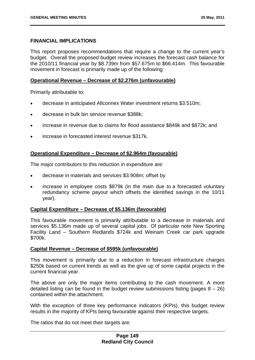### **FINANCIAL IMPLICATIONS**

This report proposes recommendations that require a change to the current year's budget. Overall the proposed budget review increases the forecast cash balance for the 2010/11 financial year by \$8.739m from \$57.675m to \$66.414m. This favourable movement in forecast is primarily made up of the following:

### **Operational Revenue – Decrease of \$2.276m (unfavourable)**

Primarily attributable to:

- decrease in anticipated Allconnex Water investment returns \$3.510m;
- decrease in bulk bin service revenue \$388k;
- increase in revenue due to claims for flood assistance \$849k and \$872k; and
- increase in forecasted interest revenue \$317k.

## **Operational Expenditure – Decrease of \$2.964m (favourable)**

The major contributors to this reduction in expenditure are:

- decrease in materials and services \$3.908m; offset by
- increase in employee costs \$879k (in the main due to a forecasted voluntary redundancy scheme payout which offsets the identified savings in the 10/11 year).

### **Capital Expenditure – Decrease of \$5.136m (favourable)**

This favourable movement is primarily attributable to a decrease in materials and services \$5.136m made up of several capital jobs. Of particular note New Sporting Facility Land – Southern Redlands \$724k and Weinam Creek car park upgrade \$700k.

### **Capital Revenue – Decrease of \$595k (unfavourable)**

This movement is primarily due to a reduction in forecast infrastructure charges \$250k based on current trends as well as the give up of some capital projects in the current financial year.

The above are only the major items contributing to the cash movement. A more detailed listing can be found in the budget review submissions listing (pages  $8 - 26$ ) contained within the attachment.

With the exception of three key performance indicators (KPIs), this budget review results in the majority of KPIs being favourable against their respective targets.

The ratios that do not meet their targets are: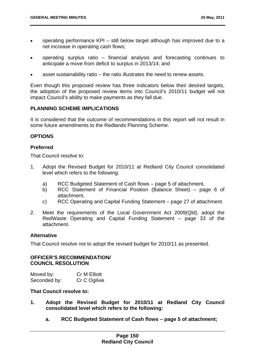- operating performance KPI still below target although has improved due to a net increase in operating cash flows;
- operating surplus ratio financial analysis and forecasting continues to anticipate a move from deficit to surplus in 2013/14; and
- asset sustainability ratio the ratio illustrates the need to renew assets.

Even though this proposed review has three indicators below their desired targets, the adoption of the proposed review items into Council's 2010/11 budget will not impact Council's ability to make payments as they fall due.

### **PLANNING SCHEME IMPLICATIONS**

It is considered that the outcome of recommendations in this report will not result in some future amendments to the Redlands Planning Scheme.

## **OPTIONS**

## **Preferred**

That Council resolve to:

- 1. Adopt the Revised Budget for 2010/11 at Redland City Council consolidated level which refers to the following:
	- a) RCC Budgeted Statement of Cash flows page 5 of attachment,
	- b) RCC Statement of Financial Position (Balance Sheet) page 6 of attachment,
	- c) RCC Operating and Capital Funding Statement page 27 of attachment.
- 2. Meet the requirements of the Local Government Act 2009(Qld), adopt the RedWaste Operating and Capital Funding Statement – page 33 of the attachment.

### **Alternative**

That Council resolve not to adopt the revised budget for 2010/11 as presented.

### **OFFICER'S RECOMMENDATION/ COUNCIL RESOLUTION**

| Moved by:    | <b>Cr M Elliott</b> |
|--------------|---------------------|
| Seconded by: | Cr C Ogilvie        |

### **That Council resolve to:**

- **1. Adopt the Revised Budget for 2010/11 at Redland City Council consolidated level which refers to the following:** 
	- **a. RCC Budgeted Statement of Cash flows page 5 of attachment;**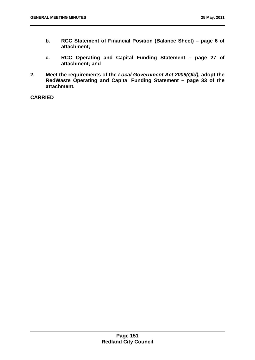- **b. RCC Statement of Financial Position (Balance Sheet) page 6 of attachment;**
- **c. RCC Operating and Capital Funding Statement page 27 of attachment; and**
- **2. Meet the requirements of the** *Local Government Act 2009(Qld),* **adopt the RedWaste Operating and Capital Funding Statement – page 33 of the attachment.**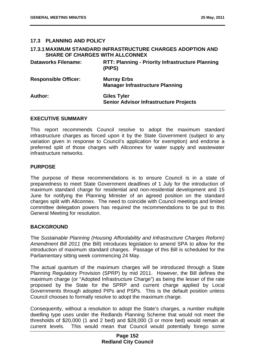## **17.3 PLANNING AND POLICY**

| <b>SHARE OF CHARGES WITH ALLCONNEX</b> | <b>17.3.1 MAXIMUM STANDARD INFRASTRUCTURE CHARGES ADOPTION AND</b>  |
|----------------------------------------|---------------------------------------------------------------------|
| <b>Dataworks Filename:</b>             | <b>RTT: Planning - Priority Infrastructure Planning</b><br>(PIPS)   |
| <b>Responsible Officer:</b>            | <b>Murray Erbs</b><br><b>Manager Infrastructure Planning</b>        |
| Author:                                | <b>Giles Tyler</b><br><b>Senior Advisor Infrastructure Projects</b> |

#### **EXECUTIVE SUMMARY**

This report recommends Council resolve to adopt the maximum standard infrastructure charges as forced upon it by the State Government (subject to any variation given in response to Council's application for exemption) and endorse a preferred split of those charges with Allconnex for water supply and wastewater infrastructure networks.

### **PURPOSE**

The purpose of these recommendations is to ensure Council is in a state of preparedness to meet State Government deadlines of 1 July for the introduction of maximum standard charge for residential and non-residential development and 15 June for notifying the Planning Minister of an agreed position on the standard charges split with Allconnex. The need to coincide with Council meetings and limited committee delegation powers has required the recommendations to be put to this General Meeting for resolution.

## **BACKGROUND**

The *Sustainable Planning (Housing Affordability and Infrastructure Charges Reform) Amendment Bill 2011* (the Bill) introduces legislation to amend SPA to allow for the introduction of maximum standard charges. Passage of this Bill is scheduled for the Parliamentary sitting week commencing 24 May.

The actual quantum of the maximum charges will be introduced through a State Planning Regulatory Provision (SPRP) by mid 2011. However, the Bill defines the maximum charge (or "Adopted Infrastructure Charge") as being the lesser of the rate proposed by the State for the SPRP and current charge applied by Local Governments through adopted PIPs and PSPs. This is the default position unless Council chooses to formally resolve to adopt the maximum charge.

Consequently, without a resolution to adopt the State's charges, a number multiple dwelling type uses under the Redlands Planning Scheme that would not meet the thresholds of \$20,000 (1 and 2 bed) and \$28,000 (3 or more bed) would remain at current levels. This would mean that Council would potentially forego some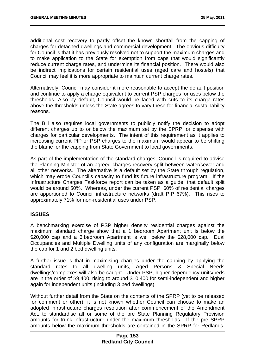additional cost recovery to partly offset the known shortfall from the capping of charges for detached dwellings and commercial development. The obvious difficulty for Council is that it has previously resolved not to support the maximum charges and to make application to the State for exemption from caps that would significantly reduce current charge rates, and undermine its financial position. There would also be indirect implications for certain residential uses (aged care and hostels) that Council may feel it is more appropriate to maintain current charge rates.

Alternatively, Council may consider it more reasonable to accept the default position and continue to apply a charge equivalent to current PSP charges for uses below the thresholds. Also by default, Council would be faced with cuts to its charge rates above the thresholds unless the State agrees to vary these for financial sustainability reasons.

The Bill also requires local governments to publicly notify the decision to adopt different charges up to or below the maximum set by the SPRP, or dispense with charges for particular developments. The intent of this requirement as it applies to increasing current PIP or PSP charges to the maximum would appear to be shifting the blame for the capping from State Government to local governments.

As part of the implementation of the standard charges, Council is required to advise the Planning Minister of an agreed charges recovery split between water/sewer and all other networks. The alternative is a default set by the State through regulation, which may erode Council's capacity to fund its future infrastructure program. If the Infrastructure Charges Taskforce report can be taken as a guide, that default split would be around 50%. Whereas, under the current PSP, 60% of residential charges are apportioned to Council infrastructure networks (draft PIP 67%). This rises to approximately 71% for non-residential uses under PSP.

## **ISSUES**

A benchmarking exercise of PSP higher density residential charges against the maximum standard charge show that a 1 bedroom Apartment unit is below the \$20,000 cap and a 3 bedroom Apartment is well below the \$28,000 cap. Dual Occupancies and Multiple Dwelling units of any configuration are marginally below the cap for 1 and 2 bed dwelling units.

A further issue is that in maximising charges under the capping by applying the standard rates to all dwelling units, Aged Persons & Special Needs dwellings/complexes will also be caught. Under PSP, higher dependency units/beds are in the order of \$9,400, rising to around \$10,400 for semi-independent and higher again for independent units (including 3 bed dwellings).

Without further detail from the State on the contents of the SPRP (yet to be released for comment or other), it is not known whether Council can choose to make an adopted infrastructure charges resolution after commencement of the Amendment Act, to standardise all or some of the pre State Planning Regulatory Provision amounts for trunk infrastructure under the maximum thresholds. If the pre SPRP amounts below the maximum thresholds are contained in the SPRP for Redlands,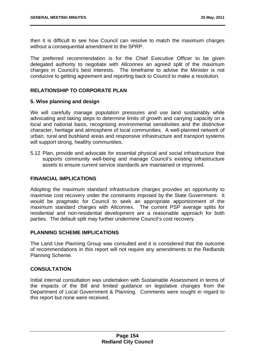then it is difficult to see how Council can resolve to match the maximum charges without a consequential amendment to the SPRP.

The preferred recommendation is for the Chief Executive Officer to be given delegated authority to negotiate with Allconnex an agreed split of the maximum charges in Council's best interests. The timeframe to advise the Minister is not conducive to getting agreement and reporting back to Council to make a resolution.

## **RELATIONSHIP TO CORPORATE PLAN**

### **5. Wise planning and design**

We will carefully manage population pressures and use land sustainably while advocating and taking steps to determine limits of growth and carrying capacity on a local and national basis, recognising environmental sensitivities and the distinctive character, heritage and atmosphere of local communities. A well-planned network of urban, rural and bushland areas and responsive infrastructure and transport systems will support strong, healthy communities.

5.12 Plan, provide and advocate for essential physical and social infrastructure that supports community well-being and manage Council's existing infrastructure assets to ensure current service standards are maintained or improved.

#### **FINANCIAL IMPLICATIONS**

Adopting the maximum standard infrastructure charges provides an opportunity to maximise cost recovery under the constraints imposed by the State Government. It would be pragmatic for Council to seek an appropriate apportionment of the maximum standard charges with Allconnex. The current PSP average splits for residential and non-residential development are a reasonable approach for both parties. The default split may further undermine Council's cost recovery.

## **PLANNING SCHEME IMPLICATIONS**

The Land Use Planning Group was consulted and it is considered that the outcome of recommendations in this report will not require any amendments to the Redlands Planning Scheme.

### **CONSULTATION**

Initial internal consultation was undertaken with Sustainable Assessment in terms of the impacts of the Bill and limited guidance on legislative changes from the Department of Local Government & Planning. Comments were sought in regard to this report but none were received.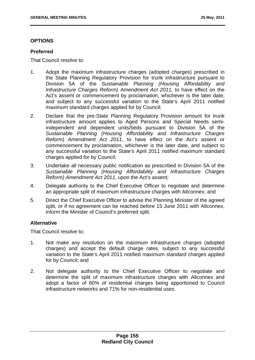## **OPTIONS**

## **Preferred**

That Council resolve to:

- 1. Adopt the maximum infrastructure charges (adopted charges) prescribed in the State Planning Regulatory Provision for trunk infrastructure pursuant to Division 5A of the *Sustainable Planning (Housing Affordability and Infrastructure Charges Reform) Amendment Act 2011,* to have effect on the Act's assent or commencement by proclamation, whichever is the later date, and subject to any successful variation to the State's April 2011 notified maximum standard charges applied for by Council;
- 2. Declare that the pre-State Planning Regulatory Provision amount for trunk infrastructure amount applies to Aged Persons and Special Needs semiindependent and dependent units/beds pursuant to Division 5A of the *Sustainable Planning (Housing Affordability and Infrastructure Charges Reform) Amendment Act 2011*, to have effect on the Act's assent or commencement by proclamation, whichever is the later date, and subject to any successful variation to the State's April 2011 notified maximum standard charges applied for by Council;
- 3. Undertake all necessary public notification as prescribed in Division 5A of the *Sustainable Planning (Housing Affordability and Infrastructure Charges Reform) Amendment Act 2011*, upon the Act's assent*;*
- 4. Delegate authority to the Chief Executive Officer to negotiate and determine an appropriate split of maximum infrastructure charges with Allconnex; and
- 5. Direct the Chief Executive Officer to advise the Planning Minister of the agreed split, or if no agreement can be reached before 15 June 2011 with Allconnex, inform the Minister of Council's preferred split.

## **Alternative**

That Council resolve to:

- 1. Not make any resolution on the maximum infrastructure charges (adopted charges) and accept the default charge rates, subject to any successful variation to the State's April 2011 notified maximum standard charges applied for by Council; and
- 2. Not delegate authority to the Chief Executive Officer to negotiate and determine the split of maximum infrastructure charges with Allconnex and adopt a factor of 60% of residential charges being apportioned to Council infrastructure networks and 71% for non-residential uses.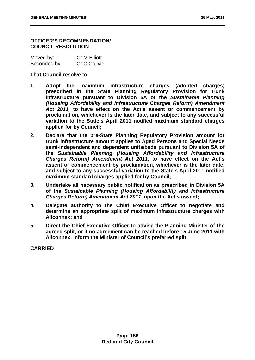### **OFFICER'S RECOMMENDATION/ COUNCIL RESOLUTION**

| Moved by:    | Cr M Elliott |
|--------------|--------------|
| Seconded by: | Cr C Ogilvie |

## **That Council resolve to:**

- **1. Adopt the maximum infrastructure charges (adopted charges) prescribed in the State Planning Regulatory Provision for trunk infrastructure pursuant to Division 5A of the** *Sustainable Planning (Housing Affordability and Infrastructure Charges Reform) Amendment Act 2011,* **to have effect on the Act's assent or commencement by proclamation, whichever is the later date, and subject to any successful variation to the State's April 2011 notified maximum standard charges applied for by Council;**
- **2. Declare that the pre-State Planning Regulatory Provision amount for trunk infrastructure amount applies to Aged Persons and Special Needs semi-independent and dependent units/beds pursuant to Division 5A of the** *Sustainable Planning (Housing Affordability and Infrastructure Charges Reform) Amendment Act 2011***, to have effect on the Act's assent or commencement by proclamation, whichever is the later date, and subject to any successful variation to the State's April 2011 notified maximum standard charges applied for by Council;**
- **3. Undertake all necessary public notification as prescribed in Division 5A of the** *Sustainable Planning (Housing Affordability and Infrastructure Charges Reform) Amendment Act 2011***, upon the Act's assent;**
- **4. Delegate authority to the Chief Executive Officer to negotiate and determine an appropriate split of maximum infrastructure charges with Allconnex; and**
- **5. Direct the Chief Executive Officer to advise the Planning Minister of the agreed split, or if no agreement can be reached before 15 June 2011 with Allconnex, inform the Minister of Council's preferred split.**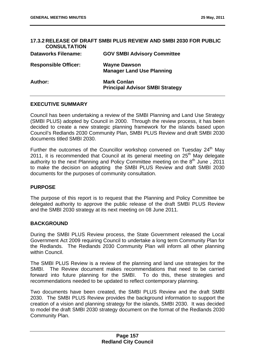| <b>CONSULTATION</b>         | 17.3.2 RELEASE OF DRAFT SMBI PLUS REVIEW AND SMBI 2030 FOR PUBLIC |
|-----------------------------|-------------------------------------------------------------------|
| <b>Dataworks Filename:</b>  | <b>GOV SMBI Advisory Committee</b>                                |
| <b>Responsible Officer:</b> | <b>Wayne Dawson</b><br><b>Manager Land Use Planning</b>           |
| Author:                     | <b>Mark Conlan</b><br><b>Principal Advisor SMBI Strategy</b>      |

### **EXECUTIVE SUMMARY**

Council has been undertaking a review of the SMBI Planning and Land Use Strategy (SMBI PLUS) adopted by Council in 2000. Through the review process, it has been decided to create a new strategic planning framework for the islands based upon Council's Redlands 2030 Community Plan, SMBI PLUS Review and draft SMBI 2030 documents titled SMBI 2030.

Further the outcomes of the Councillor workshop convened on Tuesday  $24<sup>th</sup>$  May 2011, it is recommended that Council at its general meeting on 25<sup>th</sup> May delegate authority to the next Planning and Policy Committee meeting on the  $8<sup>th</sup>$  June , 2011 to make the decision on adopting the SMBI PLUS Review and draft SMBI 2030 documents for the purposes of community consultation.

### **PURPOSE**

The purpose of this report is to request that the Planning and Policy Committee be delegated authority to approve the public release of the draft SMBI PLUS Review and the SMBI 2030 strategy at its next meeting on 08 June 2011.

### **BACKGROUND**

During the SMBI PLUS Review process, the State Government released the Local Government Act 2009 requiring Council to undertake a long term Community Plan for the Redlands. The Redlands 2030 Community Plan will inform all other planning within Council.

The SMBI PLUS Review is a review of the planning and land use strategies for the SMBI. The Review document makes recommendations that need to be carried forward into future planning for the SMBI. To do this, these strategies and recommendations needed to be updated to reflect contemporary planning.

Two documents have been created, the SMBI PLUS Review and the draft SMBI 2030. The SMBI PLUS Review provides the background information to support the creation of a vision and planning strategy for the islands, SMBI 2030. It was decided to model the draft SMBI 2030 strategy document on the format of the Redlands 2030 Community Plan.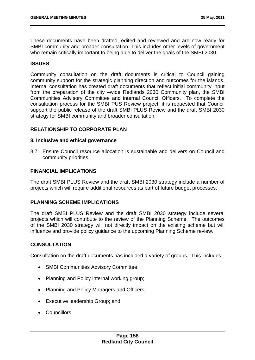These documents have been drafted, edited and reviewed and are now ready for SMBI community and broader consultation. This includes other levels of government who remain critically important to being able to deliver the goals of the SMBI 2030.

## **ISSUES**

Community consultation on the draft documents is critical to Council gaining community support for the strategic planning direction and outcomes for the islands. Internal consultation has created draft documents that reflect initial community input from the preparation of the city –wide Redlands 2030 Community plan, the SMBI Communities Advisory Committee and internal Council Officers. To complete the consultation process for the SMBI PUS Review project, it is requested that Council support the public release of the draft SMBI PLUS Review and the draft SMBI 2030 strategy for SMBI community and broader consultation.

## **RELATIONSHIP TO CORPORATE PLAN**

#### **8. Inclusive and ethical governance**

8.7 Ensure Council resource allocation is sustainable and delivers on Council and community priorities.

### **FINANCIAL IMPLICATIONS**

The draft SMBI PLUS Review and the draft SMBI 2030 strategy include a number of projects which will require additional resources as part of future budget processes.

### **PLANNING SCHEME IMPLICATIONS**

The draft SMBI PLUS Review and the draft SMBI 2030 strategy include several projects which will contribute to the review of the Planning Scheme. The outcomes of the SMBI 2030 strategy will not directly impact on the existing scheme but will influence and provide policy guidance to the upcoming Planning Scheme review.

### **CONSULTATION**

Consultation on the draft documents has included a variety of groups. This includes:

- SMBI Communities Advisory Committee;
- Planning and Policy internal working group;
- Planning and Policy Managers and Officers;
- Executive leadership Group; and
- **Councillors**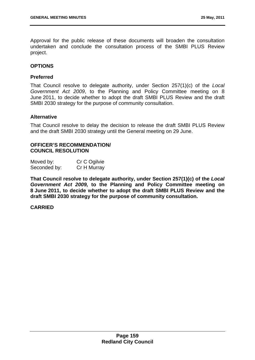Approval for the public release of these documents will broaden the consultation undertaken and conclude the consultation process of the SMBI PLUS Review project.

### **OPTIONS**

### **Preferred**

That Council resolve to delegate authority, under Section 257(1)(c) of the *Local Government Act 2009*, to the Planning and Policy Committee meeting on 8 June 2011, to decide whether to adopt the draft SMBI PLUS Review and the draft SMBI 2030 strategy for the purpose of community consultation.

### **Alternative**

That Council resolve to delay the decision to release the draft SMBI PLUS Review and the draft SMBI 2030 strategy until the General meeting on 29 June.

### **OFFICER'S RECOMMENDATION/ COUNCIL RESOLUTION**

| Moved by:    | Cr C Ogilvie |
|--------------|--------------|
| Seconded by: | Cr H Murray  |

**That Council resolve to delegate authority, under Section 257(1)(c) of the** *Local Government Act 2009,* **to the Planning and Policy Committee meeting on 8 June 2011, to decide whether to adopt the draft SMBI PLUS Review and the draft SMBI 2030 strategy for the purpose of community consultation.**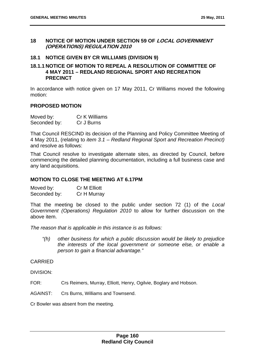### **18 NOTICE OF MOTION UNDER SECTION 59 OF LOCAL GOVERNMENT (OPERATIONS) REGULATION 2010**

## **18.1 NOTICE GIVEN BY CR WILLIAMS (DIVISION 9)**

## **18.1.1 NOTICE OF MOTION TO REPEAL A RESOLUTION OF COMMITTEE OF 4 MAY 2011 – REDLAND REGIONAL SPORT AND RECREATION PRECINCT**

In accordance with notice given on 17 May 2011, Cr Williams moved the following motion:

### **PROPOSED MOTION**

| Moved by:    | <b>Cr K Williams</b> |
|--------------|----------------------|
| Seconded by: | Cr J Burns           |

That Council RESCIND its decision of the Planning and Policy Committee Meeting of 4 May 2011, (relating to *item 3.1 – Redland Regional Sport and Recreation Precinct)*  and resolve as follows:

That Council resolve to investigate alternate sites, as directed by Council, before commencing the detailed planning documentation, including a full business case and any land acquisitions.

### **MOTION TO CLOSE THE MEETING AT 6.17PM**

Moved by: Cr M Elliott Seconded by: Cr H Murray

That the meeting be closed to the public under section 72 (1) of the *Local Government (Operations) Regulation 2010* to allow for further discussion on the above item.

*The reason that is applicable in this instance is as follows:* 

*"(h) other business for which a public discussion would be likely to prejudice the interests of the local government or someone else, or enable a person to gain a financial advantage."* 

## **CARRIED**

DIVISION:

FOR: Crs Reimers, Murray, Elliott, Henry, Ogilvie, Boglary and Hobson.

AGAINST: Crs Burns, Williams and Townsend.

Cr Bowler was absent from the meeting.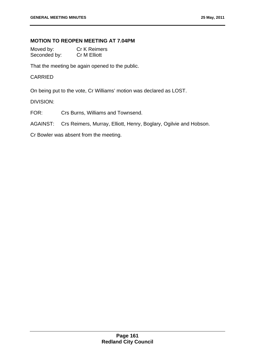# **MOTION TO REOPEN MEETING AT 7.04PM**

Moved by: Cr K Reimers Seconded by: Cr M Elliott

That the meeting be again opened to the public.

### CARRIED

On being put to the vote, Cr Williams' motion was declared as LOST.

## DIVISION:

FOR: Crs Burns, Williams and Townsend.

AGAINST: Crs Reimers, Murray, Elliott, Henry, Boglary, Ogilvie and Hobson.

Cr Bowler was absent from the meeting.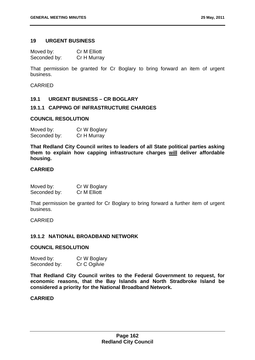### **19 URGENT BUSINESS**

Moved by: Cr M Elliott Seconded by: Cr H Murray

That permission be granted for Cr Boglary to bring forward an item of urgent business.

CARRIED

### **19.1 URGENT BUSINESS – CR BOGLARY**

## **19.1.1 CAPPING OF INFRASTRUCTURE CHARGES**

### **COUNCIL RESOLUTION**

| Moved by:    | Cr W Boglary |
|--------------|--------------|
| Seconded by: | Cr H Murray  |

**That Redland City Council writes to leaders of all State political parties asking them to explain how capping infrastructure charges will deliver affordable housing.** 

## **CARRIED**

| Moved by:    | Cr W Boglary |
|--------------|--------------|
| Seconded by: | Cr M Elliott |

That permission be granted for Cr Boglary to bring forward a further item of urgent business.

CARRIED

## **19.1.2 NATIONAL BROADBAND NETWORK**

#### **COUNCIL RESOLUTION**

| Moved by:    | Cr W Boglary |
|--------------|--------------|
| Seconded by: | Cr C Ogilvie |

**That Redland City Council writes to the Federal Government to request, for economic reasons, that the Bay Islands and North Stradbroke Island be considered a priority for the National Broadband Network.**